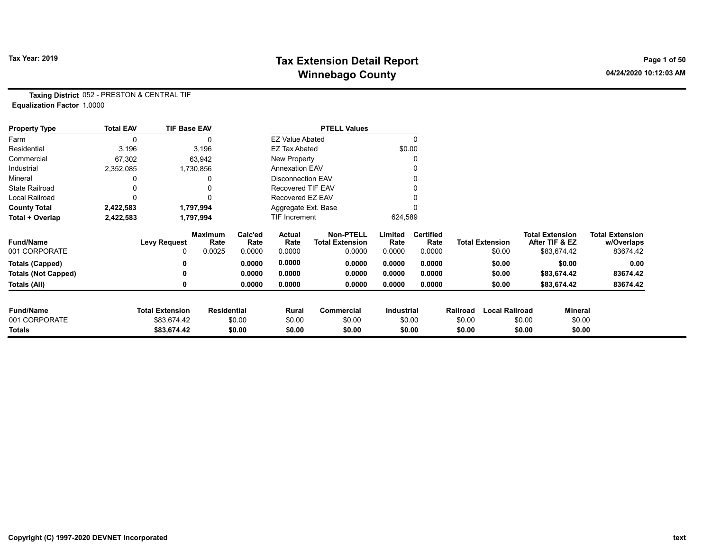# Tax Year: 2019 **Tax Extension Detail Report** Tax Year: 2019 **Page 1 of 50** Winnebago County and the County of the County of the County of the County of the County of the County of the County of the County of the County of the County of the County of the County of the County of the County of the C

Taxing District 052 - PRESTON & CENTRAL TIF Equalization Factor 1.0000

| <b>Property Type</b>       | <b>Total EAV</b> | <b>TIF Base EAV</b>    |                        |                 |                          | <b>PTELL Values</b>                        |                   |                          |          |                        |                                          |                |                                      |
|----------------------------|------------------|------------------------|------------------------|-----------------|--------------------------|--------------------------------------------|-------------------|--------------------------|----------|------------------------|------------------------------------------|----------------|--------------------------------------|
| Farm                       | 0                |                        |                        |                 | <b>EZ Value Abated</b>   |                                            |                   |                          |          |                        |                                          |                |                                      |
| Residential                | 3,196            |                        | 3,196                  |                 | <b>EZ Tax Abated</b>     |                                            |                   | \$0.00                   |          |                        |                                          |                |                                      |
| Commercial                 | 67,302           |                        | 63,942                 |                 | New Property             |                                            |                   |                          |          |                        |                                          |                |                                      |
| Industrial                 | 2,352,085        |                        | 1,730,856              |                 | <b>Annexation EAV</b>    |                                            |                   |                          |          |                        |                                          |                |                                      |
| Mineral                    |                  |                        |                        |                 | Disconnection EAV        |                                            |                   |                          |          |                        |                                          |                |                                      |
| <b>State Railroad</b>      |                  |                        |                        |                 | <b>Recovered TIF EAV</b> |                                            |                   |                          |          |                        |                                          |                |                                      |
| Local Railroad             |                  |                        |                        |                 | Recovered EZ EAV         |                                            |                   |                          |          |                        |                                          |                |                                      |
| <b>County Total</b>        | 2,422,583        |                        | 1,797,994              |                 | Aggregate Ext. Base      |                                            |                   |                          |          |                        |                                          |                |                                      |
| Total + Overlap            | 2,422,583        |                        | 1,797,994              |                 | TIF Increment            |                                            | 624,589           |                          |          |                        |                                          |                |                                      |
| <b>Fund/Name</b>           |                  | <b>Levy Request</b>    | <b>Maximum</b><br>Rate | Calc'ed<br>Rate | Actual<br>Rate           | <b>Non-PTELL</b><br><b>Total Extension</b> | Limited<br>Rate   | <b>Certified</b><br>Rate |          | <b>Total Extension</b> | <b>Total Extension</b><br>After TIF & EZ |                | <b>Total Extension</b><br>w/Overlaps |
| 001 CORPORATE              |                  | 0                      | 0.0025                 | 0.0000          | 0.0000                   | 0.0000                                     | 0.0000            | 0.0000                   |          | \$0.00                 | \$83,674.42                              |                | 83674.42                             |
| Totals (Capped)            |                  |                        |                        | 0.0000          | 0.0000                   | 0.0000                                     | 0.0000            | 0.0000                   |          | \$0.00                 |                                          | \$0.00         | 0.00                                 |
| <b>Totals (Not Capped)</b> |                  |                        |                        | 0.0000          | 0.0000                   | 0.0000                                     | 0.0000            | 0.0000                   |          | \$0.00                 | \$83,674.42                              |                | 83674.42                             |
| Totals (All)               |                  |                        |                        | 0.0000          | 0.0000                   | 0.0000                                     | 0.0000            | 0.0000                   |          | \$0.00                 | \$83,674.42                              |                | 83674.42                             |
| <b>Fund/Name</b>           |                  | <b>Total Extension</b> | <b>Residential</b>     |                 | Rural                    | Commercial                                 | <b>Industrial</b> |                          | Railroad | <b>Local Railroad</b>  |                                          | <b>Mineral</b> |                                      |
| 001 CORPORATE              |                  | \$83,674.42            |                        | \$0.00          | \$0.00                   | \$0.00                                     |                   | \$0.00                   | \$0.00   |                        | \$0.00                                   | \$0.00         |                                      |
| Totals                     |                  | \$83,674.42            |                        | \$0.00          | \$0.00                   | \$0.00                                     |                   | \$0.00                   | \$0.00   |                        | \$0.00                                   | \$0.00         |                                      |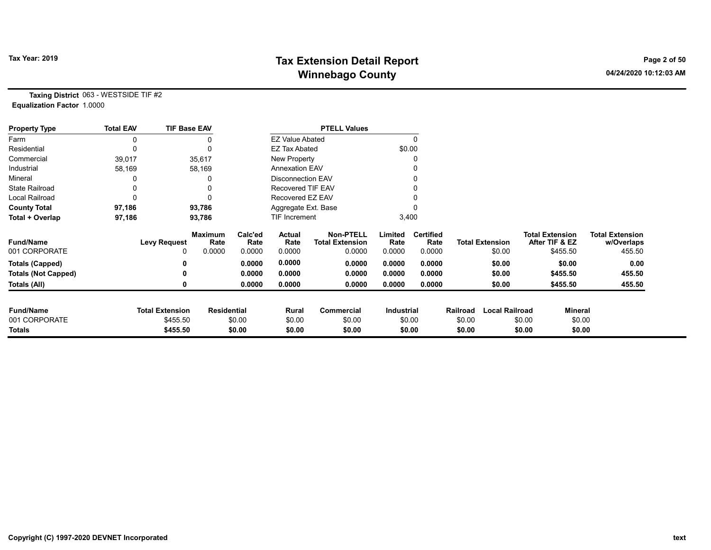# Tax Year: 2019 **Tax Extension Detail Report** Tax Year: 2019 **Page 2 of 50** Winnebago County and the County of the County of the County of the County of the County of the County of the County of the County of the County of the County of the County of the County of the County of the County of the C

Taxing District 063 - WESTSIDE TIF #2 Equalization Factor 1.0000

| <b>Property Type</b>       | <b>Total EAV</b> | <b>TIF Base EAV</b>    |                        |                 |                          | <b>PTELL Values</b>                        |                   |                          |          |                        |                                          |                |                                      |
|----------------------------|------------------|------------------------|------------------------|-----------------|--------------------------|--------------------------------------------|-------------------|--------------------------|----------|------------------------|------------------------------------------|----------------|--------------------------------------|
| Farm                       | 0                |                        |                        |                 | <b>EZ Value Abated</b>   |                                            |                   | $\Omega$                 |          |                        |                                          |                |                                      |
| Residential                | 0                |                        | $\Omega$               |                 | <b>EZ Tax Abated</b>     |                                            | \$0.00            |                          |          |                        |                                          |                |                                      |
| Commercial                 | 39,017           |                        | 35,617                 |                 | New Property             |                                            |                   |                          |          |                        |                                          |                |                                      |
| Industrial                 | 58,169           |                        | 58,169                 |                 | <b>Annexation EAV</b>    |                                            |                   |                          |          |                        |                                          |                |                                      |
| Mineral                    |                  |                        |                        |                 | <b>Disconnection EAV</b> |                                            |                   |                          |          |                        |                                          |                |                                      |
| <b>State Railroad</b>      | 0                |                        |                        |                 | Recovered TIF EAV        |                                            |                   |                          |          |                        |                                          |                |                                      |
| Local Railroad             | 0                |                        | $\Omega$               |                 | Recovered EZ EAV         |                                            |                   |                          |          |                        |                                          |                |                                      |
| <b>County Total</b>        | 97,186           |                        | 93,786                 |                 | Aggregate Ext. Base      |                                            |                   |                          |          |                        |                                          |                |                                      |
| Total + Overlap            | 97,186           |                        | 93,786                 |                 | <b>TIF Increment</b>     |                                            | 3,400             |                          |          |                        |                                          |                |                                      |
| <b>Fund/Name</b>           |                  | <b>Levy Request</b>    | <b>Maximum</b><br>Rate | Calc'ed<br>Rate | Actual<br>Rate           | <b>Non-PTELL</b><br><b>Total Extension</b> | Limited<br>Rate   | <b>Certified</b><br>Rate |          | <b>Total Extension</b> | <b>Total Extension</b><br>After TIF & EZ |                | <b>Total Extension</b><br>w/Overlaps |
| 001 CORPORATE              |                  | 0                      | 0.0000                 | 0.0000          | 0.0000                   | 0.0000                                     | 0.0000            | 0.0000                   |          | \$0.00                 |                                          | \$455.50       | 455.50                               |
| <b>Totals (Capped)</b>     |                  | 0                      |                        | 0.0000          | 0.0000                   | 0.0000                                     | 0.0000            | 0.0000                   |          | \$0.00                 |                                          | \$0.00         | 0.00                                 |
| <b>Totals (Not Capped)</b> |                  | 0                      |                        | 0.0000          | 0.0000                   | 0.0000                                     | 0.0000            | 0.0000                   |          | \$0.00                 |                                          | \$455.50       | 455.50                               |
| Totals (All)               |                  | 0                      |                        | 0.0000          | 0.0000                   | 0.0000                                     | 0.0000            | 0.0000                   |          | \$0.00                 |                                          | \$455.50       | 455.50                               |
| <b>Fund/Name</b>           |                  | <b>Total Extension</b> | <b>Residential</b>     |                 | Rural                    | Commercial                                 | <b>Industrial</b> |                          | Railroad | <b>Local Railroad</b>  |                                          | <b>Mineral</b> |                                      |
| 001 CORPORATE              |                  | \$455.50               |                        | \$0.00          | \$0.00                   | \$0.00                                     |                   | \$0.00                   | \$0.00   |                        | \$0.00                                   | \$0.00         |                                      |
| Totals                     |                  | \$455.50               |                        | \$0.00          | \$0.00                   | \$0.00                                     |                   | \$0.00                   | \$0.00   |                        | \$0.00                                   | \$0.00         |                                      |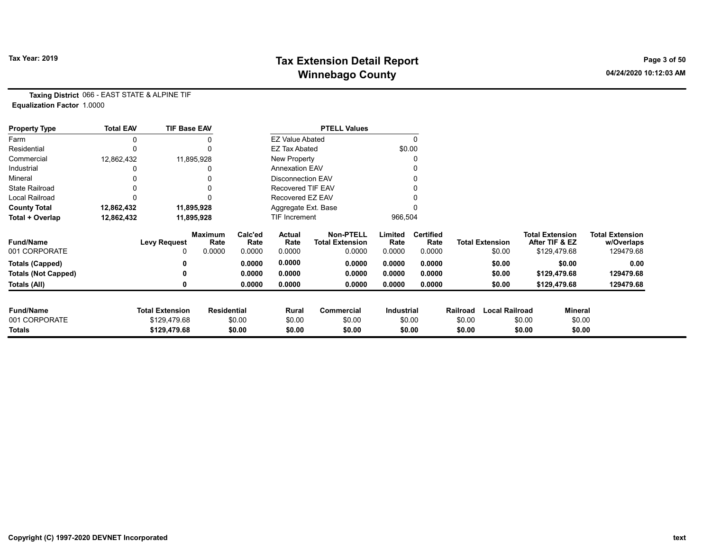# Tax Year: 2019 **Tax Extension Detail Report** Tax Year: 2019 **Page 3 of 50** Winnebago County and the County of the County of the County of the County of the County of the County of the County of the County of the County of the County of the County of the County of the County of the County of the C

Taxing District 066 - EAST STATE & ALPINE TIF Equalization Factor 1.0000

| <b>Property Type</b>       | <b>Total EAV</b> | <b>TIF Base EAV</b>    |                        |                 |                          | <b>PTELL Values</b>                        |                 |                          |          |                        |                                          |                                      |
|----------------------------|------------------|------------------------|------------------------|-----------------|--------------------------|--------------------------------------------|-----------------|--------------------------|----------|------------------------|------------------------------------------|--------------------------------------|
| Farm                       | 0                |                        |                        |                 | <b>EZ Value Abated</b>   |                                            |                 | 0                        |          |                        |                                          |                                      |
| Residential                | 0                |                        |                        |                 | <b>EZ Tax Abated</b>     |                                            |                 | \$0.00                   |          |                        |                                          |                                      |
| Commercial                 | 12,862,432       |                        | 11,895,928             |                 | New Property             |                                            |                 |                          |          |                        |                                          |                                      |
| Industrial                 |                  |                        |                        |                 | <b>Annexation EAV</b>    |                                            |                 |                          |          |                        |                                          |                                      |
| Mineral                    |                  |                        |                        |                 | <b>Disconnection EAV</b> |                                            |                 |                          |          |                        |                                          |                                      |
| <b>State Railroad</b>      |                  |                        |                        |                 | <b>Recovered TIF EAV</b> |                                            |                 |                          |          |                        |                                          |                                      |
| Local Railroad             |                  |                        |                        |                 | Recovered EZ EAV         |                                            |                 |                          |          |                        |                                          |                                      |
| <b>County Total</b>        | 12,862,432       |                        | 11,895,928             |                 | Aggregate Ext. Base      |                                            |                 |                          |          |                        |                                          |                                      |
| Total + Overlap            | 12,862,432       |                        | 11,895,928             |                 | <b>TIF Increment</b>     |                                            | 966,504         |                          |          |                        |                                          |                                      |
| <b>Fund/Name</b>           |                  | <b>Levy Request</b>    | <b>Maximum</b><br>Rate | Calc'ed<br>Rate | Actual<br>Rate           | <b>Non-PTELL</b><br><b>Total Extension</b> | Limited<br>Rate | <b>Certified</b><br>Rate |          | <b>Total Extension</b> | <b>Total Extension</b><br>After TIF & EZ | <b>Total Extension</b><br>w/Overlaps |
| 001 CORPORATE              |                  | $\Omega$               | 0.0000                 | 0.0000          | 0.0000                   | 0.0000                                     | 0.0000          | 0.0000                   |          | \$0.00                 | \$129,479.68                             | 129479.68                            |
| <b>Totals (Capped)</b>     |                  |                        |                        | 0.0000          | 0.0000                   | 0.0000                                     | 0.0000          | 0.0000                   |          | \$0.00                 | \$0.00                                   | 0.00                                 |
| <b>Totals (Not Capped)</b> |                  |                        |                        | 0.0000          | 0.0000                   | 0.0000                                     | 0.0000          | 0.0000                   |          | \$0.00                 | \$129,479.68                             | 129479.68                            |
| Totals (All)               |                  |                        |                        | 0.0000          | 0.0000                   | 0.0000                                     | 0.0000          | 0.0000                   |          | \$0.00                 | \$129,479.68                             | 129479.68                            |
| <b>Fund/Name</b>           |                  | <b>Total Extension</b> | <b>Residential</b>     |                 | Rural                    | <b>Commercial</b>                          | Industrial      |                          | Railroad | <b>Local Railroad</b>  |                                          | Mineral                              |
| 001 CORPORATE              |                  | \$129,479.68           |                        | \$0.00          | \$0.00                   | \$0.00                                     |                 | \$0.00                   | \$0.00   |                        | \$0.00                                   | \$0.00                               |
| <b>Totals</b>              |                  | \$129,479.68           |                        | \$0.00          | \$0.00                   | \$0.00                                     |                 | \$0.00                   | \$0.00   |                        | \$0.00                                   | \$0.00                               |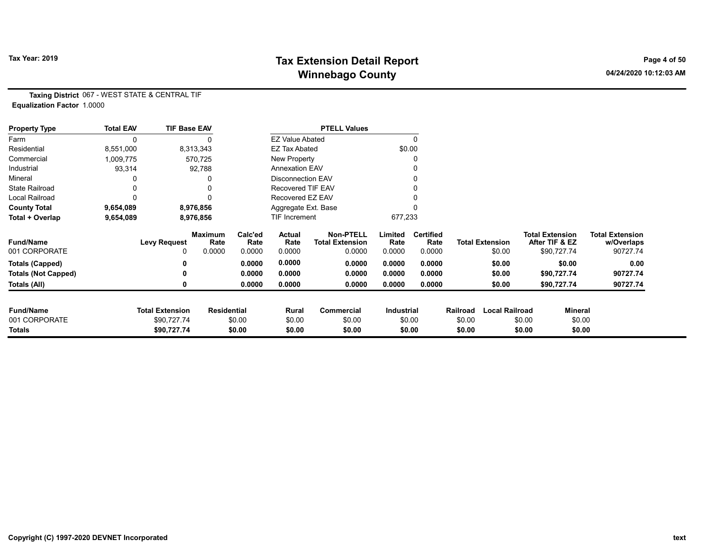# Tax Year: 2019 **Tax Extension Detail Report** Tax Year: 2019 **Page 4 of 50** Winnebago County and the County of the County of the County of the County of the County of the County of the County of the County of the County of the County of the County of the County of the County of the County of the C

Taxing District 067 - WEST STATE & CENTRAL TIF Equalization Factor 1.0000

| <b>Property Type</b>       | <b>Total EAV</b> | <b>TIF Base EAV</b>    |                        |                 |                          | <b>PTELL Values</b>                        |                   |                          |          |                        |                        |                |                                      |
|----------------------------|------------------|------------------------|------------------------|-----------------|--------------------------|--------------------------------------------|-------------------|--------------------------|----------|------------------------|------------------------|----------------|--------------------------------------|
| Farm                       |                  |                        |                        |                 | <b>EZ Value Abated</b>   |                                            |                   |                          |          |                        |                        |                |                                      |
| Residential                | 8,551,000        |                        | 8,313,343              |                 | <b>EZ Tax Abated</b>     |                                            |                   | \$0.00                   |          |                        |                        |                |                                      |
| Commercial                 | 1,009,775        |                        | 570,725                |                 | New Property             |                                            |                   |                          |          |                        |                        |                |                                      |
| Industrial                 | 93,314           |                        | 92,788                 |                 | <b>Annexation EAV</b>    |                                            |                   |                          |          |                        |                        |                |                                      |
| Mineral                    |                  |                        |                        |                 | <b>Disconnection EAV</b> |                                            |                   |                          |          |                        |                        |                |                                      |
| <b>State Railroad</b>      |                  |                        |                        |                 | <b>Recovered TIF EAV</b> |                                            |                   |                          |          |                        |                        |                |                                      |
| <b>Local Railroad</b>      |                  |                        |                        |                 | Recovered EZ EAV         |                                            |                   |                          |          |                        |                        |                |                                      |
| <b>County Total</b>        | 9,654,089        |                        | 8,976,856              |                 | Aggregate Ext. Base      |                                            |                   |                          |          |                        |                        |                |                                      |
| Total + Overlap            | 9,654,089        |                        | 8,976,856              |                 | <b>TIF Increment</b>     |                                            | 677,233           |                          |          |                        |                        |                |                                      |
| <b>Fund/Name</b>           |                  | <b>Levy Request</b>    | <b>Maximum</b><br>Rate | Calc'ed<br>Rate | Actual<br>Rate           | <b>Non-PTELL</b><br><b>Total Extension</b> | Limited<br>Rate   | <b>Certified</b><br>Rate |          | <b>Total Extension</b> | <b>Total Extension</b> | After TIF & EZ | <b>Total Extension</b><br>w/Overlaps |
| 001 CORPORATE              |                  | 0                      | 0.0000                 | 0.0000          | 0.0000                   | 0.0000                                     | 0.0000            | 0.0000                   |          | \$0.00                 |                        | \$90,727.74    | 90727.74                             |
| <b>Totals (Capped)</b>     |                  |                        |                        | 0.0000          | 0.0000                   | 0.0000                                     | 0.0000            | 0.0000                   |          | \$0.00                 |                        | \$0.00         | 0.00                                 |
| <b>Totals (Not Capped)</b> |                  |                        |                        | 0.0000          | 0.0000                   | 0.0000                                     | 0.0000            | 0.0000                   |          | \$0.00                 |                        | \$90,727.74    | 90727.74                             |
| Totals (All)               |                  |                        |                        | 0.0000          | 0.0000                   | 0.0000                                     | 0.0000            | 0.0000                   |          | \$0.00                 |                        | \$90,727.74    | 90727.74                             |
| <b>Fund/Name</b>           |                  | <b>Total Extension</b> | <b>Residential</b>     |                 | Rural                    | <b>Commercial</b>                          | <b>Industrial</b> |                          | Railroad | <b>Local Railroad</b>  |                        | Mineral        |                                      |
| 001 CORPORATE              |                  | \$90,727.74            |                        | \$0.00          | \$0.00                   | \$0.00                                     |                   | \$0.00                   | \$0.00   |                        | \$0.00                 | \$0.00         |                                      |
| Totals                     |                  | \$90,727.74            |                        | \$0.00          | \$0.00                   | \$0.00                                     |                   | \$0.00                   | \$0.00   |                        | \$0.00                 | \$0.00         |                                      |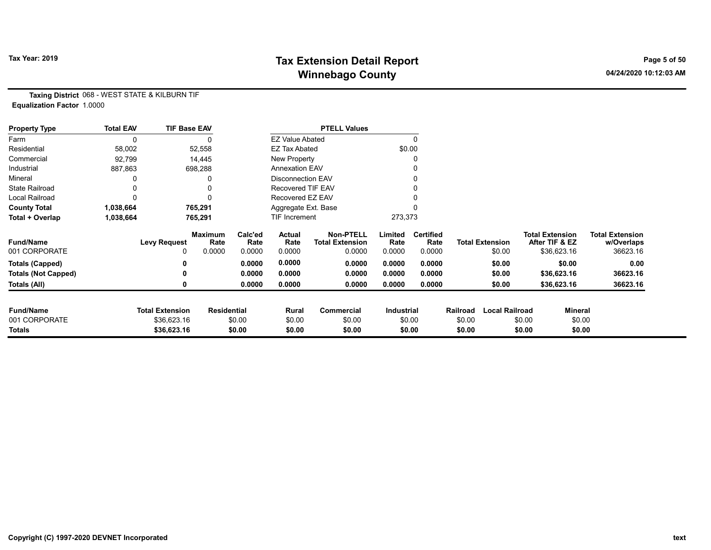# Tax Year: 2019 **Tax Extension Detail Report** Tax Year: 2019 **Page 5 of 50** Winnebago County and the County of the County of the County of the County of the County of the County of the County of the County of the County of the County of the County of the County of the County of the County of the C

Taxing District 068 - WEST STATE & KILBURN TIF Equalization Factor 1.0000

| <b>Property Type</b>       | <b>Total EAV</b> | <b>TIF Base EAV</b>    |                        |                 |                          | <b>PTELL Values</b>                        |                   |                          |          |                        |                                          |                |                                      |
|----------------------------|------------------|------------------------|------------------------|-----------------|--------------------------|--------------------------------------------|-------------------|--------------------------|----------|------------------------|------------------------------------------|----------------|--------------------------------------|
| Farm                       |                  |                        |                        |                 | <b>EZ Value Abated</b>   |                                            |                   |                          |          |                        |                                          |                |                                      |
| Residential                | 58,002           |                        | 52,558                 |                 | <b>EZ Tax Abated</b>     |                                            | \$0.00            |                          |          |                        |                                          |                |                                      |
| Commercial                 | 92,799           |                        | 14,445                 |                 | New Property             |                                            |                   |                          |          |                        |                                          |                |                                      |
| Industrial                 | 887,863          |                        | 698,288                |                 | <b>Annexation EAV</b>    |                                            |                   |                          |          |                        |                                          |                |                                      |
| Mineral                    |                  |                        |                        |                 | <b>Disconnection EAV</b> |                                            |                   |                          |          |                        |                                          |                |                                      |
| <b>State Railroad</b>      |                  |                        |                        |                 | <b>Recovered TIF EAV</b> |                                            |                   |                          |          |                        |                                          |                |                                      |
| Local Railroad             |                  |                        |                        |                 | Recovered EZ EAV         |                                            |                   |                          |          |                        |                                          |                |                                      |
| <b>County Total</b>        | 1,038,664        |                        | 765,291                |                 | Aggregate Ext. Base      |                                            |                   |                          |          |                        |                                          |                |                                      |
| Total + Overlap            | 1,038,664        |                        | 765,291                |                 | <b>TIF Increment</b>     |                                            | 273,373           |                          |          |                        |                                          |                |                                      |
| <b>Fund/Name</b>           |                  | <b>Levy Request</b>    | <b>Maximum</b><br>Rate | Calc'ed<br>Rate | Actual<br>Rate           | <b>Non-PTELL</b><br><b>Total Extension</b> | Limited<br>Rate   | <b>Certified</b><br>Rate |          | <b>Total Extension</b> | <b>Total Extension</b><br>After TIF & EZ |                | <b>Total Extension</b><br>w/Overlaps |
| 001 CORPORATE              |                  | 0                      | 0.0000                 | 0.0000          | 0.0000                   | 0.0000                                     | 0.0000            | 0.0000                   |          | \$0.00                 | \$36,623.16                              |                | 36623.16                             |
| <b>Totals (Capped)</b>     |                  |                        |                        | 0.0000          | 0.0000                   | 0.0000                                     | 0.0000            | 0.0000                   |          | \$0.00                 |                                          | \$0.00         | 0.00                                 |
| <b>Totals (Not Capped)</b> |                  |                        |                        | 0.0000          | 0.0000                   | 0.0000                                     | 0.0000            | 0.0000                   |          | \$0.00                 | \$36,623.16                              |                | 36623.16                             |
| Totals (All)               |                  |                        |                        | 0.0000          | 0.0000                   | 0.0000                                     | 0.0000            | 0.0000                   |          | \$0.00                 | \$36,623.16                              |                | 36623.16                             |
| <b>Fund/Name</b>           |                  | <b>Total Extension</b> | <b>Residential</b>     |                 | Rural                    | Commercial                                 | <b>Industrial</b> |                          | Railroad | <b>Local Railroad</b>  |                                          | <b>Mineral</b> |                                      |
| 001 CORPORATE              |                  | \$36,623.16            |                        | \$0.00          | \$0.00                   | \$0.00                                     |                   | \$0.00                   | \$0.00   |                        | \$0.00                                   | \$0.00         |                                      |
| Totals                     |                  | \$36,623.16            |                        | \$0.00          | \$0.00                   | \$0.00                                     |                   | \$0.00                   | \$0.00   |                        | \$0.00                                   | \$0.00         |                                      |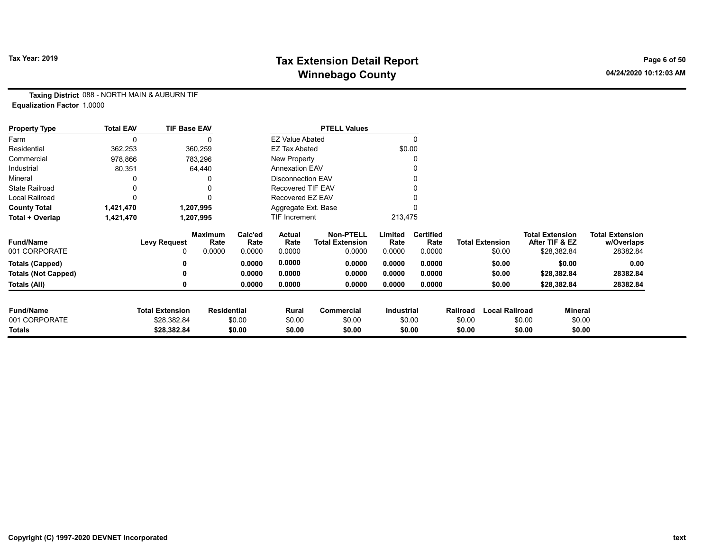# Tax Year: 2019 **Tax Extension Detail Report** Tax Year: 2019 **Page 6 of 50** Winnebago County and the County of the County of the County of the County of the County of the County of the County of the County of the County of the County of the County of the County of the County of the County of the C

Taxing District 088 - NORTH MAIN & AUBURN TIF Equalization Factor 1.0000

| <b>Property Type</b>       | <b>Total EAV</b> | <b>TIF Base EAV</b>    |                        |                 |                        | <b>PTELL Values</b>                        |                   |                          |          |                        |                        |                |                                      |
|----------------------------|------------------|------------------------|------------------------|-----------------|------------------------|--------------------------------------------|-------------------|--------------------------|----------|------------------------|------------------------|----------------|--------------------------------------|
| Farm                       |                  |                        |                        |                 | <b>EZ Value Abated</b> |                                            |                   | $\Omega$                 |          |                        |                        |                |                                      |
| Residential                | 362,253          |                        | 360,259                |                 | <b>EZ Tax Abated</b>   |                                            |                   | \$0.00                   |          |                        |                        |                |                                      |
| Commercial                 | 978,866          |                        | 783,296                |                 | New Property           |                                            |                   |                          |          |                        |                        |                |                                      |
| Industrial                 | 80,351           |                        | 64,440                 |                 | <b>Annexation EAV</b>  |                                            |                   |                          |          |                        |                        |                |                                      |
| Mineral                    |                  |                        |                        |                 | Disconnection EAV      |                                            |                   |                          |          |                        |                        |                |                                      |
| <b>State Railroad</b>      |                  |                        |                        |                 | Recovered TIF EAV      |                                            |                   |                          |          |                        |                        |                |                                      |
| <b>Local Railroad</b>      |                  |                        |                        |                 | Recovered EZ EAV       |                                            |                   |                          |          |                        |                        |                |                                      |
| <b>County Total</b>        | 1,421,470        |                        | 1,207,995              |                 | Aggregate Ext. Base    |                                            |                   |                          |          |                        |                        |                |                                      |
| Total + Overlap            | 1,421,470        |                        | 1,207,995              |                 | <b>TIF Increment</b>   |                                            | 213,475           |                          |          |                        |                        |                |                                      |
| <b>Fund/Name</b>           |                  | <b>Levy Request</b>    | <b>Maximum</b><br>Rate | Calc'ed<br>Rate | Actual<br>Rate         | <b>Non-PTELL</b><br><b>Total Extension</b> | Limited<br>Rate   | <b>Certified</b><br>Rate |          | <b>Total Extension</b> | <b>Total Extension</b> | After TIF & EZ | <b>Total Extension</b><br>w/Overlaps |
| 001 CORPORATE              |                  | 0                      | 0.0000                 | 0.0000          | 0.0000                 | 0.0000                                     | 0.0000            | 0.0000                   |          | \$0.00                 |                        | \$28,382.84    | 28382.84                             |
| <b>Totals (Capped)</b>     |                  |                        |                        | 0.0000          | 0.0000                 | 0.0000                                     | 0.0000            | 0.0000                   |          | \$0.00                 |                        | \$0.00         | 0.00                                 |
| <b>Totals (Not Capped)</b> |                  |                        |                        | 0.0000          | 0.0000                 | 0.0000                                     | 0.0000            | 0.0000                   |          | \$0.00                 |                        | \$28,382.84    | 28382.84                             |
| Totals (All)               |                  | 0                      |                        | 0.0000          | 0.0000                 | 0.0000                                     | 0.0000            | 0.0000                   |          | \$0.00                 |                        | \$28,382.84    | 28382.84                             |
| <b>Fund/Name</b>           |                  | <b>Total Extension</b> | <b>Residential</b>     |                 | Rural                  | Commercial                                 | <b>Industrial</b> |                          | Railroad | <b>Local Railroad</b>  |                        | Mineral        |                                      |
| 001 CORPORATE              |                  | \$28,382.84            |                        | \$0.00          | \$0.00                 | \$0.00                                     |                   | \$0.00                   | \$0.00   |                        | \$0.00                 | \$0.00         |                                      |
| Totals                     |                  | \$28,382.84            |                        | \$0.00          | \$0.00                 | \$0.00                                     |                   | \$0.00                   | \$0.00   |                        | \$0.00                 | \$0.00         |                                      |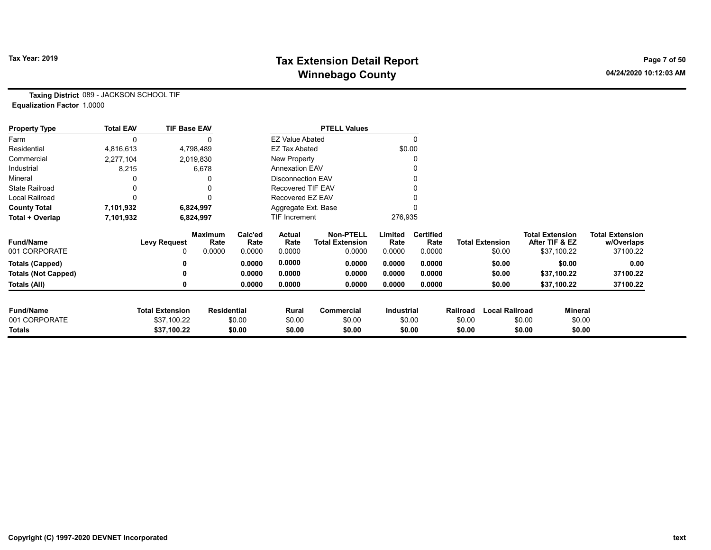# Tax Year: 2019 **Tax Extension Detail Report** Tax Year: 2019 **Page 7 of 50** Winnebago County and the County of the County of the County of the County of the County of the County of the County of the County of the County of the County of the County of the County of the County of the County of the C

Taxing District 089 - JACKSON SCHOOL TIF Equalization Factor 1.0000

| <b>Property Type</b>       | <b>Total EAV</b> | <b>TIF Base EAV</b>    |                        |                 |                          | <b>PTELL Values</b>                        |                   |                          |          |                        |                                          |             |                                      |
|----------------------------|------------------|------------------------|------------------------|-----------------|--------------------------|--------------------------------------------|-------------------|--------------------------|----------|------------------------|------------------------------------------|-------------|--------------------------------------|
| Farm                       |                  |                        |                        |                 | <b>EZ Value Abated</b>   |                                            |                   | $\Omega$                 |          |                        |                                          |             |                                      |
| Residential                | 4,816,613        |                        | 4,798,489              |                 | <b>EZ Tax Abated</b>     |                                            |                   | \$0.00                   |          |                        |                                          |             |                                      |
| Commercial                 | 2,277,104        |                        | 2,019,830              |                 | New Property             |                                            |                   | 0                        |          |                        |                                          |             |                                      |
| Industrial                 | 8,215            |                        | 6,678                  |                 | <b>Annexation EAV</b>    |                                            |                   |                          |          |                        |                                          |             |                                      |
| Mineral                    |                  |                        |                        |                 | <b>Disconnection EAV</b> |                                            |                   |                          |          |                        |                                          |             |                                      |
| <b>State Railroad</b>      |                  |                        |                        |                 | Recovered TIF EAV        |                                            |                   |                          |          |                        |                                          |             |                                      |
| <b>Local Railroad</b>      |                  |                        |                        |                 | Recovered EZ EAV         |                                            |                   |                          |          |                        |                                          |             |                                      |
| <b>County Total</b>        | 7,101,932        |                        | 6,824,997              |                 | Aggregate Ext. Base      |                                            |                   |                          |          |                        |                                          |             |                                      |
| Total + Overlap            | 7,101,932        |                        | 6,824,997              |                 | TIF Increment            |                                            | 276,935           |                          |          |                        |                                          |             |                                      |
| <b>Fund/Name</b>           |                  | <b>Levy Request</b>    | <b>Maximum</b><br>Rate | Calc'ed<br>Rate | <b>Actual</b><br>Rate    | <b>Non-PTELL</b><br><b>Total Extension</b> | Limited<br>Rate   | <b>Certified</b><br>Rate |          | <b>Total Extension</b> | <b>Total Extension</b><br>After TIF & EZ |             | <b>Total Extension</b><br>w/Overlaps |
| 001 CORPORATE              |                  | ი                      | 0.0000                 | 0.0000          | 0.0000                   | 0.0000                                     | 0.0000            | 0.0000                   |          | \$0.00                 |                                          | \$37,100.22 | 37100.22                             |
| <b>Totals (Capped)</b>     |                  |                        |                        | 0.0000          | 0.0000                   | 0.0000                                     | 0.0000            | 0.0000                   |          | \$0.00                 |                                          | \$0.00      | 0.00                                 |
| <b>Totals (Not Capped)</b> |                  |                        |                        | 0.0000          | 0.0000                   | 0.0000                                     | 0.0000            | 0.0000                   |          | \$0.00                 |                                          | \$37,100.22 | 37100.22                             |
| Totals (All)               |                  |                        |                        | 0.0000          | 0.0000                   | 0.0000                                     | 0.0000            | 0.0000                   |          | \$0.00                 |                                          | \$37,100.22 | 37100.22                             |
|                            |                  |                        |                        |                 |                          |                                            |                   |                          |          |                        |                                          |             |                                      |
| <b>Fund/Name</b>           |                  | <b>Total Extension</b> | <b>Residential</b>     |                 | Rural                    | Commercial                                 | <b>Industrial</b> |                          | Railroad | <b>Local Railroad</b>  |                                          | Mineral     |                                      |
| 001 CORPORATE              |                  | \$37,100.22            |                        | \$0.00          | \$0.00                   | \$0.00                                     |                   | \$0.00                   | \$0.00   |                        | \$0.00                                   | \$0.00      |                                      |
| Totals                     |                  | \$37,100.22            |                        | \$0.00          | \$0.00                   | \$0.00                                     |                   | \$0.00                   | \$0.00   |                        | \$0.00                                   | \$0.00      |                                      |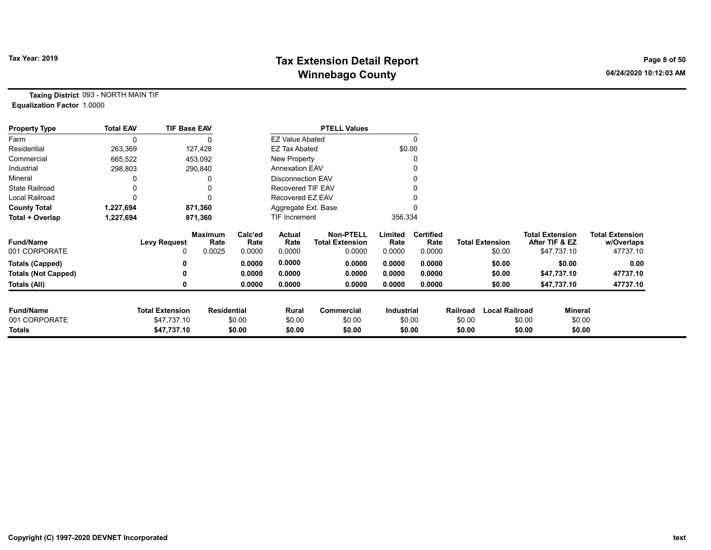# Tax Year: 2019 **Tax Extension Detail Report** Tax Year: 2019 **Page 8 of 50** Winnebago County and the County of the County of the County of the County of the County of the County of the County of the County of the County of the County of the County of the County of the County of the County of the C

Taxing District 093 - NORTH MAIN TIF Equalization Factor 1.0000

| <b>Property Type</b>       | <b>Total EAV</b> | <b>TIF Base EAV</b>    |                        |                 |                          | <b>PTELL Values</b>                        |                   |                          |          |                        |        |                                          |                                      |
|----------------------------|------------------|------------------------|------------------------|-----------------|--------------------------|--------------------------------------------|-------------------|--------------------------|----------|------------------------|--------|------------------------------------------|--------------------------------------|
| Farm                       | $\mathbf{0}$     |                        |                        |                 | <b>EZ Value Abated</b>   |                                            |                   |                          |          |                        |        |                                          |                                      |
| Residential                | 263,369          |                        | 127,428                |                 | <b>EZ Tax Abated</b>     |                                            | \$0.00            |                          |          |                        |        |                                          |                                      |
| Commercial                 | 665,522          |                        | 453,092                |                 | New Property             |                                            |                   |                          |          |                        |        |                                          |                                      |
| Industrial                 | 298,803          |                        | 290,840                |                 | <b>Annexation EAV</b>    |                                            |                   |                          |          |                        |        |                                          |                                      |
| Mineral                    |                  |                        |                        |                 | <b>Disconnection EAV</b> |                                            |                   |                          |          |                        |        |                                          |                                      |
| <b>State Railroad</b>      |                  |                        |                        |                 | Recovered TIF EAV        |                                            |                   |                          |          |                        |        |                                          |                                      |
| Local Railroad             |                  |                        |                        |                 | Recovered EZ EAV         |                                            |                   |                          |          |                        |        |                                          |                                      |
| <b>County Total</b>        | 1,227,694        |                        | 871,360                |                 | Aggregate Ext. Base      |                                            |                   |                          |          |                        |        |                                          |                                      |
| Total + Overlap            | 1,227,694        |                        | 871,360                |                 | <b>TIF Increment</b>     |                                            | 356,334           |                          |          |                        |        |                                          |                                      |
| <b>Fund/Name</b>           |                  | <b>Levy Request</b>    | <b>Maximum</b><br>Rate | Calc'ed<br>Rate | Actual<br>Rate           | <b>Non-PTELL</b><br><b>Total Extension</b> | Limited<br>Rate   | <b>Certified</b><br>Rate |          | <b>Total Extension</b> |        | <b>Total Extension</b><br>After TIF & EZ | <b>Total Extension</b><br>w/Overlaps |
| 001 CORPORATE              |                  | 0                      | 0.0025                 | 0.0000          | 0.0000                   | 0.0000                                     | 0.0000            | 0.0000                   |          | \$0.00                 |        | \$47,737.10                              | 47737.10                             |
| <b>Totals (Capped)</b>     |                  |                        |                        | 0.0000          | 0.0000                   | 0.0000                                     | 0.0000            | 0.0000                   |          | \$0.00                 |        | \$0.00                                   | 0.00                                 |
| <b>Totals (Not Capped)</b> |                  | 0                      |                        | 0.0000          | 0.0000                   | 0.0000                                     | 0.0000            | 0.0000                   |          | \$0.00                 |        | \$47,737.10                              | 47737.10                             |
| Totals (All)               |                  | 0                      |                        | 0.0000          | 0.0000                   | 0.0000                                     | 0.0000            | 0.0000                   |          | \$0.00                 |        | \$47,737.10                              | 47737.10                             |
|                            |                  |                        |                        |                 |                          |                                            |                   |                          |          |                        |        |                                          |                                      |
| <b>Fund/Name</b>           |                  | <b>Total Extension</b> | <b>Residential</b>     |                 | Rural                    | Commercial                                 | <b>Industrial</b> |                          | Railroad | <b>Local Railroad</b>  |        | Mineral                                  |                                      |
| 001 CORPORATE              |                  | \$47,737.10            |                        | \$0.00          | \$0.00                   | \$0.00                                     |                   | \$0.00                   | \$0.00   |                        | \$0.00 | \$0.00                                   |                                      |
| <b>Totals</b>              |                  | \$47,737.10            |                        | \$0.00          | \$0.00                   | \$0.00                                     |                   | \$0.00                   | \$0.00   |                        | \$0.00 | \$0.00                                   |                                      |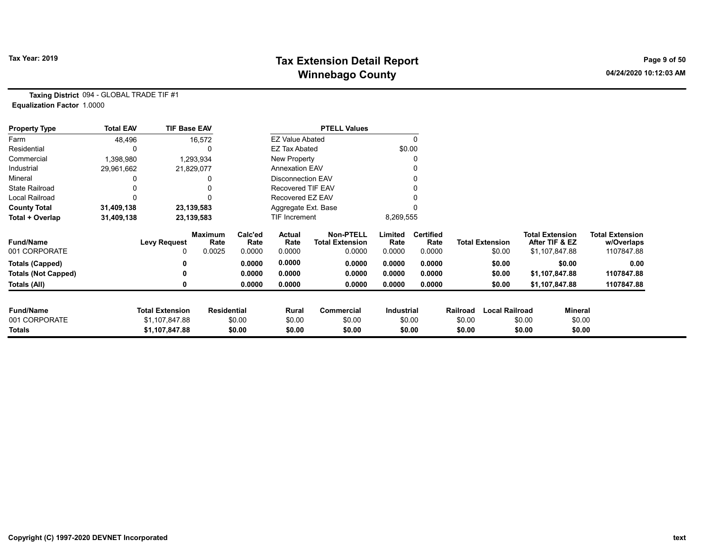# Tax Year: 2019 **Tax Extension Detail Report** Tax Year: 2019 **Page 9 of 50** Winnebago County and the County of the County of the County of the County of the County of the County of the County of the County of the County of the County of the County of the County of the County of the County of the C

Taxing District 094 - GLOBAL TRADE TIF #1 Equalization Factor 1.0000

| <b>Property Type</b>       | <b>Total EAV</b> | <b>TIF Base EAV</b>    |                        |                 |                        | <b>PTELL Values</b>                        |                   |                          |          |                        |                                          |                                      |
|----------------------------|------------------|------------------------|------------------------|-----------------|------------------------|--------------------------------------------|-------------------|--------------------------|----------|------------------------|------------------------------------------|--------------------------------------|
| Farm                       | 48,496           |                        | 16,572                 |                 | <b>EZ Value Abated</b> |                                            |                   | 0                        |          |                        |                                          |                                      |
| Residential                | 0                |                        |                        |                 | <b>EZ Tax Abated</b>   |                                            |                   | \$0.00                   |          |                        |                                          |                                      |
| Commercial                 | 1,398,980        |                        | 1,293,934              |                 | New Property           |                                            |                   |                          |          |                        |                                          |                                      |
| Industrial                 | 29,961,662       |                        | 21,829,077             |                 | <b>Annexation EAV</b>  |                                            |                   |                          |          |                        |                                          |                                      |
| Mineral                    |                  |                        |                        |                 | Disconnection EAV      |                                            |                   |                          |          |                        |                                          |                                      |
| <b>State Railroad</b>      |                  |                        |                        |                 | Recovered TIF EAV      |                                            |                   |                          |          |                        |                                          |                                      |
| Local Railroad             |                  |                        |                        |                 | Recovered EZ EAV       |                                            |                   |                          |          |                        |                                          |                                      |
| <b>County Total</b>        | 31,409,138       |                        | 23,139,583             |                 | Aggregate Ext. Base    |                                            |                   |                          |          |                        |                                          |                                      |
| Total + Overlap            | 31,409,138       |                        | 23,139,583             |                 | TIF Increment          |                                            | 8,269,555         |                          |          |                        |                                          |                                      |
| <b>Fund/Name</b>           |                  | <b>Levy Request</b>    | <b>Maximum</b><br>Rate | Calc'ed<br>Rate | Actual<br>Rate         | <b>Non-PTELL</b><br><b>Total Extension</b> | Limited<br>Rate   | <b>Certified</b><br>Rate |          | <b>Total Extension</b> | <b>Total Extension</b><br>After TIF & EZ | <b>Total Extension</b><br>w/Overlaps |
| 001 CORPORATE              |                  | 0                      | 0.0025                 | 0.0000          | 0.0000                 | 0.0000                                     | 0.0000            | 0.0000                   |          | \$0.00                 | \$1,107,847.88                           | 1107847.88                           |
| <b>Totals (Capped)</b>     |                  |                        |                        | 0.0000          | 0.0000                 | 0.0000                                     | 0.0000            | 0.0000                   |          | \$0.00                 | \$0.00                                   | 0.00                                 |
| <b>Totals (Not Capped)</b> |                  | ŋ                      |                        | 0.0000          | 0.0000                 | 0.0000                                     | 0.0000            | 0.0000                   |          | \$0.00                 | \$1,107,847.88                           | 1107847.88                           |
| Totals (All)               |                  | 0                      |                        | 0.0000          | 0.0000                 | 0.0000                                     | 0.0000            | 0.0000                   |          | \$0.00                 | \$1,107,847.88                           | 1107847.88                           |
|                            |                  |                        |                        |                 |                        |                                            |                   |                          |          |                        |                                          |                                      |
| <b>Fund/Name</b>           |                  | <b>Total Extension</b> | <b>Residential</b>     |                 | Rural                  | <b>Commercial</b>                          | <b>Industrial</b> |                          | Railroad | <b>Local Railroad</b>  |                                          | Mineral                              |
| 001 CORPORATE              |                  | \$1,107,847.88         |                        | \$0.00          | \$0.00                 | \$0.00                                     |                   | \$0.00                   | \$0.00   |                        | \$0.00                                   | \$0.00                               |
| <b>Totals</b>              |                  | \$1,107,847.88         |                        | \$0.00          | \$0.00                 | \$0.00                                     |                   | \$0.00                   | \$0.00   |                        | \$0.00                                   | \$0.00                               |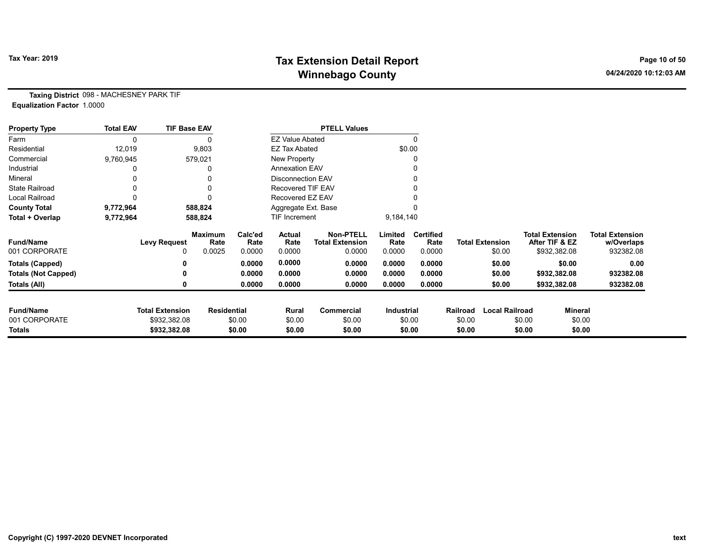# Tax Year: 2019 **Tax Extension Detail Report** Tax Year: 2019 **Page 10 of 50** Winnebago County and the County of the County of the County of the County of the County of the County of the County of the County of the County of the County of the County of the County of the County of the County of the C

Taxing District 098 - MACHESNEY PARK TIF Equalization Factor 1.0000

| <b>Property Type</b>       | <b>Total EAV</b> | <b>TIF Base EAV</b>    |                        |                 |                        | <b>PTELL Values</b>                        |                   |                          |          |                        |                                          |         |                                      |
|----------------------------|------------------|------------------------|------------------------|-----------------|------------------------|--------------------------------------------|-------------------|--------------------------|----------|------------------------|------------------------------------------|---------|--------------------------------------|
| Farm                       | 0                |                        |                        |                 | <b>EZ Value Abated</b> |                                            |                   | 0                        |          |                        |                                          |         |                                      |
| Residential                | 12,019           |                        | 9,803                  |                 | <b>EZ Tax Abated</b>   |                                            | \$0.00            |                          |          |                        |                                          |         |                                      |
| Commercial                 | 9,760,945        |                        | 579,021                |                 | New Property           |                                            |                   | 0                        |          |                        |                                          |         |                                      |
| Industrial                 |                  |                        |                        |                 | <b>Annexation EAV</b>  |                                            |                   |                          |          |                        |                                          |         |                                      |
| Mineral                    |                  |                        | 0                      |                 | Disconnection EAV      |                                            |                   | 0                        |          |                        |                                          |         |                                      |
| <b>State Railroad</b>      |                  |                        | 0                      |                 | Recovered TIF EAV      |                                            |                   |                          |          |                        |                                          |         |                                      |
| <b>Local Railroad</b>      |                  |                        | 0                      |                 | Recovered EZ EAV       |                                            |                   |                          |          |                        |                                          |         |                                      |
| <b>County Total</b>        | 9,772,964        |                        | 588,824                |                 | Aggregate Ext. Base    |                                            |                   |                          |          |                        |                                          |         |                                      |
| Total + Overlap            | 9,772,964        |                        | 588,824                |                 | TIF Increment          |                                            | 9,184,140         |                          |          |                        |                                          |         |                                      |
| <b>Fund/Name</b>           |                  | <b>Levy Request</b>    | <b>Maximum</b><br>Rate | Calc'ed<br>Rate | <b>Actual</b><br>Rate  | <b>Non-PTELL</b><br><b>Total Extension</b> | Limited<br>Rate   | <b>Certified</b><br>Rate |          | <b>Total Extension</b> | <b>Total Extension</b><br>After TIF & EZ |         | <b>Total Extension</b><br>w/Overlaps |
| 001 CORPORATE              |                  | 0                      | 0.0025                 | 0.0000          | 0.0000                 | 0.0000                                     | 0.0000            | 0.0000                   |          | \$0.00                 | \$932,382.08                             |         | 932382.08                            |
| <b>Totals (Capped)</b>     |                  |                        |                        | 0.0000          | 0.0000                 | 0.0000                                     | 0.0000            | 0.0000                   |          | \$0.00                 |                                          | \$0.00  | 0.00                                 |
| <b>Totals (Not Capped)</b> |                  |                        |                        | 0.0000          | 0.0000                 | 0.0000                                     | 0.0000            | 0.0000                   |          | \$0.00                 | \$932,382.08                             |         | 932382.08                            |
| Totals (All)               |                  |                        |                        | 0.0000          | 0.0000                 | 0.0000                                     | 0.0000            | 0.0000                   |          | \$0.00                 | \$932,382.08                             |         | 932382.08                            |
| <b>Fund/Name</b>           |                  | <b>Total Extension</b> | <b>Residential</b>     |                 | Rural                  | Commercial                                 | <b>Industrial</b> |                          | Railroad | <b>Local Railroad</b>  |                                          | Mineral |                                      |
| 001 CORPORATE              |                  | \$932,382.08           |                        | \$0.00          | \$0.00                 | \$0.00                                     |                   | \$0.00                   | \$0.00   |                        | \$0.00                                   | \$0.00  |                                      |
| Totals                     |                  | \$932,382.08           |                        | \$0.00          | \$0.00                 | \$0.00                                     |                   | \$0.00                   | \$0.00   |                        | \$0.00                                   | \$0.00  |                                      |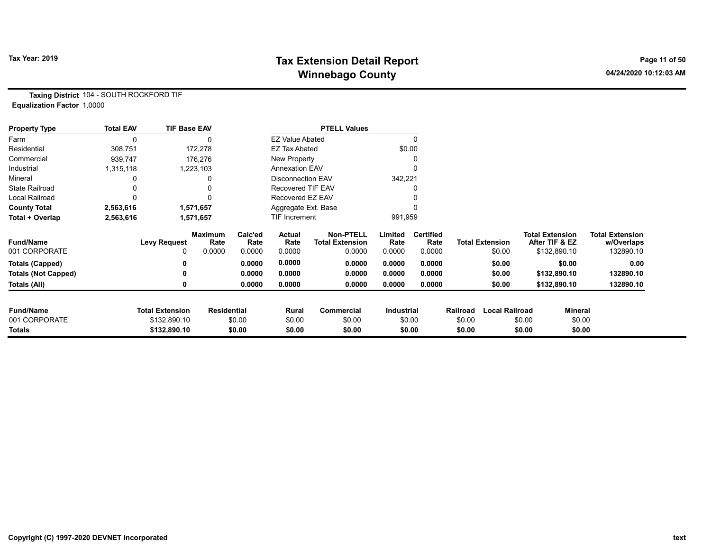# Tax Year: 2019 **Tax Extension Detail Report** Tax Year: 2019 **Page 11 of 50** Winnebago County and the County of the County of the County of the County of the County of the County of the County of the County of the County of the County of the County of the County of the County of the County of the C

Taxing District 104 - SOUTH ROCKFORD TIF Equalization Factor 1.0000

| <b>Property Type</b>       | <b>Total EAV</b> | <b>TIF Base EAV</b>    |                        |                 |                          | <b>PTELL Values</b>                        |                 |                          |          |                        |                        |                |                                      |
|----------------------------|------------------|------------------------|------------------------|-----------------|--------------------------|--------------------------------------------|-----------------|--------------------------|----------|------------------------|------------------------|----------------|--------------------------------------|
| Farm                       | $\Omega$         |                        |                        |                 | <b>EZ Value Abated</b>   |                                            |                 | 0                        |          |                        |                        |                |                                      |
| Residential                | 308,751          |                        | 172,278                |                 | EZ Tax Abated            |                                            | \$0.00          |                          |          |                        |                        |                |                                      |
| Commercial                 | 939,747          |                        | 176,276                |                 | New Property             |                                            |                 |                          |          |                        |                        |                |                                      |
| Industrial                 | 1,315,118        |                        | 1,223,103              |                 | <b>Annexation EAV</b>    |                                            |                 |                          |          |                        |                        |                |                                      |
| Mineral                    |                  |                        |                        |                 | <b>Disconnection EAV</b> |                                            | 342,221         |                          |          |                        |                        |                |                                      |
| <b>State Railroad</b>      |                  |                        |                        |                 | <b>Recovered TIF EAV</b> |                                            |                 |                          |          |                        |                        |                |                                      |
| <b>Local Railroad</b>      | 0                |                        |                        |                 | Recovered EZ EAV         |                                            |                 |                          |          |                        |                        |                |                                      |
| <b>County Total</b>        | 2,563,616        |                        | 1,571,657              |                 | Aggregate Ext. Base      |                                            |                 |                          |          |                        |                        |                |                                      |
| Total + Overlap            | 2,563,616        |                        | 1,571,657              |                 | TIF Increment            |                                            | 991,959         |                          |          |                        |                        |                |                                      |
| <b>Fund/Name</b>           |                  | <b>Levy Request</b>    | <b>Maximum</b><br>Rate | Calc'ed<br>Rate | Actual<br>Rate           | <b>Non-PTELL</b><br><b>Total Extension</b> | Limited<br>Rate | <b>Certified</b><br>Rate |          | <b>Total Extension</b> | <b>Total Extension</b> | After TIF & EZ | <b>Total Extension</b><br>w/Overlaps |
| 001 CORPORATE              |                  | 0                      | 0.0000                 | 0.0000          | 0.0000                   | 0.0000                                     | 0.0000          | 0.0000                   |          | \$0.00                 |                        | \$132,890.10   | 132890.10                            |
| Totals (Capped)            |                  | 0                      |                        | 0.0000          | 0.0000                   | 0.0000                                     | 0.0000          | 0.0000                   |          | \$0.00                 |                        | \$0.00         | 0.00                                 |
| <b>Totals (Not Capped)</b> |                  | 0                      |                        | 0.0000          | 0.0000                   | 0.0000                                     | 0.0000          | 0.0000                   |          | \$0.00                 |                        | \$132,890.10   | 132890.10                            |
| Totals (All)               |                  | 0                      |                        | 0.0000          | 0.0000                   | 0.0000                                     | 0.0000          | 0.0000                   |          | \$0.00                 |                        | \$132,890.10   | 132890.10                            |
| <b>Fund/Name</b>           |                  | <b>Total Extension</b> | <b>Residential</b>     |                 | Rural                    | Commercial                                 | Industrial      |                          | Railroad | <b>Local Railroad</b>  |                        | Mineral        |                                      |
| 001 CORPORATE              |                  | \$132,890.10           |                        | \$0.00          | \$0.00                   | \$0.00                                     |                 | \$0.00                   | \$0.00   |                        | \$0.00                 | \$0.00         |                                      |
| <b>Totals</b>              |                  | \$132,890.10           |                        | \$0.00          | \$0.00                   | \$0.00                                     |                 | \$0.00                   | \$0.00   |                        | \$0.00                 | \$0.00         |                                      |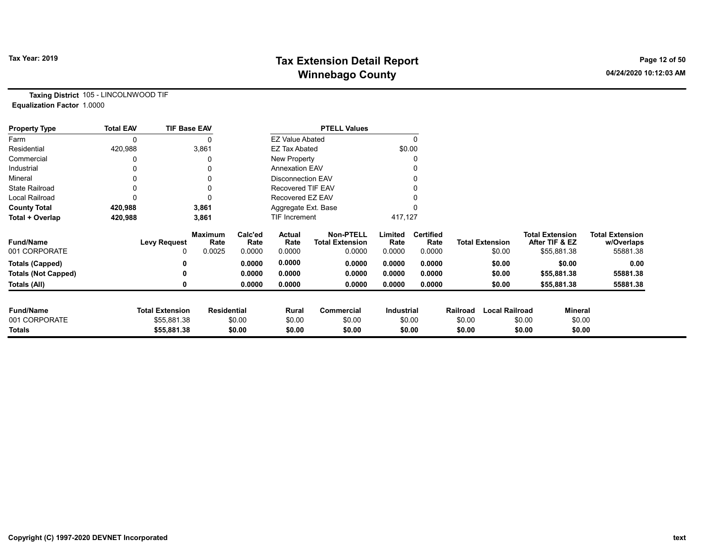# Tax Year: 2019 **Tax Extension Detail Report** Tax Year: 2019 **Page 12 of 50** Winnebago County and the County of the County of the County of the County of the County of the County of the County of the County of the County of the County of the County of the County of the County of the County of the C

Taxing District 105 - LINCOLNWOOD TIF Equalization Factor 1.0000

| <b>Property Type</b>       | <b>Total EAV</b> | <b>TIF Base EAV</b>    |                        |                 |                          | <b>PTELL Values</b>                        |                   |                          |          |                        |                        |                |                                      |
|----------------------------|------------------|------------------------|------------------------|-----------------|--------------------------|--------------------------------------------|-------------------|--------------------------|----------|------------------------|------------------------|----------------|--------------------------------------|
| Farm                       | 0                |                        |                        |                 | <b>EZ Value Abated</b>   |                                            |                   |                          |          |                        |                        |                |                                      |
| Residential                | 420,988          |                        | 3,861                  |                 | <b>EZ Tax Abated</b>     |                                            | \$0.00            |                          |          |                        |                        |                |                                      |
| Commercial                 |                  |                        |                        |                 | New Property             |                                            |                   |                          |          |                        |                        |                |                                      |
| Industrial                 |                  |                        |                        |                 | <b>Annexation EAV</b>    |                                            |                   |                          |          |                        |                        |                |                                      |
| Mineral                    |                  |                        |                        |                 | Disconnection EAV        |                                            |                   |                          |          |                        |                        |                |                                      |
| <b>State Railroad</b>      |                  |                        |                        |                 | <b>Recovered TIF EAV</b> |                                            |                   |                          |          |                        |                        |                |                                      |
| <b>Local Railroad</b>      |                  |                        |                        |                 | Recovered EZ EAV         |                                            |                   |                          |          |                        |                        |                |                                      |
| <b>County Total</b>        | 420,988          |                        | 3,861                  |                 | Aggregate Ext. Base      |                                            |                   |                          |          |                        |                        |                |                                      |
| Total + Overlap            | 420,988          |                        | 3,861                  |                 | TIF Increment            |                                            | 417,127           |                          |          |                        |                        |                |                                      |
| <b>Fund/Name</b>           |                  | <b>Levy Request</b>    | <b>Maximum</b><br>Rate | Calc'ed<br>Rate | Actual<br>Rate           | <b>Non-PTELL</b><br><b>Total Extension</b> | Limited<br>Rate   | <b>Certified</b><br>Rate |          | <b>Total Extension</b> | <b>Total Extension</b> | After TIF & EZ | <b>Total Extension</b><br>w/Overlaps |
| 001 CORPORATE              |                  | 0                      | 0.0025                 | 0.0000          | 0.0000                   | 0.0000                                     | 0.0000            | 0.0000                   |          | \$0.00                 |                        | \$55,881.38    | 55881.38                             |
| <b>Totals (Capped)</b>     |                  |                        |                        | 0.0000          | 0.0000                   | 0.0000                                     | 0.0000            | 0.0000                   |          | \$0.00                 |                        | \$0.00         | 0.00                                 |
| <b>Totals (Not Capped)</b> |                  |                        |                        | 0.0000          | 0.0000                   | 0.0000                                     | 0.0000            | 0.0000                   |          | \$0.00                 |                        | \$55,881.38    | 55881.38                             |
| Totals (All)               |                  |                        |                        | 0.0000          | 0.0000                   | 0.0000                                     | 0.0000            | 0.0000                   |          | \$0.00                 |                        | \$55,881.38    | 55881.38                             |
| <b>Fund/Name</b>           |                  | <b>Total Extension</b> | <b>Residential</b>     |                 | Rural                    | Commercial                                 | <b>Industrial</b> |                          | Railroad | <b>Local Railroad</b>  |                        | Mineral        |                                      |
| 001 CORPORATE              |                  | \$55,881.38            |                        | \$0.00          | \$0.00                   | \$0.00                                     |                   | \$0.00                   | \$0.00   |                        | \$0.00                 | \$0.00         |                                      |
| Totals                     |                  | \$55,881.38            |                        | \$0.00          | \$0.00                   | \$0.00                                     |                   | \$0.00                   | \$0.00   |                        | \$0.00                 | \$0.00         |                                      |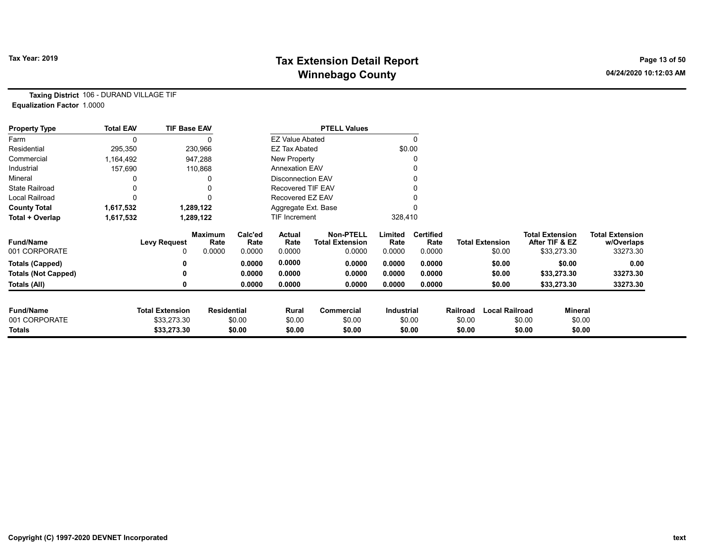# Tax Year: 2019 **Tax Extension Detail Report** Tax Year: 2019 **Page 13 of 50** Winnebago County and the County of the County of the County of the County of the County of the County of the County of the County of the County of the County of the County of the County of the County of the County of the C

Taxing District 106 - DURAND VILLAGE TIF Equalization Factor 1.0000

| <b>Property Type</b>       | <b>Total EAV</b> | <b>TIF Base EAV</b>    |                    |                 |                          | <b>PTELL Values</b>                        |                   |                          |          |                        |        |                                          |                                      |
|----------------------------|------------------|------------------------|--------------------|-----------------|--------------------------|--------------------------------------------|-------------------|--------------------------|----------|------------------------|--------|------------------------------------------|--------------------------------------|
| Farm                       |                  |                        |                    |                 | <b>EZ Value Abated</b>   |                                            |                   | $\Omega$                 |          |                        |        |                                          |                                      |
| Residential                | 295,350          |                        | 230,966            |                 | <b>EZ Tax Abated</b>     |                                            | \$0.00            |                          |          |                        |        |                                          |                                      |
| Commercial                 | 1,164,492        |                        | 947,288            |                 | <b>New Property</b>      |                                            |                   |                          |          |                        |        |                                          |                                      |
| Industrial                 | 157,690          |                        | 110,868            |                 | <b>Annexation EAV</b>    |                                            |                   |                          |          |                        |        |                                          |                                      |
| Mineral                    |                  |                        | 0                  |                 | <b>Disconnection EAV</b> |                                            |                   |                          |          |                        |        |                                          |                                      |
| <b>State Railroad</b>      |                  |                        | 0                  |                 | Recovered TIF EAV        |                                            |                   |                          |          |                        |        |                                          |                                      |
| Local Railroad             |                  |                        | n                  |                 | Recovered EZ EAV         |                                            |                   |                          |          |                        |        |                                          |                                      |
| <b>County Total</b>        | 1,617,532        |                        | 1,289,122          |                 | Aggregate Ext. Base      |                                            |                   |                          |          |                        |        |                                          |                                      |
| Total + Overlap            | 1,617,532        |                        | 1,289,122          |                 | TIF Increment            |                                            | 328,410           |                          |          |                        |        |                                          |                                      |
| <b>Fund/Name</b>           |                  | <b>Levy Request</b>    | Maximum<br>Rate    | Calc'ed<br>Rate | <b>Actual</b><br>Rate    | <b>Non-PTELL</b><br><b>Total Extension</b> | Limited<br>Rate   | <b>Certified</b><br>Rate |          | <b>Total Extension</b> |        | <b>Total Extension</b><br>After TIF & EZ | <b>Total Extension</b><br>w/Overlaps |
| 001 CORPORATE              |                  | 0                      | 0.0000             | 0.0000          | 0.0000                   | 0.0000                                     | 0.0000            | 0.0000                   |          | \$0.00                 |        | \$33,273.30                              | 33273.30                             |
| <b>Totals (Capped)</b>     |                  | 0                      |                    | 0.0000          | 0.0000                   | 0.0000                                     | 0.0000            | 0.0000                   |          | \$0.00                 |        | \$0.00                                   | 0.00                                 |
| <b>Totals (Not Capped)</b> |                  |                        |                    | 0.0000          | 0.0000                   | 0.0000                                     | 0.0000            | 0.0000                   |          | \$0.00                 |        | \$33,273.30                              | 33273.30                             |
| Totals (All)               |                  |                        |                    | 0.0000          | 0.0000                   | 0.0000                                     | 0.0000            | 0.0000                   |          | \$0.00                 |        | \$33,273.30                              | 33273.30                             |
| <b>Fund/Name</b>           |                  | <b>Total Extension</b> | <b>Residential</b> |                 | Rural                    | Commercial                                 | <b>Industrial</b> |                          | Railroad | <b>Local Railroad</b>  |        | <b>Mineral</b>                           |                                      |
| 001 CORPORATE              |                  | \$33,273.30            |                    | \$0.00          | \$0.00                   | \$0.00                                     |                   | \$0.00                   | \$0.00   |                        | \$0.00 | \$0.00                                   |                                      |
| Totals                     |                  | \$33,273.30            |                    | \$0.00          | \$0.00                   | \$0.00                                     |                   | \$0.00                   | \$0.00   |                        | \$0.00 | \$0.00                                   |                                      |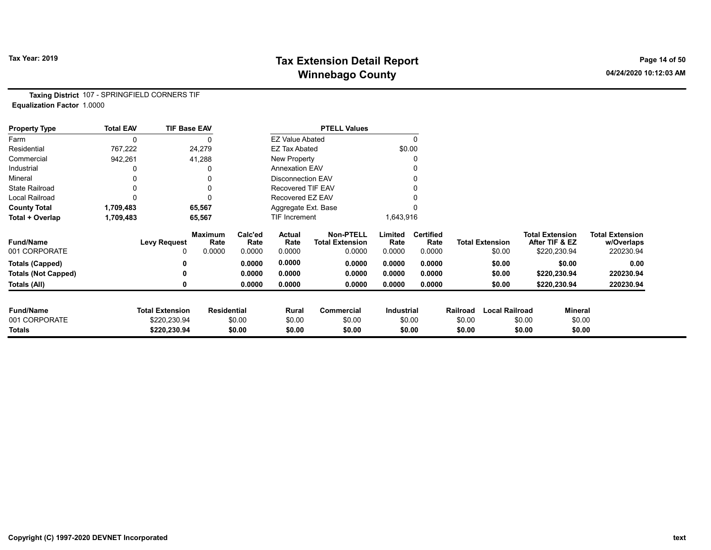# Tax Year: 2019 **Tax Extension Detail Report** Tax Year: 2019 **Page 14 of 50** Winnebago County and the County of the County of the County of the County of the County of the County of the County of the County of the County of the County of the County of the County of the County of the County of the C

Taxing District 107 - SPRINGFIELD CORNERS TIF Equalization Factor 1.0000

| <b>Property Type</b>       | <b>Total EAV</b> | <b>TIF Base EAV</b>    |                        |                 |                          | <b>PTELL Values</b>                        |                 |                          |          |                        |        |                                          |                                      |
|----------------------------|------------------|------------------------|------------------------|-----------------|--------------------------|--------------------------------------------|-----------------|--------------------------|----------|------------------------|--------|------------------------------------------|--------------------------------------|
| Farm                       | 0                |                        | 0                      |                 | <b>EZ Value Abated</b>   |                                            |                 | $\mathbf{0}$             |          |                        |        |                                          |                                      |
| Residential                | 767,222          |                        | 24,279                 |                 | <b>EZ Tax Abated</b>     |                                            |                 | \$0.00                   |          |                        |        |                                          |                                      |
| Commercial                 | 942,261          |                        | 41,288                 |                 | New Property             |                                            |                 | 0                        |          |                        |        |                                          |                                      |
| Industrial                 |                  |                        | 0                      |                 | <b>Annexation EAV</b>    |                                            |                 |                          |          |                        |        |                                          |                                      |
| Mineral                    |                  |                        | 0                      |                 | <b>Disconnection EAV</b> |                                            |                 | 0                        |          |                        |        |                                          |                                      |
| <b>State Railroad</b>      |                  |                        | 0                      |                 | <b>Recovered TIF EAV</b> |                                            |                 |                          |          |                        |        |                                          |                                      |
| Local Railroad             |                  |                        | 0                      |                 | Recovered EZ EAV         |                                            |                 |                          |          |                        |        |                                          |                                      |
| <b>County Total</b>        | 1,709,483        |                        | 65,567                 |                 | Aggregate Ext. Base      |                                            |                 |                          |          |                        |        |                                          |                                      |
| Total + Overlap            | 1,709,483        |                        | 65,567                 |                 | <b>TIF Increment</b>     |                                            | 1,643,916       |                          |          |                        |        |                                          |                                      |
| <b>Fund/Name</b>           |                  | <b>Levy Request</b>    | <b>Maximum</b><br>Rate | Calc'ed<br>Rate | Actual<br>Rate           | <b>Non-PTELL</b><br><b>Total Extension</b> | Limited<br>Rate | <b>Certified</b><br>Rate |          | <b>Total Extension</b> |        | <b>Total Extension</b><br>After TIF & EZ | <b>Total Extension</b><br>w/Overlaps |
| 001 CORPORATE              |                  | 0                      | 0.0000                 | 0.0000          | 0.0000                   | 0.0000                                     | 0.0000          | 0.0000                   |          | \$0.00                 |        | \$220,230.94                             | 220230.94                            |
| <b>Totals (Capped)</b>     |                  |                        |                        | 0.0000          | 0.0000                   | 0.0000                                     | 0.0000          | 0.0000                   |          | \$0.00                 |        | \$0.00                                   | 0.00                                 |
| <b>Totals (Not Capped)</b> |                  |                        |                        | 0.0000          | 0.0000                   | 0.0000                                     | 0.0000          | 0.0000                   |          | \$0.00                 |        | \$220,230.94                             | 220230.94                            |
| Totals (All)               |                  |                        |                        | 0.0000          | 0.0000                   | 0.0000                                     | 0.0000          | 0.0000                   |          | \$0.00                 |        | \$220,230.94                             | 220230.94                            |
| <b>Fund/Name</b>           |                  | <b>Total Extension</b> | <b>Residential</b>     |                 | Rural                    | Commercial                                 | Industrial      |                          | Railroad | <b>Local Railroad</b>  |        | <b>Mineral</b>                           |                                      |
| 001 CORPORATE              |                  | \$220,230.94           |                        | \$0.00          | \$0.00                   | \$0.00                                     |                 | \$0.00                   | \$0.00   |                        | \$0.00 | \$0.00                                   |                                      |
| Totals                     |                  | \$220,230.94           |                        | \$0.00          | \$0.00                   | \$0.00                                     |                 | \$0.00                   | \$0.00   |                        | \$0.00 | \$0.00                                   |                                      |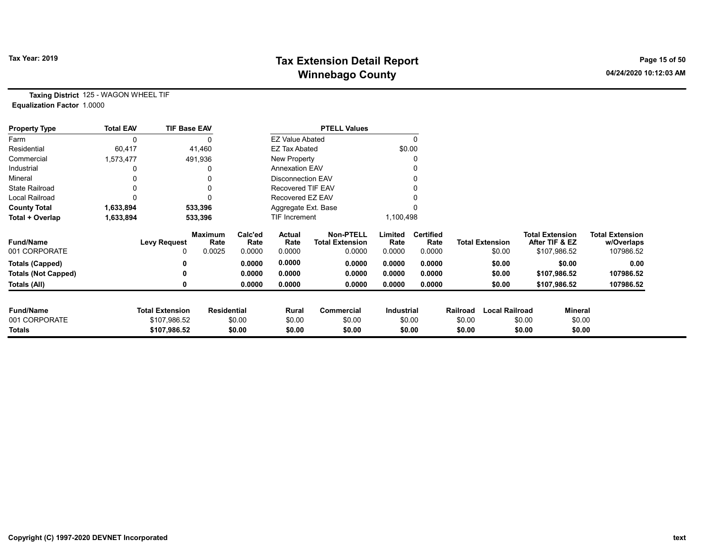# Tax Year: 2019 **Tax Extension Detail Report** Tax Year: 2019 **Page 15 of 50** Winnebago County and the County of the County of the County of the County of the County of the County of the County of the County of the County of the County of the County of the County of the County of the County of the C

Taxing District 125 - WAGON WHEEL TIF Equalization Factor 1.0000

| <b>Property Type</b>       | <b>Total EAV</b> | <b>TIF Base EAV</b>    |                        |                 |                          | <b>PTELL Values</b>                        |                 |                          |          |                        |                                          |                                      |
|----------------------------|------------------|------------------------|------------------------|-----------------|--------------------------|--------------------------------------------|-----------------|--------------------------|----------|------------------------|------------------------------------------|--------------------------------------|
| Farm                       | $\mathbf{0}$     |                        | 0                      |                 | <b>EZ Value Abated</b>   |                                            |                 | $\Omega$                 |          |                        |                                          |                                      |
| Residential                | 60,417           |                        | 41,460                 |                 | <b>EZ Tax Abated</b>     |                                            | \$0.00          |                          |          |                        |                                          |                                      |
| Commercial                 | 1,573,477        |                        | 491,936                |                 | New Property             |                                            |                 |                          |          |                        |                                          |                                      |
| Industrial                 |                  |                        | 0                      |                 | <b>Annexation EAV</b>    |                                            |                 |                          |          |                        |                                          |                                      |
| Mineral                    |                  |                        |                        |                 | <b>Disconnection EAV</b> |                                            |                 |                          |          |                        |                                          |                                      |
| <b>State Railroad</b>      | 0                |                        | 0                      |                 | Recovered TIF EAV        |                                            |                 |                          |          |                        |                                          |                                      |
| <b>Local Railroad</b>      |                  |                        | O                      |                 | Recovered EZ EAV         |                                            |                 |                          |          |                        |                                          |                                      |
| <b>County Total</b>        | 1,633,894        |                        | 533,396                |                 | Aggregate Ext. Base      |                                            |                 |                          |          |                        |                                          |                                      |
| Total + Overlap            | 1,633,894        |                        | 533,396                |                 | TIF Increment            |                                            | 1,100,498       |                          |          |                        |                                          |                                      |
| <b>Fund/Name</b>           |                  | <b>Levy Request</b>    | <b>Maximum</b><br>Rate | Calc'ed<br>Rate | Actual<br>Rate           | <b>Non-PTELL</b><br><b>Total Extension</b> | Limited<br>Rate | <b>Certified</b><br>Rate |          | <b>Total Extension</b> | <b>Total Extension</b><br>After TIF & EZ | <b>Total Extension</b><br>w/Overlaps |
| 001 CORPORATE              |                  |                        | 0.0025                 | 0.0000          | 0.0000                   | 0.0000                                     | 0.0000          | 0.0000                   |          | \$0.00                 | \$107,986.52                             | 107986.52                            |
| <b>Totals (Capped)</b>     |                  |                        |                        | 0.0000          | 0.0000                   | 0.0000                                     | 0.0000          | 0.0000                   |          | \$0.00                 | \$0.00                                   | 0.00                                 |
| <b>Totals (Not Capped)</b> |                  |                        |                        | 0.0000          | 0.0000                   | 0.0000                                     | 0.0000          | 0.0000                   |          | \$0.00                 | \$107,986.52                             | 107986.52                            |
| Totals (All)               |                  |                        |                        | 0.0000          | 0.0000                   | 0.0000                                     | 0.0000          | 0.0000                   |          | \$0.00                 | \$107,986.52                             | 107986.52                            |
| <b>Fund/Name</b>           |                  | <b>Total Extension</b> | <b>Residential</b>     |                 | Rural                    | <b>Commercial</b>                          | Industrial      |                          | Railroad | <b>Local Railroad</b>  |                                          | <b>Mineral</b>                       |
| 001 CORPORATE              |                  | \$107,986.52           |                        | \$0.00          | \$0.00                   | \$0.00                                     |                 | \$0.00                   | \$0.00   |                        | \$0.00                                   | \$0.00                               |
| Totals                     |                  | \$107,986.52           |                        | \$0.00          | \$0.00                   | \$0.00                                     |                 | \$0.00                   | \$0.00   |                        | \$0.00                                   | \$0.00                               |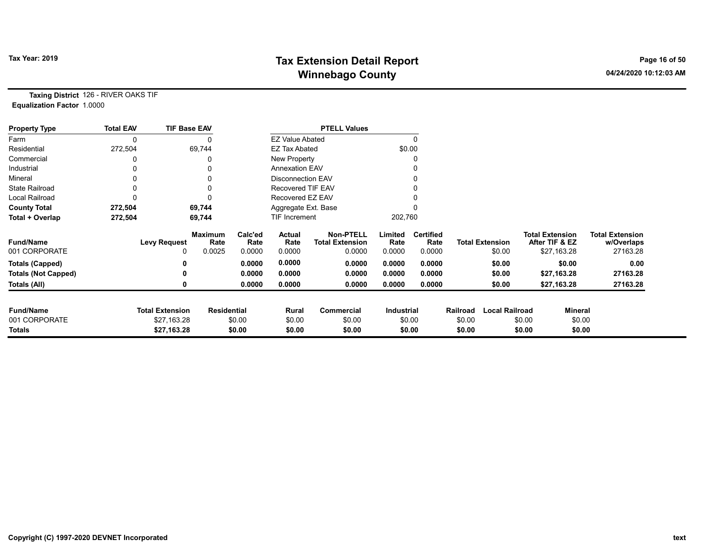# Tax Year: 2019 **Tax Extension Detail Report** Tax Year: 2019 **Page 16 of 50** Winnebago County and the County of the County of the County of the County of the County of the County of the County of the County of the County of the County of the County of the County of the County of the County of the C

Taxing District 126 - RIVER OAKS TIF Equalization Factor 1.0000

| <b>Property Type</b>       | <b>Total EAV</b> | <b>TIF Base EAV</b>    |                        |                 |                          | <b>PTELL Values</b>                        |                 |                          |          |                        |        |                                          |                                      |
|----------------------------|------------------|------------------------|------------------------|-----------------|--------------------------|--------------------------------------------|-----------------|--------------------------|----------|------------------------|--------|------------------------------------------|--------------------------------------|
| Farm                       | 0                |                        | 0                      |                 | <b>EZ Value Abated</b>   |                                            |                 | $\Omega$                 |          |                        |        |                                          |                                      |
| Residential                | 272,504          |                        | 69,744                 |                 | <b>EZ Tax Abated</b>     |                                            |                 | \$0.00                   |          |                        |        |                                          |                                      |
| Commercial                 |                  |                        | U                      |                 | New Property             |                                            |                 |                          |          |                        |        |                                          |                                      |
| Industrial                 |                  |                        |                        |                 | <b>Annexation EAV</b>    |                                            |                 |                          |          |                        |        |                                          |                                      |
| Mineral                    |                  |                        |                        |                 | <b>Disconnection EAV</b> |                                            |                 |                          |          |                        |        |                                          |                                      |
| <b>State Railroad</b>      |                  |                        | 0                      |                 | Recovered TIF EAV        |                                            |                 |                          |          |                        |        |                                          |                                      |
| <b>Local Railroad</b>      |                  |                        | 0                      |                 | Recovered EZ EAV         |                                            |                 |                          |          |                        |        |                                          |                                      |
| <b>County Total</b>        | 272,504          |                        | 69,744                 |                 | Aggregate Ext. Base      |                                            |                 |                          |          |                        |        |                                          |                                      |
| Total + Overlap            | 272,504          |                        | 69,744                 |                 | <b>TIF Increment</b>     |                                            | 202,760         |                          |          |                        |        |                                          |                                      |
| <b>Fund/Name</b>           |                  | <b>Levy Request</b>    | <b>Maximum</b><br>Rate | Calc'ed<br>Rate | Actual<br>Rate           | <b>Non-PTELL</b><br><b>Total Extension</b> | Limited<br>Rate | <b>Certified</b><br>Rate |          | <b>Total Extension</b> |        | <b>Total Extension</b><br>After TIF & EZ | <b>Total Extension</b><br>w/Overlaps |
| 001 CORPORATE              |                  |                        | 0.0025                 | 0.0000          | 0.0000                   | 0.0000                                     | 0.0000          | 0.0000                   |          | \$0.00                 |        | \$27,163.28                              | 27163.28                             |
| <b>Totals (Capped)</b>     |                  |                        |                        | 0.0000          | 0.0000                   | 0.0000                                     | 0.0000          | 0.0000                   |          | \$0.00                 |        | \$0.00                                   | 0.00                                 |
| <b>Totals (Not Capped)</b> |                  |                        |                        | 0.0000          | 0.0000                   | 0.0000                                     | 0.0000          | 0.0000                   |          | \$0.00                 |        | \$27,163.28                              | 27163.28                             |
| Totals (All)               |                  |                        |                        | 0.0000          | 0.0000                   | 0.0000                                     | 0.0000          | 0.0000                   |          | \$0.00                 |        | \$27,163.28                              | 27163.28                             |
| <b>Fund/Name</b>           |                  | <b>Total Extension</b> | <b>Residential</b>     |                 | Rural                    | <b>Commercial</b>                          | Industrial      |                          | Railroad | <b>Local Railroad</b>  |        | <b>Mineral</b>                           |                                      |
| 001 CORPORATE              |                  | \$27,163.28            |                        | \$0.00          | \$0.00                   | \$0.00                                     |                 | \$0.00                   | \$0.00   |                        | \$0.00 | \$0.00                                   |                                      |
| Totals                     |                  | \$27,163.28            |                        | \$0.00          | \$0.00                   | \$0.00                                     |                 | \$0.00                   | \$0.00   |                        | \$0.00 | \$0.00                                   |                                      |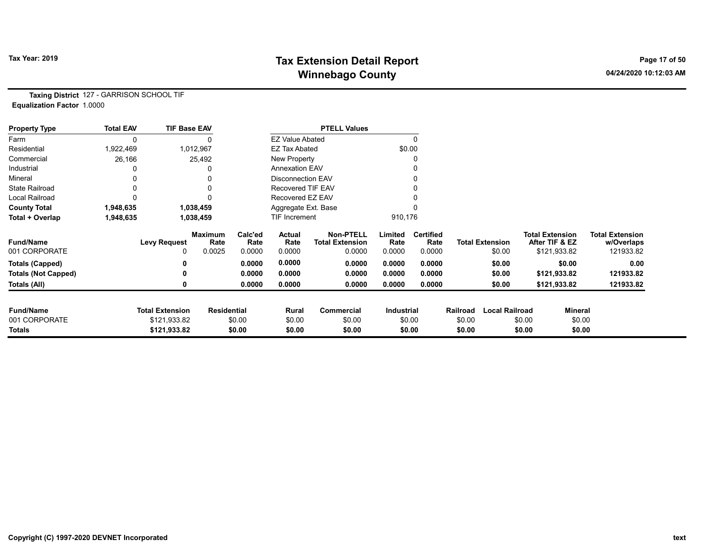# Tax Year: 2019 **Tax Extension Detail Report** Tax Year: 2019 **Page 17 of 50** Winnebago County and the County of the County of the County of the County of the County of the County of the County of the County of the County of the County of the County of the County of the County of the County of the C

Taxing District 127 - GARRISON SCHOOL TIF Equalization Factor 1.0000

| <b>Property Type</b>       | <b>Total EAV</b> | <b>TIF Base EAV</b>    |                        |                 |                          | <b>PTELL Values</b>                        |                 |                          |          |                        |                        |                |                                      |
|----------------------------|------------------|------------------------|------------------------|-----------------|--------------------------|--------------------------------------------|-----------------|--------------------------|----------|------------------------|------------------------|----------------|--------------------------------------|
| Farm                       |                  |                        |                        |                 | <b>EZ Value Abated</b>   |                                            |                 | $\Omega$                 |          |                        |                        |                |                                      |
| Residential                | 1,922,469        |                        | 1,012,967              |                 | <b>EZ Tax Abated</b>     |                                            | \$0.00          |                          |          |                        |                        |                |                                      |
| Commercial                 | 26,166           |                        | 25,492                 |                 | New Property             |                                            |                 | 0                        |          |                        |                        |                |                                      |
| Industrial                 |                  |                        |                        |                 | <b>Annexation EAV</b>    |                                            |                 | 0                        |          |                        |                        |                |                                      |
| Mineral                    |                  |                        |                        |                 | <b>Disconnection EAV</b> |                                            |                 | 0                        |          |                        |                        |                |                                      |
| <b>State Railroad</b>      |                  |                        |                        |                 | <b>Recovered TIF EAV</b> |                                            |                 |                          |          |                        |                        |                |                                      |
| <b>Local Railroad</b>      |                  |                        |                        |                 | Recovered EZ EAV         |                                            |                 |                          |          |                        |                        |                |                                      |
| <b>County Total</b>        | 1,948,635        |                        | 1,038,459              |                 | Aggregate Ext. Base      |                                            |                 |                          |          |                        |                        |                |                                      |
| Total + Overlap            | 1,948,635        |                        | 1,038,459              |                 | TIF Increment            |                                            | 910,176         |                          |          |                        |                        |                |                                      |
| <b>Fund/Name</b>           |                  | <b>Levy Request</b>    | <b>Maximum</b><br>Rate | Calc'ed<br>Rate | Actual<br>Rate           | <b>Non-PTELL</b><br><b>Total Extension</b> | Limited<br>Rate | <b>Certified</b><br>Rate |          | <b>Total Extension</b> | <b>Total Extension</b> | After TIF & EZ | <b>Total Extension</b><br>w/Overlaps |
| 001 CORPORATE              |                  | 0                      | 0.0025                 | 0.0000          | 0.0000                   | 0.0000                                     | 0.0000          | 0.0000                   |          | \$0.00                 |                        | \$121,933.82   | 121933.82                            |
| <b>Totals (Capped)</b>     |                  |                        |                        | 0.0000          | 0.0000                   | 0.0000                                     | 0.0000          | 0.0000                   |          | \$0.00                 |                        | \$0.00         | 0.00                                 |
| <b>Totals (Not Capped)</b> |                  |                        |                        | 0.0000          | 0.0000                   | 0.0000                                     | 0.0000          | 0.0000                   |          | \$0.00                 |                        | \$121,933.82   | 121933.82                            |
| Totals (All)               |                  |                        |                        | 0.0000          | 0.0000                   | 0.0000                                     | 0.0000          | 0.0000                   |          | \$0.00                 |                        | \$121,933.82   | 121933.82                            |
| <b>Fund/Name</b>           |                  | <b>Total Extension</b> | <b>Residential</b>     |                 | Rural                    | Commercial                                 | Industrial      |                          | Railroad | <b>Local Railroad</b>  |                        | <b>Mineral</b> |                                      |
| 001 CORPORATE              |                  | \$121,933.82           |                        | \$0.00          | \$0.00                   | \$0.00                                     |                 | \$0.00                   | \$0.00   |                        | \$0.00                 | \$0.00         |                                      |
| Totals                     |                  | \$121,933.82           |                        | \$0.00          | \$0.00                   | \$0.00                                     |                 | \$0.00                   | \$0.00   |                        | \$0.00                 | \$0.00         |                                      |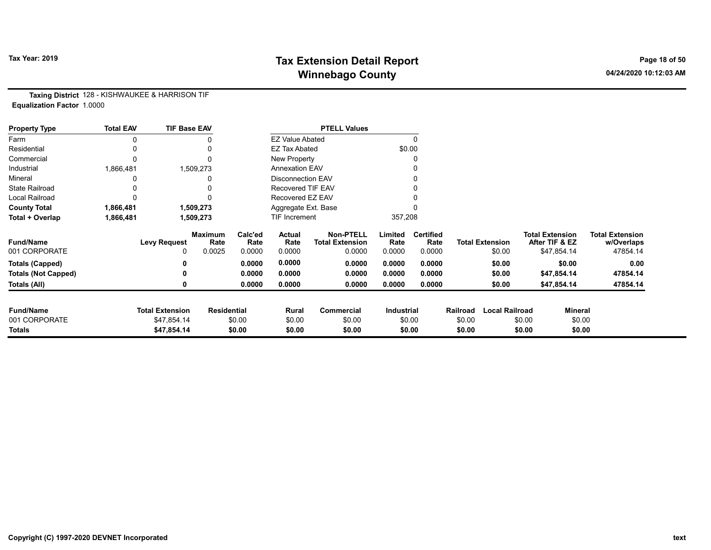# Tax Year: 2019 **Tax Extension Detail Report** Tax Year: 2019 **Page 18 of 50** Winnebago County and the County of the County of the County of the County of the County of the County of the County of the County of the County of the County of the County of the County of the County of the County of the C

Taxing District 128 - KISHWAUKEE & HARRISON TIF Equalization Factor 1.0000

| <b>Property Type</b>       | <b>Total EAV</b> | <b>TIF Base EAV</b>    |                        |                  |                          | <b>PTELL Values</b>                        |                   |                          |                  |                        |                                          |                                      |
|----------------------------|------------------|------------------------|------------------------|------------------|--------------------------|--------------------------------------------|-------------------|--------------------------|------------------|------------------------|------------------------------------------|--------------------------------------|
| Farm                       | 0                |                        | 0                      |                  | <b>EZ Value Abated</b>   |                                            |                   | $\Omega$                 |                  |                        |                                          |                                      |
| Residential                | 0                |                        | 0                      |                  | <b>EZ Tax Abated</b>     |                                            |                   | \$0.00                   |                  |                        |                                          |                                      |
| Commercial                 | 0                |                        | $\Omega$               |                  | New Property             |                                            |                   | 0                        |                  |                        |                                          |                                      |
| Industrial                 | 1,866,481        |                        | 1,509,273              |                  | <b>Annexation EAV</b>    |                                            |                   |                          |                  |                        |                                          |                                      |
| Mineral                    |                  |                        |                        |                  | <b>Disconnection EAV</b> |                                            |                   | 0                        |                  |                        |                                          |                                      |
| <b>State Railroad</b>      |                  |                        |                        |                  | Recovered TIF EAV        |                                            |                   |                          |                  |                        |                                          |                                      |
| Local Railroad             | 0                |                        |                        |                  | Recovered EZ EAV         |                                            |                   |                          |                  |                        |                                          |                                      |
| <b>County Total</b>        | 1,866,481        |                        | 1,509,273              |                  | Aggregate Ext. Base      |                                            |                   |                          |                  |                        |                                          |                                      |
| Total + Overlap            | 1,866,481        |                        | 1,509,273              |                  | TIF Increment            |                                            | 357,208           |                          |                  |                        |                                          |                                      |
| <b>Fund/Name</b>           |                  | <b>Levy Request</b>    | <b>Maximum</b><br>Rate | Calc'ed<br>Rate  | Actual<br>Rate           | <b>Non-PTELL</b><br><b>Total Extension</b> | Limited<br>Rate   | <b>Certified</b><br>Rate |                  | <b>Total Extension</b> | <b>Total Extension</b><br>After TIF & EZ | <b>Total Extension</b><br>w/Overlaps |
| 001 CORPORATE              |                  | 0                      | 0.0025                 | 0.0000           | 0.0000                   | 0.0000                                     | 0.0000            | 0.0000                   |                  | \$0.00                 | \$47,854.14                              | 47854.14                             |
| <b>Totals (Capped)</b>     |                  | 0                      |                        | 0.0000           | 0.0000                   | 0.0000                                     | 0.0000            | 0.0000                   |                  | \$0.00                 | \$0.00                                   | 0.00                                 |
| <b>Totals (Not Capped)</b> |                  | 0                      |                        | 0.0000           | 0.0000                   | 0.0000                                     | 0.0000            | 0.0000                   |                  | \$0.00                 | \$47,854.14                              | 47854.14                             |
| Totals (All)               |                  | 0                      |                        | 0.0000           | 0.0000                   | 0.0000                                     | 0.0000            | 0.0000                   |                  | \$0.00                 | \$47,854.14                              | 47854.14                             |
| <b>Fund/Name</b>           |                  | <b>Total Extension</b> | <b>Residential</b>     |                  |                          | Commercial                                 | <b>Industrial</b> |                          | Railroad         | <b>Local Railroad</b>  |                                          | Mineral                              |
| 001 CORPORATE              |                  | \$47,854.14            |                        |                  | Rural                    | \$0.00                                     |                   |                          |                  |                        |                                          | \$0.00                               |
| <b>Totals</b>              |                  | \$47,854.14            |                        | \$0.00<br>\$0.00 | \$0.00<br>\$0.00         | \$0.00                                     |                   | \$0.00<br>\$0.00         | \$0.00<br>\$0.00 |                        | \$0.00<br>\$0.00                         | \$0.00                               |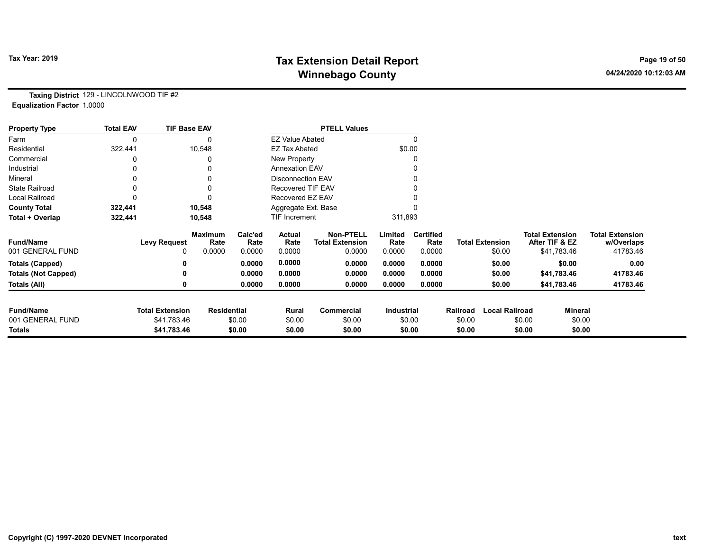# Tax Year: 2019 **Tax Extension Detail Report** Tax Year: 2019 **Page 19 of 50** Winnebago County and the County of the County of the County of the County of the County of the County of the County of the County of the County of the County of the County of the County of the County of the County of the C

Taxing District 129 - LINCOLNWOOD TIF #2 Equalization Factor 1.0000

| <b>Property Type</b>       | <b>Total EAV</b> | <b>TIF Base EAV</b>    |                        |                 |                          | <b>PTELL Values</b>                        |                 |                          |          |                        |        |                                          |                                      |
|----------------------------|------------------|------------------------|------------------------|-----------------|--------------------------|--------------------------------------------|-----------------|--------------------------|----------|------------------------|--------|------------------------------------------|--------------------------------------|
| Farm                       |                  |                        |                        |                 | <b>EZ Value Abated</b>   |                                            |                 | $\Omega$                 |          |                        |        |                                          |                                      |
| Residential                | 322,441          |                        | 10,548                 |                 | <b>EZ Tax Abated</b>     |                                            | \$0.00          |                          |          |                        |        |                                          |                                      |
| Commercial                 |                  |                        |                        |                 | New Property             |                                            |                 | 0                        |          |                        |        |                                          |                                      |
| Industrial                 |                  |                        |                        |                 | <b>Annexation EAV</b>    |                                            |                 |                          |          |                        |        |                                          |                                      |
| Mineral                    |                  |                        |                        |                 | <b>Disconnection EAV</b> |                                            |                 | 0                        |          |                        |        |                                          |                                      |
| <b>State Railroad</b>      |                  |                        |                        |                 | <b>Recovered TIF EAV</b> |                                            |                 |                          |          |                        |        |                                          |                                      |
| <b>Local Railroad</b>      |                  |                        |                        |                 | Recovered EZ EAV         |                                            |                 |                          |          |                        |        |                                          |                                      |
| <b>County Total</b>        | 322,441          |                        | 10,548                 |                 | Aggregate Ext. Base      |                                            |                 |                          |          |                        |        |                                          |                                      |
| Total + Overlap            | 322,441          |                        | 10,548                 |                 | TIF Increment            |                                            | 311,893         |                          |          |                        |        |                                          |                                      |
| <b>Fund/Name</b>           |                  | <b>Levy Request</b>    | <b>Maximum</b><br>Rate | Calc'ed<br>Rate | Actual<br>Rate           | <b>Non-PTELL</b><br><b>Total Extension</b> | Limited<br>Rate | <b>Certified</b><br>Rate |          | <b>Total Extension</b> |        | <b>Total Extension</b><br>After TIF & EZ | <b>Total Extension</b><br>w/Overlaps |
| 001 GENERAL FUND           |                  | 0                      | 0.0000                 | 0.0000          | 0.0000                   | 0.0000                                     | 0.0000          | 0.0000                   |          | \$0.00                 |        | \$41,783.46                              | 41783.46                             |
| <b>Totals (Capped)</b>     |                  |                        |                        | 0.0000          | 0.0000                   | 0.0000                                     | 0.0000          | 0.0000                   |          | \$0.00                 |        | \$0.00                                   | 0.00                                 |
| <b>Totals (Not Capped)</b> |                  |                        |                        | 0.0000          | 0.0000                   | 0.0000                                     | 0.0000          | 0.0000                   |          | \$0.00                 |        | \$41,783.46                              | 41783.46                             |
| Totals (All)               |                  |                        |                        | 0.0000          | 0.0000                   | 0.0000                                     | 0.0000          | 0.0000                   |          | \$0.00                 |        | \$41,783.46                              | 41783.46                             |
| <b>Fund/Name</b>           |                  | <b>Total Extension</b> | <b>Residential</b>     |                 | Rural                    | Commercial                                 | Industrial      |                          | Railroad | <b>Local Railroad</b>  |        | <b>Mineral</b>                           |                                      |
| 001 GENERAL FUND           |                  | \$41,783.46            |                        | \$0.00          | \$0.00                   | \$0.00                                     |                 | \$0.00                   | \$0.00   |                        | \$0.00 | \$0.00                                   |                                      |
| <b>Totals</b>              |                  | \$41,783.46            |                        | \$0.00          | \$0.00                   | \$0.00                                     |                 | \$0.00                   | \$0.00   |                        | \$0.00 | \$0.00                                   |                                      |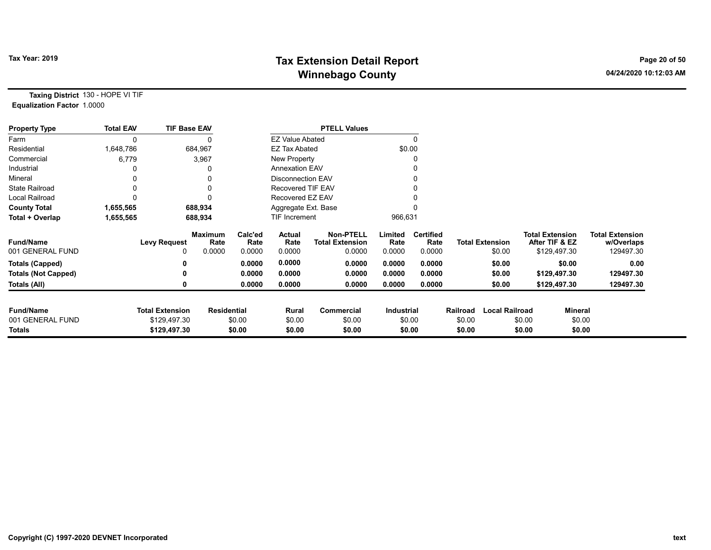# Tax Year: 2019 **Tax Extension Detail Report** Tax Year: 2019 **Page 20 of 50** Winnebago County and the County of the County of the County of the County of the County of the County of the County of the County of the County of the County of the County of the County of the County of the County of the C

Taxing District 130 - HOPE VI TIF Equalization Factor 1.0000

| <b>Property Type</b>       | <b>Total EAV</b> | <b>TIF Base EAV</b>    |                        |                 |                          | <b>PTELL Values</b>                        |                 |                          |          |                        |                                          |                |                                      |
|----------------------------|------------------|------------------------|------------------------|-----------------|--------------------------|--------------------------------------------|-----------------|--------------------------|----------|------------------------|------------------------------------------|----------------|--------------------------------------|
| Farm                       | 0                |                        |                        |                 | <b>EZ Value Abated</b>   |                                            |                 |                          |          |                        |                                          |                |                                      |
| Residential                | 1,648,786        |                        | 684,967                |                 | EZ Tax Abated            |                                            |                 | \$0.00                   |          |                        |                                          |                |                                      |
| Commercial                 | 6,779            |                        | 3,967                  |                 | New Property             |                                            |                 |                          |          |                        |                                          |                |                                      |
| Industrial                 |                  |                        |                        |                 | <b>Annexation EAV</b>    |                                            |                 |                          |          |                        |                                          |                |                                      |
| Mineral                    |                  |                        |                        |                 | <b>Disconnection EAV</b> |                                            |                 |                          |          |                        |                                          |                |                                      |
| <b>State Railroad</b>      | 0                |                        |                        |                 | <b>Recovered TIF EAV</b> |                                            |                 |                          |          |                        |                                          |                |                                      |
| <b>Local Railroad</b>      |                  |                        |                        |                 | Recovered EZ EAV         |                                            |                 |                          |          |                        |                                          |                |                                      |
| <b>County Total</b>        | 1,655,565        |                        | 688,934                |                 | Aggregate Ext. Base      |                                            |                 |                          |          |                        |                                          |                |                                      |
| Total + Overlap            | 1,655,565        |                        | 688,934                |                 | TIF Increment            |                                            | 966,631         |                          |          |                        |                                          |                |                                      |
| <b>Fund/Name</b>           |                  | <b>Levy Request</b>    | <b>Maximum</b><br>Rate | Calc'ed<br>Rate | Actual<br>Rate           | <b>Non-PTELL</b><br><b>Total Extension</b> | Limited<br>Rate | <b>Certified</b><br>Rate |          | <b>Total Extension</b> | <b>Total Extension</b><br>After TIF & EZ |                | <b>Total Extension</b><br>w/Overlaps |
| 001 GENERAL FUND           |                  | 0                      | 0.0000                 | 0.0000          | 0.0000                   | 0.0000                                     | 0.0000          | 0.0000                   |          | \$0.00                 | \$129,497.30                             |                | 129497.30                            |
| <b>Totals (Capped)</b>     |                  |                        |                        | 0.0000          | 0.0000                   | 0.0000                                     | 0.0000          | 0.0000                   |          | \$0.00                 |                                          | \$0.00         | 0.00                                 |
| <b>Totals (Not Capped)</b> |                  | n                      |                        | 0.0000          | 0.0000                   | 0.0000                                     | 0.0000          | 0.0000                   |          | \$0.00                 | \$129,497.30                             |                | 129497.30                            |
| Totals (All)               |                  | 0                      |                        | 0.0000          | 0.0000                   | 0.0000                                     | 0.0000          | 0.0000                   |          | \$0.00                 | \$129,497.30                             |                | 129497.30                            |
|                            |                  |                        |                        |                 |                          |                                            |                 |                          |          |                        |                                          |                |                                      |
| <b>Fund/Name</b>           |                  | <b>Total Extension</b> | <b>Residential</b>     |                 | Rural                    | Commercial                                 | Industrial      |                          | Railroad | <b>Local Railroad</b>  |                                          | <b>Mineral</b> |                                      |
| 001 GENERAL FUND           |                  | \$129,497.30           |                        | \$0.00          | \$0.00                   | \$0.00                                     |                 | \$0.00                   | \$0.00   |                        | \$0.00                                   | \$0.00         |                                      |
| <b>Totals</b>              |                  | \$129,497.30           |                        | \$0.00          | \$0.00                   | \$0.00                                     |                 | \$0.00                   | \$0.00   |                        | \$0.00                                   | \$0.00         |                                      |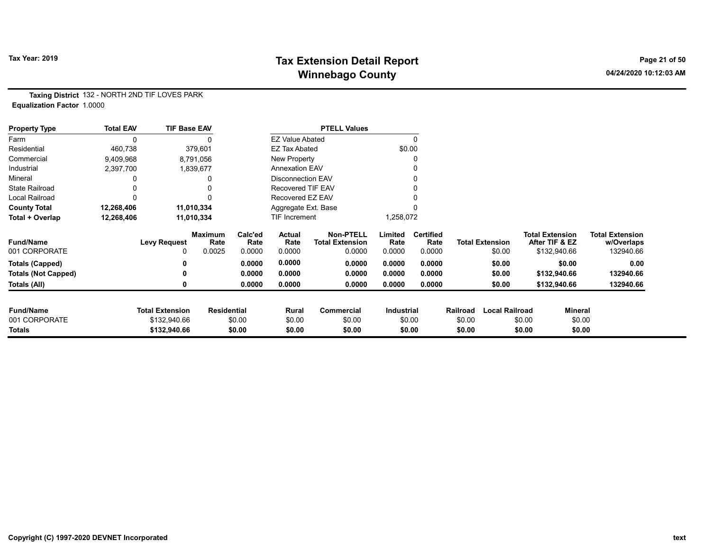# Tax Year: 2019 **Tax Extension Detail Report** Tax Year: 2019 **Page 21 of 50** Winnebago County and the County of the County of the County of the County of the County of the County of the County of the County of the County of the County of the County of the County of the County of the County of the C

Taxing District 132 - NORTH 2ND TIF LOVES PARK Equalization Factor 1.0000

| <b>Property Type</b>       | <b>Total EAV</b> | <b>TIF Base EAV</b>    |                        |                 |                          | <b>PTELL Values</b>                        |                   |                          |          |                        |                        |                |                                      |
|----------------------------|------------------|------------------------|------------------------|-----------------|--------------------------|--------------------------------------------|-------------------|--------------------------|----------|------------------------|------------------------|----------------|--------------------------------------|
| Farm                       | $\mathbf{0}$     |                        |                        |                 | <b>EZ Value Abated</b>   |                                            |                   | $\mathbf{0}$             |          |                        |                        |                |                                      |
| Residential                | 460,738          |                        | 379,601                |                 | <b>EZ Tax Abated</b>     |                                            |                   | \$0.00                   |          |                        |                        |                |                                      |
| Commercial                 | 9,409,968        |                        | 8,791,056              |                 | New Property             |                                            |                   | 0                        |          |                        |                        |                |                                      |
| Industrial                 | 2,397,700        |                        | 1,839,677              |                 | <b>Annexation EAV</b>    |                                            |                   |                          |          |                        |                        |                |                                      |
| Mineral                    |                  |                        | 0                      |                 | <b>Disconnection EAV</b> |                                            |                   | 0                        |          |                        |                        |                |                                      |
| <b>State Railroad</b>      |                  |                        |                        |                 | <b>Recovered TIF EAV</b> |                                            |                   |                          |          |                        |                        |                |                                      |
| <b>Local Railroad</b>      |                  |                        | 0                      |                 | Recovered EZ EAV         |                                            |                   |                          |          |                        |                        |                |                                      |
| <b>County Total</b>        | 12,268,406       |                        | 11,010,334             |                 | Aggregate Ext. Base      |                                            |                   |                          |          |                        |                        |                |                                      |
| Total + Overlap            | 12,268,406       |                        | 11,010,334             |                 | TIF Increment            |                                            | 1,258,072         |                          |          |                        |                        |                |                                      |
| <b>Fund/Name</b>           |                  | <b>Levy Request</b>    | <b>Maximum</b><br>Rate | Calc'ed<br>Rate | Actual<br>Rate           | <b>Non-PTELL</b><br><b>Total Extension</b> | Limited<br>Rate   | <b>Certified</b><br>Rate |          | <b>Total Extension</b> | <b>Total Extension</b> | After TIF & EZ | <b>Total Extension</b><br>w/Overlaps |
| 001 CORPORATE              |                  |                        | 0.0025                 | 0.0000          | 0.0000                   | 0.0000                                     | 0.0000            | 0.0000                   |          | \$0.00                 |                        | \$132,940.66   | 132940.66                            |
| <b>Totals (Capped)</b>     |                  |                        |                        | 0.0000          | 0.0000                   | 0.0000                                     | 0.0000            | 0.0000                   |          | \$0.00                 |                        | \$0.00         | 0.00                                 |
| <b>Totals (Not Capped)</b> |                  |                        |                        | 0.0000          | 0.0000                   | 0.0000                                     | 0.0000            | 0.0000                   |          | \$0.00                 |                        | \$132,940.66   | 132940.66                            |
| Totals (All)               |                  |                        |                        | 0.0000          | 0.0000                   | 0.0000                                     | 0.0000            | 0.0000                   |          | \$0.00                 |                        | \$132,940.66   | 132940.66                            |
| <b>Fund/Name</b>           |                  | <b>Total Extension</b> | <b>Residential</b>     |                 | Rural                    | Commercial                                 | <b>Industrial</b> |                          | Railroad | <b>Local Railroad</b>  |                        | Mineral        |                                      |
| 001 CORPORATE              |                  | \$132,940.66           |                        | \$0.00          | \$0.00                   | \$0.00                                     |                   | \$0.00                   | \$0.00   |                        | \$0.00                 | \$0.00         |                                      |
| Totals                     |                  | \$132,940.66           |                        | \$0.00          | \$0.00                   | \$0.00                                     |                   | \$0.00                   | \$0.00   |                        | \$0.00                 | \$0.00         |                                      |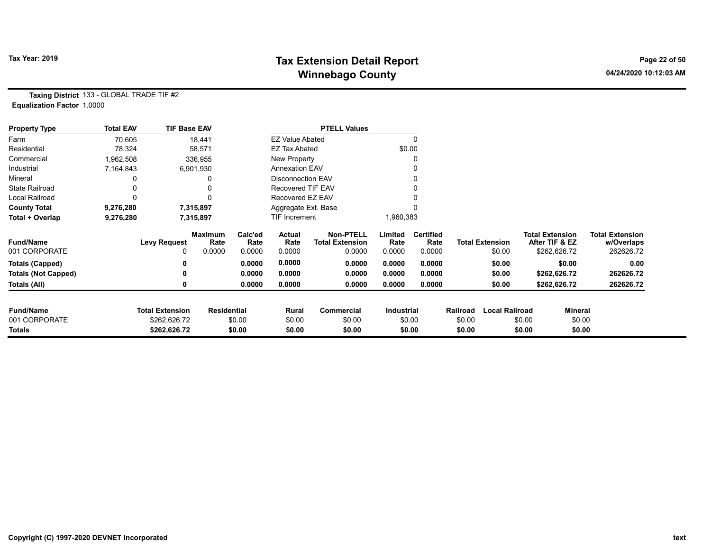# Tax Year: 2019 **Tax Extension Detail Report** Tax Year: 2019 **Page 22 of 50** Winnebago County and the County of the County of the County of the County of the County of the County of the County of the County of the County of the County of the County of the County of the County of the County of the C

Taxing District 133 - GLOBAL TRADE TIF #2 Equalization Factor 1.0000

| <b>Property Type</b>       | <b>Total EAV</b> | <b>TIF Base EAV</b>    |                        |                 |                          | <b>PTELL Values</b>                        |                 |                          |          |                        |        |                                          |                                      |
|----------------------------|------------------|------------------------|------------------------|-----------------|--------------------------|--------------------------------------------|-----------------|--------------------------|----------|------------------------|--------|------------------------------------------|--------------------------------------|
| Farm                       | 70,605           |                        | 18,441                 |                 | <b>EZ Value Abated</b>   |                                            |                 |                          |          |                        |        |                                          |                                      |
| Residential                | 78,324           |                        | 58,571                 |                 | <b>EZ Tax Abated</b>     |                                            |                 | \$0.00                   |          |                        |        |                                          |                                      |
| Commercial                 | 1,962,508        |                        | 336,955                |                 | New Property             |                                            |                 |                          |          |                        |        |                                          |                                      |
| Industrial                 | 7,164,843        |                        | 6,901,930              |                 | <b>Annexation EAV</b>    |                                            |                 |                          |          |                        |        |                                          |                                      |
| Mineral                    |                  |                        |                        |                 | <b>Disconnection EAV</b> |                                            |                 |                          |          |                        |        |                                          |                                      |
| <b>State Railroad</b>      |                  |                        |                        |                 | Recovered TIF EAV        |                                            |                 |                          |          |                        |        |                                          |                                      |
| Local Railroad             |                  |                        | 0                      |                 | Recovered EZ EAV         |                                            |                 |                          |          |                        |        |                                          |                                      |
| <b>County Total</b>        | 9,276,280        |                        | 7,315,897              |                 | Aggregate Ext. Base      |                                            |                 |                          |          |                        |        |                                          |                                      |
| Total + Overlap            | 9,276,280        |                        | 7,315,897              |                 | <b>TIF Increment</b>     |                                            | 1,960,383       |                          |          |                        |        |                                          |                                      |
| <b>Fund/Name</b>           |                  | <b>Levy Request</b>    | <b>Maximum</b><br>Rate | Calc'ed<br>Rate | Actual<br>Rate           | <b>Non-PTELL</b><br><b>Total Extension</b> | Limited<br>Rate | <b>Certified</b><br>Rate |          | <b>Total Extension</b> |        | <b>Total Extension</b><br>After TIF & EZ | <b>Total Extension</b><br>w/Overlaps |
| 001 CORPORATE              |                  | 0                      | 0.0000                 | 0.0000          | 0.0000                   | 0.0000                                     | 0.0000          | 0.0000                   |          | \$0.00                 |        | \$262,626.72                             | 262626.72                            |
| <b>Totals (Capped)</b>     |                  | 0                      |                        | 0.0000          | 0.0000                   | 0.0000                                     | 0.0000          | 0.0000                   |          | \$0.00                 |        | \$0.00                                   | 0.00                                 |
| <b>Totals (Not Capped)</b> |                  | 0                      |                        | 0.0000          | 0.0000                   | 0.0000                                     | 0.0000          | 0.0000                   |          | \$0.00                 |        | \$262,626.72                             | 262626.72                            |
| Totals (All)               |                  |                        |                        | 0.0000          | 0.0000                   | 0.0000                                     | 0.0000          | 0.0000                   |          | \$0.00                 |        | \$262,626.72                             | 262626.72                            |
| <b>Fund/Name</b>           |                  | <b>Total Extension</b> | <b>Residential</b>     |                 | Rural                    | <b>Commercial</b>                          | Industrial      |                          | Railroad | <b>Local Railroad</b>  |        | Mineral                                  |                                      |
| 001 CORPORATE              |                  | \$262,626.72           |                        | \$0.00          | \$0.00                   | \$0.00                                     |                 | \$0.00                   | \$0.00   |                        | \$0.00 | \$0.00                                   |                                      |
| Totals                     |                  | \$262,626.72           |                        | \$0.00          | \$0.00                   | \$0.00                                     |                 | \$0.00                   | \$0.00   |                        | \$0.00 | \$0.00                                   |                                      |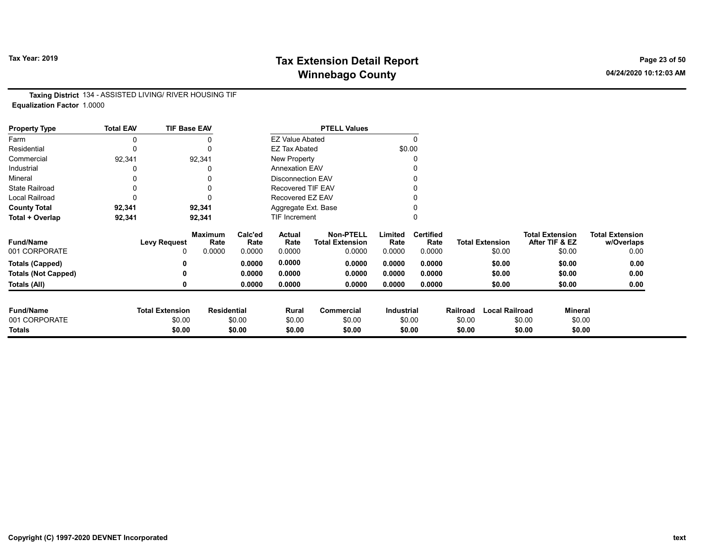# Tax Year: 2019 **Tax Extension Detail Report** Tax Year: 2019 **Page 23 of 50** Winnebago County and the County of the County of the County of the County of the County of the County of the County of the County of the County of the County of the County of the County of the County of the County of the C

Taxing District 134 - ASSISTED LIVING/ RIVER HOUSING TIF Equalization Factor 1.0000

| <b>Property Type</b>       | <b>Total EAV</b> | <b>TIF Base EAV</b>    |                        |                 |                          | <b>PTELL Values</b>                        |                   |                          |          |                        |                                          |                |                                      |
|----------------------------|------------------|------------------------|------------------------|-----------------|--------------------------|--------------------------------------------|-------------------|--------------------------|----------|------------------------|------------------------------------------|----------------|--------------------------------------|
| Farm                       |                  |                        |                        |                 | <b>EZ Value Abated</b>   |                                            |                   | $\Omega$                 |          |                        |                                          |                |                                      |
| Residential                | 0                |                        | $\mathbf{0}$           |                 | <b>EZ Tax Abated</b>     |                                            | \$0.00            |                          |          |                        |                                          |                |                                      |
| Commercial                 | 92,341           |                        | 92,341                 |                 | New Property             |                                            |                   |                          |          |                        |                                          |                |                                      |
| Industrial                 |                  |                        |                        |                 | <b>Annexation EAV</b>    |                                            |                   |                          |          |                        |                                          |                |                                      |
| Mineral                    |                  |                        |                        |                 | <b>Disconnection EAV</b> |                                            |                   |                          |          |                        |                                          |                |                                      |
| <b>State Railroad</b>      | 0                |                        |                        |                 | <b>Recovered TIF EAV</b> |                                            |                   |                          |          |                        |                                          |                |                                      |
| Local Railroad             |                  |                        |                        |                 | Recovered EZ EAV         |                                            |                   |                          |          |                        |                                          |                |                                      |
| <b>County Total</b>        | 92,341           |                        | 92,341                 |                 | Aggregate Ext. Base      |                                            |                   |                          |          |                        |                                          |                |                                      |
| Total + Overlap            | 92,341           |                        | 92,341                 |                 | <b>TIF Increment</b>     |                                            |                   |                          |          |                        |                                          |                |                                      |
| <b>Fund/Name</b>           |                  | <b>Levy Request</b>    | <b>Maximum</b><br>Rate | Calc'ed<br>Rate | Actual<br>Rate           | <b>Non-PTELL</b><br><b>Total Extension</b> | Limited<br>Rate   | <b>Certified</b><br>Rate |          | <b>Total Extension</b> | <b>Total Extension</b><br>After TIF & EZ |                | <b>Total Extension</b><br>w/Overlaps |
| 001 CORPORATE              |                  | 0                      | 0.0000                 | 0.0000          | 0.0000                   | 0.0000                                     | 0.0000            | 0.0000                   |          | \$0.00                 |                                          | \$0.00         | 0.00                                 |
| <b>Totals (Capped)</b>     |                  |                        |                        | 0.0000          | 0.0000                   | 0.0000                                     | 0.0000            | 0.0000                   |          | \$0.00                 |                                          | \$0.00         | 0.00                                 |
| <b>Totals (Not Capped)</b> |                  |                        |                        | 0.0000          | 0.0000                   | 0.0000                                     | 0.0000            | 0.0000                   |          | \$0.00                 |                                          | \$0.00         | 0.00                                 |
| Totals (All)               |                  |                        |                        | 0.0000          | 0.0000                   | 0.0000                                     | 0.0000            | 0.0000                   |          | \$0.00                 |                                          | \$0.00         | 0.00                                 |
|                            |                  |                        |                        |                 |                          |                                            |                   |                          |          |                        |                                          |                |                                      |
| <b>Fund/Name</b>           |                  | <b>Total Extension</b> | <b>Residential</b>     |                 | Rural                    | Commercial                                 | <b>Industrial</b> |                          | Railroad | <b>Local Railroad</b>  |                                          | <b>Mineral</b> |                                      |
| 001 CORPORATE              |                  | \$0.00                 |                        | \$0.00          | \$0.00                   | \$0.00                                     |                   | \$0.00                   | \$0.00   |                        | \$0.00                                   | \$0.00         |                                      |
| <b>Totals</b>              |                  | \$0.00                 |                        | \$0.00          | \$0.00                   | \$0.00                                     |                   | \$0.00                   | \$0.00   |                        | \$0.00                                   | \$0.00         |                                      |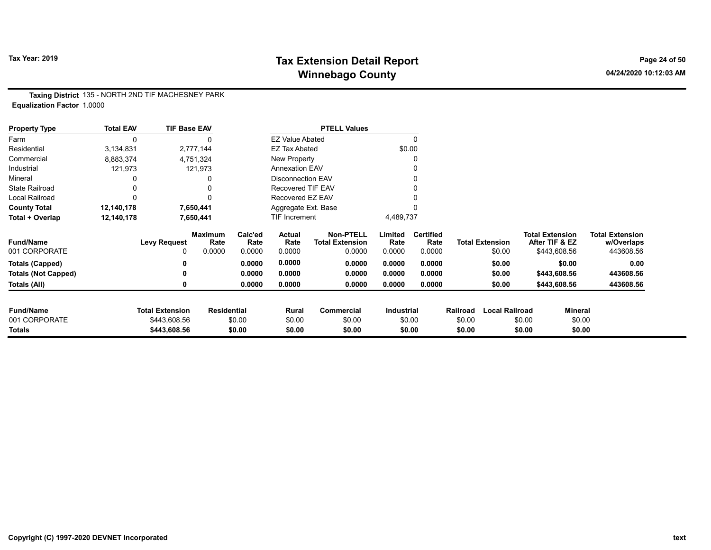# Tax Year: 2019 **Tax Extension Detail Report** Tax Year: 2019 **Page 24 of 50** Winnebago County and the County of the County of the County of the County of the County of the County of the County of the County of the County of the County of the County of the County of the County of the County of the C

Taxing District 135 - NORTH 2ND TIF MACHESNEY PARK Equalization Factor 1.0000

| <b>Property Type</b>       | <b>Total EAV</b> | <b>TIF Base EAV</b>    |                        |                 |                          | <b>PTELL Values</b>                        |                 |                          |          |                        |                        |                |                                      |
|----------------------------|------------------|------------------------|------------------------|-----------------|--------------------------|--------------------------------------------|-----------------|--------------------------|----------|------------------------|------------------------|----------------|--------------------------------------|
| Farm                       | 0                |                        |                        |                 | <b>EZ Value Abated</b>   |                                            |                 | 0                        |          |                        |                        |                |                                      |
| Residential                | 3,134,831        |                        | 2,777,144              |                 | <b>EZ Tax Abated</b>     |                                            |                 | \$0.00                   |          |                        |                        |                |                                      |
| Commercial                 | 8,883,374        |                        | 4,751,324              |                 | New Property             |                                            |                 | 0                        |          |                        |                        |                |                                      |
| Industrial                 | 121,973          |                        | 121,973                |                 | <b>Annexation EAV</b>    |                                            |                 |                          |          |                        |                        |                |                                      |
| Mineral                    |                  |                        |                        |                 | <b>Disconnection EAV</b> |                                            |                 | 0                        |          |                        |                        |                |                                      |
| <b>State Railroad</b>      | 0                |                        |                        |                 | Recovered TIF EAV        |                                            |                 |                          |          |                        |                        |                |                                      |
| Local Railroad             | 0                |                        |                        |                 | Recovered EZ EAV         |                                            |                 |                          |          |                        |                        |                |                                      |
| <b>County Total</b>        | 12,140,178       |                        | 7,650,441              |                 | Aggregate Ext. Base      |                                            |                 |                          |          |                        |                        |                |                                      |
| Total + Overlap            | 12,140,178       |                        | 7,650,441              |                 | <b>TIF Increment</b>     |                                            | 4,489,737       |                          |          |                        |                        |                |                                      |
| <b>Fund/Name</b>           |                  | <b>Levy Request</b>    | <b>Maximum</b><br>Rate | Calc'ed<br>Rate | Actual<br>Rate           | <b>Non-PTELL</b><br><b>Total Extension</b> | Limited<br>Rate | <b>Certified</b><br>Rate |          | <b>Total Extension</b> | <b>Total Extension</b> | After TIF & EZ | <b>Total Extension</b><br>w/Overlaps |
| 001 CORPORATE              |                  | 0                      | 0.0000                 | 0.0000          | 0.0000                   | 0.0000                                     | 0.0000          | 0.0000                   |          | \$0.00                 |                        | \$443,608.56   | 443608.56                            |
| <b>Totals (Capped)</b>     |                  | 0                      |                        | 0.0000          | 0.0000                   | 0.0000                                     | 0.0000          | 0.0000                   |          | \$0.00                 |                        | \$0.00         | 0.00                                 |
| <b>Totals (Not Capped)</b> |                  | 0                      |                        | 0.0000          | 0.0000                   | 0.0000                                     | 0.0000          | 0.0000                   |          | \$0.00                 |                        | \$443,608.56   | 443608.56                            |
| Totals (All)               |                  | 0                      |                        | 0.0000          | 0.0000                   | 0.0000                                     | 0.0000          | 0.0000                   |          | \$0.00                 |                        | \$443,608.56   | 443608.56                            |
| <b>Fund/Name</b>           |                  | <b>Total Extension</b> | <b>Residential</b>     |                 | Rural                    | <b>Commercial</b>                          | Industrial      |                          | Railroad | <b>Local Railroad</b>  |                        | <b>Mineral</b> |                                      |
| 001 CORPORATE              |                  | \$443,608.56           |                        | \$0.00          | \$0.00                   | \$0.00                                     |                 | \$0.00                   | \$0.00   |                        | \$0.00                 | \$0.00         |                                      |
| Totals                     |                  | \$443,608.56           |                        | \$0.00          | \$0.00                   | \$0.00                                     |                 | \$0.00                   | \$0.00   |                        | \$0.00                 | \$0.00         |                                      |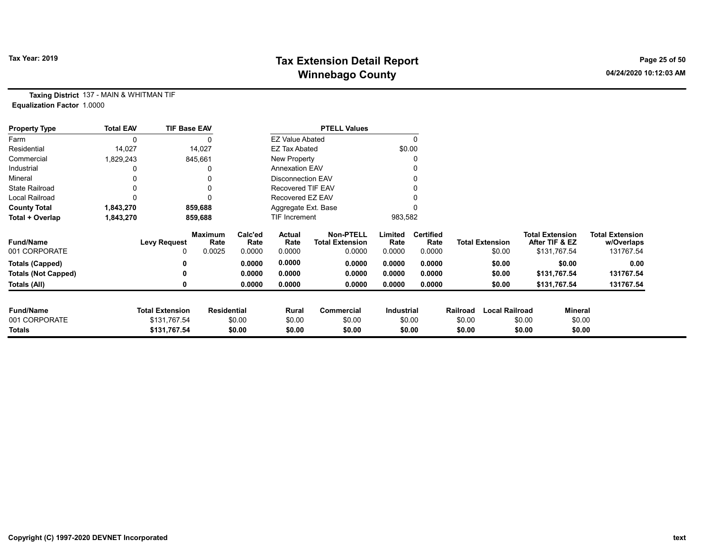# Tax Year: 2019 **Tax Extension Detail Report** Tax Year: 2019 **Page 25 of 50** Winnebago County and the County of the County of the County of the County of the County of the County of the County of the County of the County of the County of the County of the County of the County of the County of the C

Taxing District 137 - MAIN & WHITMAN TIF Equalization Factor 1.0000

| <b>Property Type</b>       | <b>Total EAV</b> | <b>TIF Base EAV</b>    |                        |                 |                          | <b>PTELL Values</b>                        |                 |                          |          |                        |                                          |                |                                      |
|----------------------------|------------------|------------------------|------------------------|-----------------|--------------------------|--------------------------------------------|-----------------|--------------------------|----------|------------------------|------------------------------------------|----------------|--------------------------------------|
| Farm                       |                  |                        |                        |                 | <b>EZ Value Abated</b>   |                                            |                 | $\mathbf{0}$             |          |                        |                                          |                |                                      |
| Residential                | 14,027           |                        | 14,027                 |                 | <b>EZ Tax Abated</b>     |                                            |                 | \$0.00                   |          |                        |                                          |                |                                      |
| Commercial                 | 1,829,243        |                        | 845,661                |                 | New Property             |                                            |                 |                          |          |                        |                                          |                |                                      |
| Industrial                 |                  |                        | 0                      |                 | <b>Annexation EAV</b>    |                                            |                 |                          |          |                        |                                          |                |                                      |
| Mineral                    |                  |                        | 0                      |                 | <b>Disconnection EAV</b> |                                            |                 |                          |          |                        |                                          |                |                                      |
| <b>State Railroad</b>      |                  |                        | 0                      |                 | Recovered TIF EAV        |                                            |                 |                          |          |                        |                                          |                |                                      |
| <b>Local Railroad</b>      |                  |                        | 0                      |                 | Recovered EZ EAV         |                                            |                 |                          |          |                        |                                          |                |                                      |
| <b>County Total</b>        | 1,843,270        |                        | 859,688                |                 | Aggregate Ext. Base      |                                            |                 |                          |          |                        |                                          |                |                                      |
| Total + Overlap            | 1,843,270        |                        | 859,688                |                 | <b>TIF Increment</b>     |                                            | 983,582         |                          |          |                        |                                          |                |                                      |
| <b>Fund/Name</b>           |                  | <b>Levy Request</b>    | <b>Maximum</b><br>Rate | Calc'ed<br>Rate | Actual<br>Rate           | <b>Non-PTELL</b><br><b>Total Extension</b> | Limited<br>Rate | <b>Certified</b><br>Rate |          | <b>Total Extension</b> | <b>Total Extension</b><br>After TIF & EZ |                | <b>Total Extension</b><br>w/Overlaps |
| 001 CORPORATE              |                  | 0                      | 0.0025                 | 0.0000          | 0.0000                   | 0.0000                                     | 0.0000          | 0.0000                   |          | \$0.00                 | \$131,767.54                             |                | 131767.54                            |
| <b>Totals (Capped)</b>     |                  |                        |                        | 0.0000          | 0.0000                   | 0.0000                                     | 0.0000          | 0.0000                   |          | \$0.00                 |                                          | \$0.00         | 0.00                                 |
| <b>Totals (Not Capped)</b> |                  |                        |                        | 0.0000          | 0.0000                   | 0.0000                                     | 0.0000          | 0.0000                   |          | \$0.00                 | \$131,767.54                             |                | 131767.54                            |
| Totals (All)               |                  |                        |                        | 0.0000          | 0.0000                   | 0.0000                                     | 0.0000          | 0.0000                   |          | \$0.00                 | \$131,767.54                             |                | 131767.54                            |
| <b>Fund/Name</b>           |                  | <b>Total Extension</b> | <b>Residential</b>     |                 | Rural                    | <b>Commercial</b>                          | Industrial      |                          | Railroad | <b>Local Railroad</b>  |                                          | <b>Mineral</b> |                                      |
| 001 CORPORATE              |                  | \$131,767.54           |                        | \$0.00          | \$0.00                   | \$0.00                                     |                 | \$0.00                   | \$0.00   |                        | \$0.00                                   | \$0.00         |                                      |
| Totals                     |                  | \$131,767.54           |                        | \$0.00          | \$0.00                   | \$0.00                                     |                 | \$0.00                   | \$0.00   |                        | \$0.00                                   | \$0.00         |                                      |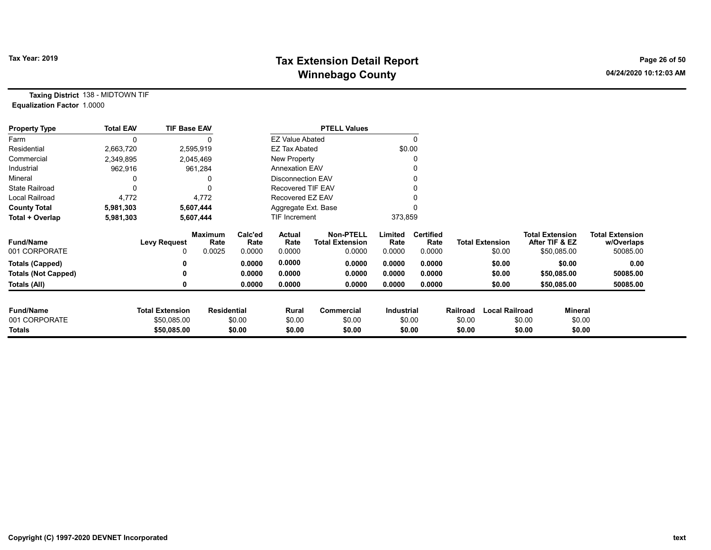# Tax Year: 2019 **Tax Extension Detail Report** Tax Year: 2019 **Page 26 of 50** Winnebago County and the County of the County of the County of the County of the County of the County of the County of the County of the County of the County of the County of the County of the County of the County of the C

Taxing District 138 - MIDTOWN TIF Equalization Factor 1.0000

| <b>Property Type</b>       | <b>Total EAV</b> | <b>TIF Base EAV</b>    |                        |                 |                          | <b>PTELL Values</b>                        |                   |                          |          |                        |                        |                |                                      |
|----------------------------|------------------|------------------------|------------------------|-----------------|--------------------------|--------------------------------------------|-------------------|--------------------------|----------|------------------------|------------------------|----------------|--------------------------------------|
| Farm                       | 0                |                        |                        |                 | <b>EZ Value Abated</b>   |                                            |                   | 0                        |          |                        |                        |                |                                      |
| Residential                | 2,663,720        |                        | 2,595,919              |                 | <b>EZ Tax Abated</b>     |                                            |                   | \$0.00                   |          |                        |                        |                |                                      |
| Commercial                 | 2,349,895        |                        | 2,045,469              |                 | New Property             |                                            |                   |                          |          |                        |                        |                |                                      |
| Industrial                 | 962,916          |                        | 961,284                |                 | <b>Annexation EAV</b>    |                                            |                   |                          |          |                        |                        |                |                                      |
| Mineral                    |                  |                        |                        |                 | <b>Disconnection EAV</b> |                                            |                   |                          |          |                        |                        |                |                                      |
| <b>State Railroad</b>      | 0                |                        |                        |                 | <b>Recovered TIF EAV</b> |                                            |                   |                          |          |                        |                        |                |                                      |
| <b>Local Railroad</b>      | 4,772            |                        | 4,772                  |                 | Recovered EZ EAV         |                                            |                   |                          |          |                        |                        |                |                                      |
| <b>County Total</b>        | 5,981,303        |                        | 5,607,444              |                 | Aggregate Ext. Base      |                                            |                   |                          |          |                        |                        |                |                                      |
| Total + Overlap            | 5,981,303        |                        | 5,607,444              |                 | TIF Increment            |                                            | 373,859           |                          |          |                        |                        |                |                                      |
| <b>Fund/Name</b>           |                  | <b>Levy Request</b>    | <b>Maximum</b><br>Rate | Calc'ed<br>Rate | Actual<br>Rate           | <b>Non-PTELL</b><br><b>Total Extension</b> | Limited<br>Rate   | <b>Certified</b><br>Rate |          | <b>Total Extension</b> | <b>Total Extension</b> | After TIF & EZ | <b>Total Extension</b><br>w/Overlaps |
| 001 CORPORATE              |                  | 0                      | 0.0025                 | 0.0000          | 0.0000                   | 0.0000                                     | 0.0000            | 0.0000                   |          | \$0.00                 |                        | \$50,085.00    | 50085.00                             |
| <b>Totals (Capped)</b>     |                  |                        |                        | 0.0000          | 0.0000                   | 0.0000                                     | 0.0000            | 0.0000                   |          | \$0.00                 |                        | \$0.00         | 0.00                                 |
| <b>Totals (Not Capped)</b> |                  | 0                      |                        | 0.0000          | 0.0000                   | 0.0000                                     | 0.0000            | 0.0000                   |          | \$0.00                 |                        | \$50,085.00    | 50085.00                             |
| Totals (All)               |                  | 0                      |                        | 0.0000          | 0.0000                   | 0.0000                                     | 0.0000            | 0.0000                   |          | \$0.00                 |                        | \$50,085.00    | 50085.00                             |
| <b>Fund/Name</b>           |                  | <b>Total Extension</b> | <b>Residential</b>     |                 | Rural                    | Commercial                                 | <b>Industrial</b> |                          | Railroad | <b>Local Railroad</b>  |                        | <b>Mineral</b> |                                      |
| 001 CORPORATE              |                  | \$50,085.00            |                        | \$0.00          | \$0.00                   | \$0.00                                     |                   | \$0.00                   | \$0.00   |                        | \$0.00                 | \$0.00         |                                      |
| <b>Totals</b>              |                  | \$50,085.00            |                        | \$0.00          | \$0.00                   | \$0.00                                     |                   | \$0.00                   | \$0.00   |                        | \$0.00                 | \$0.00         |                                      |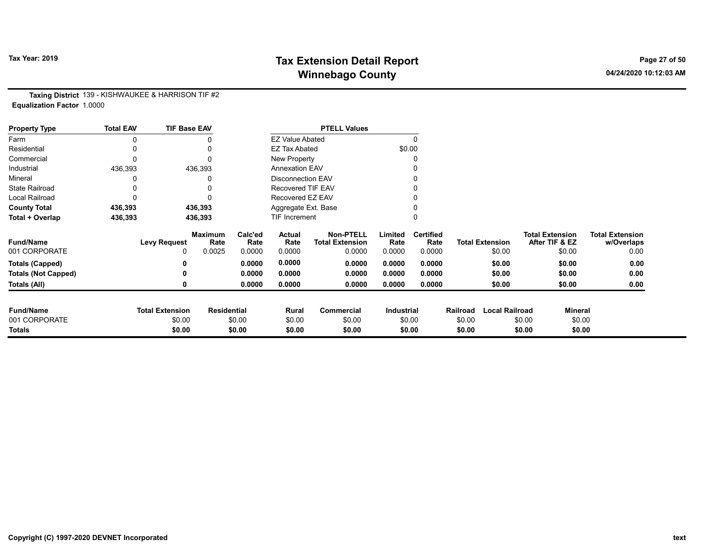# Tax Year: 2019 **Tax Extension Detail Report** Tax Year: 2019 **Page 27 of 50** Winnebago County and the County of the County of the County of the County of the County of the County of the County of the County of the County of the County of the County of the County of the County of the County of the C

Taxing District 139 - KISHWAUKEE & HARRISON TIF #2 Equalization Factor 1.0000

| <b>Property Type</b>       | <b>Total EAV</b> | <b>TIF Base EAV</b>    |                        |                 |                          | <b>PTELL Values</b>                        |                 |                          |          |                        |                                          |                                      |
|----------------------------|------------------|------------------------|------------------------|-----------------|--------------------------|--------------------------------------------|-----------------|--------------------------|----------|------------------------|------------------------------------------|--------------------------------------|
| Farm                       |                  |                        |                        |                 | <b>EZ Value Abated</b>   |                                            |                 | $\Omega$                 |          |                        |                                          |                                      |
| Residential                |                  |                        |                        |                 | <b>EZ Tax Abated</b>     |                                            | \$0.00          |                          |          |                        |                                          |                                      |
| Commercial                 |                  |                        |                        |                 | New Property             |                                            |                 | 0                        |          |                        |                                          |                                      |
| Industrial                 | 436,393          |                        | 436,393                |                 | <b>Annexation EAV</b>    |                                            |                 |                          |          |                        |                                          |                                      |
| Mineral                    |                  |                        |                        |                 | <b>Disconnection EAV</b> |                                            |                 |                          |          |                        |                                          |                                      |
| <b>State Railroad</b>      |                  |                        |                        |                 | Recovered TIF EAV        |                                            |                 |                          |          |                        |                                          |                                      |
| Local Railroad             |                  |                        |                        |                 | Recovered EZ EAV         |                                            |                 |                          |          |                        |                                          |                                      |
| <b>County Total</b>        | 436,393          |                        | 436,393                |                 | Aggregate Ext. Base      |                                            |                 |                          |          |                        |                                          |                                      |
| Total + Overlap            | 436,393          |                        | 436,393                |                 | <b>TIF Increment</b>     |                                            |                 | $\mathbf{0}$             |          |                        |                                          |                                      |
| <b>Fund/Name</b>           |                  | <b>Levy Request</b>    | <b>Maximum</b><br>Rate | Calc'ed<br>Rate | <b>Actual</b><br>Rate    | <b>Non-PTELL</b><br><b>Total Extension</b> | Limited<br>Rate | <b>Certified</b><br>Rate |          | <b>Total Extension</b> | <b>Total Extension</b><br>After TIF & EZ | <b>Total Extension</b><br>w/Overlaps |
| 001 CORPORATE              |                  | 0                      | 0.0025                 | 0.0000          | 0.0000                   | 0.0000                                     | 0.0000          | 0.0000                   |          | \$0.00                 | \$0.00                                   | 0.00                                 |
| <b>Totals (Capped)</b>     |                  |                        |                        | 0.0000          | 0.0000                   | 0.0000                                     | 0.0000          | 0.0000                   |          | \$0.00                 | \$0.00                                   | 0.00                                 |
| <b>Totals (Not Capped)</b> |                  |                        |                        | 0.0000          | 0.0000                   | 0.0000                                     | 0.0000          | 0.0000                   |          | \$0.00                 | \$0.00                                   | 0.00                                 |
| Totals (All)               |                  |                        |                        | 0.0000          | 0.0000                   | 0.0000                                     | 0.0000          | 0.0000                   |          | \$0.00                 | \$0.00                                   | 0.00                                 |
| <b>Fund/Name</b>           |                  | <b>Total Extension</b> | <b>Residential</b>     |                 | Rural                    | <b>Commercial</b>                          | Industrial      |                          | Railroad | <b>Local Railroad</b>  | <b>Mineral</b>                           |                                      |
| 001 CORPORATE              |                  | \$0.00                 |                        | \$0.00          | \$0.00                   | \$0.00                                     |                 | \$0.00                   | \$0.00   |                        | \$0.00<br>\$0.00                         |                                      |
| <b>Totals</b>              |                  | \$0.00                 |                        | \$0.00          | \$0.00                   | \$0.00                                     |                 | \$0.00                   | \$0.00   |                        | \$0.00<br>\$0.00                         |                                      |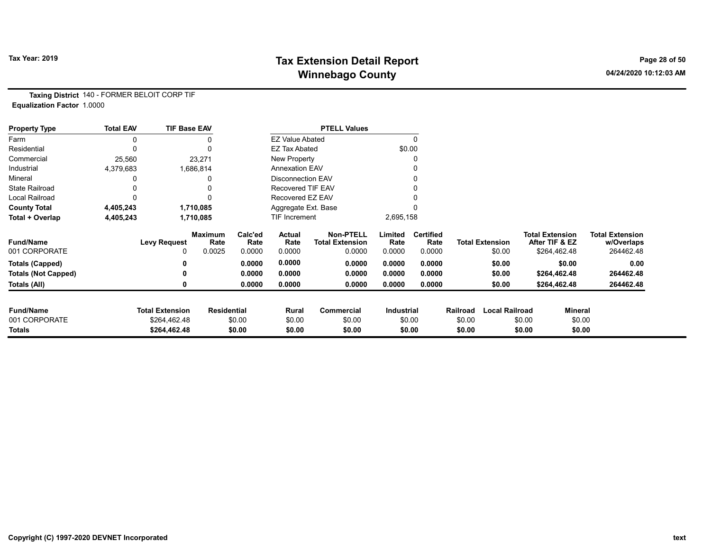# Tax Year: 2019 **Tax Extension Detail Report** Tax Year: 2019 **Page 28 of 50** Winnebago County and the County of the County of the County of the County of the County of the County of the County of the County of the County of the County of the County of the County of the County of the County of the C

Taxing District 140 - FORMER BELOIT CORP TIF Equalization Factor 1.0000

| <b>Property Type</b>       | <b>Total EAV</b> | <b>TIF Base EAV</b>    |                        |                 |                          | <b>PTELL Values</b>                        |                   |                          |          |                        |                                          |                                      |
|----------------------------|------------------|------------------------|------------------------|-----------------|--------------------------|--------------------------------------------|-------------------|--------------------------|----------|------------------------|------------------------------------------|--------------------------------------|
| Farm                       | 0                |                        |                        |                 | <b>EZ Value Abated</b>   |                                            |                   |                          |          |                        |                                          |                                      |
| Residential                | 0                |                        |                        |                 | <b>EZ Tax Abated</b>     |                                            | \$0.00            |                          |          |                        |                                          |                                      |
| Commercial                 | 25,560           |                        | 23,271                 |                 | New Property             |                                            |                   |                          |          |                        |                                          |                                      |
| Industrial                 | 4,379,683        |                        | 1,686,814              |                 | <b>Annexation EAV</b>    |                                            |                   |                          |          |                        |                                          |                                      |
| Mineral                    |                  |                        |                        |                 | <b>Disconnection EAV</b> |                                            |                   |                          |          |                        |                                          |                                      |
| <b>State Railroad</b>      |                  |                        |                        |                 | <b>Recovered TIF EAV</b> |                                            |                   |                          |          |                        |                                          |                                      |
| Local Railroad             |                  |                        |                        |                 | Recovered EZ EAV         |                                            |                   |                          |          |                        |                                          |                                      |
| <b>County Total</b>        | 4,405,243        |                        | 1,710,085              |                 | Aggregate Ext. Base      |                                            |                   |                          |          |                        |                                          |                                      |
| Total + Overlap            | 4,405,243        |                        | 1,710,085              |                 | TIF Increment            |                                            | 2,695,158         |                          |          |                        |                                          |                                      |
| <b>Fund/Name</b>           |                  | <b>Levy Request</b>    | <b>Maximum</b><br>Rate | Calc'ed<br>Rate | Actual<br>Rate           | <b>Non-PTELL</b><br><b>Total Extension</b> | Limited<br>Rate   | <b>Certified</b><br>Rate |          | <b>Total Extension</b> | <b>Total Extension</b><br>After TIF & EZ | <b>Total Extension</b><br>w/Overlaps |
| 001 CORPORATE              |                  | 0                      | 0.0025                 | 0.0000          | 0.0000                   | 0.0000                                     | 0.0000            | 0.0000                   |          | \$0.00                 | \$264,462.48                             | 264462.48                            |
| <b>Totals (Capped)</b>     |                  | 0                      |                        | 0.0000          | 0.0000                   | 0.0000                                     | 0.0000            | 0.0000                   |          | \$0.00                 | \$0.00                                   | 0.00                                 |
| <b>Totals (Not Capped)</b> |                  | 0                      |                        | 0.0000          | 0.0000                   | 0.0000                                     | 0.0000            | 0.0000                   |          | \$0.00                 | \$264,462.48                             | 264462.48                            |
| Totals (All)               |                  | 0                      |                        | 0.0000          | 0.0000                   | 0.0000                                     | 0.0000            | 0.0000                   |          | \$0.00                 | \$264,462.48                             | 264462.48                            |
|                            |                  |                        |                        |                 |                          |                                            |                   |                          |          |                        |                                          |                                      |
| <b>Fund/Name</b>           |                  | <b>Total Extension</b> | <b>Residential</b>     |                 | Rural                    | Commercial                                 | <b>Industrial</b> |                          | Railroad | <b>Local Railroad</b>  |                                          | Mineral                              |
| 001 CORPORATE              |                  | \$264,462.48           |                        | \$0.00          | \$0.00                   | \$0.00                                     |                   | \$0.00                   | \$0.00   |                        | \$0.00                                   | \$0.00                               |
| Totals                     |                  | \$264,462.48           |                        | \$0.00          | \$0.00                   | \$0.00                                     |                   | \$0.00                   | \$0.00   |                        | \$0.00                                   | \$0.00                               |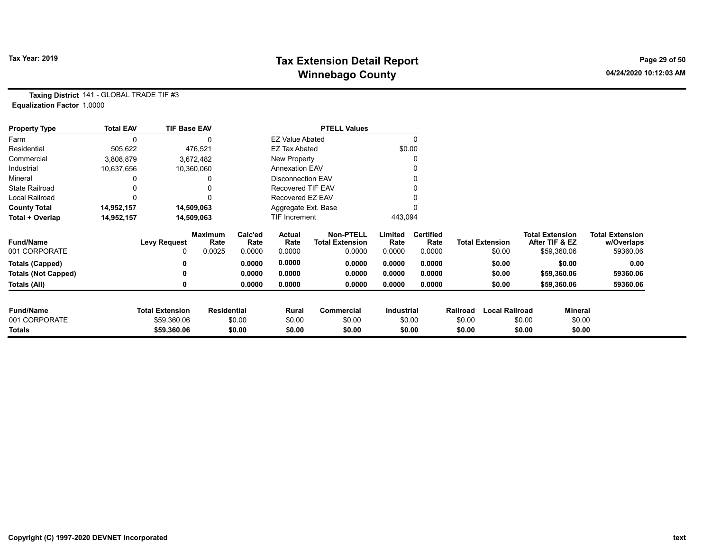# Tax Year: 2019 **Tax Extension Detail Report** Tax Year: 2019 **Page 29 of 50** Winnebago County and the County of the County of the County of the County of the County of the County of the County of the County of the County of the County of the County of the County of the County of the County of the C

Taxing District 141 - GLOBAL TRADE TIF #3 Equalization Factor 1.0000

| <b>Property Type</b>       | <b>Total EAV</b> | <b>TIF Base EAV</b>    |                        |                 |                          | <b>PTELL Values</b>                        |                 |                          |          |                        |        |                                          |                                      |
|----------------------------|------------------|------------------------|------------------------|-----------------|--------------------------|--------------------------------------------|-----------------|--------------------------|----------|------------------------|--------|------------------------------------------|--------------------------------------|
| Farm                       |                  |                        |                        |                 | <b>EZ Value Abated</b>   |                                            |                 | $\mathbf{0}$             |          |                        |        |                                          |                                      |
| Residential                | 505,622          |                        | 476,521                |                 | <b>EZ Tax Abated</b>     |                                            |                 | \$0.00                   |          |                        |        |                                          |                                      |
| Commercial                 | 3,808,879        |                        | 3,672,482              |                 | New Property             |                                            |                 |                          |          |                        |        |                                          |                                      |
| Industrial                 | 10,637,656       |                        | 10,360,060             |                 | <b>Annexation EAV</b>    |                                            |                 |                          |          |                        |        |                                          |                                      |
| Mineral                    |                  |                        | 0                      |                 | <b>Disconnection EAV</b> |                                            |                 |                          |          |                        |        |                                          |                                      |
| <b>State Railroad</b>      |                  |                        |                        |                 | Recovered TIF EAV        |                                            |                 |                          |          |                        |        |                                          |                                      |
| <b>Local Railroad</b>      |                  |                        |                        |                 | Recovered EZ EAV         |                                            |                 |                          |          |                        |        |                                          |                                      |
| <b>County Total</b>        | 14,952,157       |                        | 14,509,063             |                 | Aggregate Ext. Base      |                                            |                 |                          |          |                        |        |                                          |                                      |
| Total + Overlap            | 14,952,157       |                        | 14,509,063             |                 | TIF Increment            |                                            | 443,094         |                          |          |                        |        |                                          |                                      |
| <b>Fund/Name</b>           |                  | <b>Levy Request</b>    | <b>Maximum</b><br>Rate | Calc'ed<br>Rate | Actual<br>Rate           | <b>Non-PTELL</b><br><b>Total Extension</b> | Limited<br>Rate | <b>Certified</b><br>Rate |          | <b>Total Extension</b> |        | <b>Total Extension</b><br>After TIF & EZ | <b>Total Extension</b><br>w/Overlaps |
| 001 CORPORATE              |                  | 0                      | 0.0025                 | 0.0000          | 0.0000                   | 0.0000                                     | 0.0000          | 0.0000                   |          | \$0.00                 |        | \$59,360.06                              | 59360.06                             |
| <b>Totals (Capped)</b>     |                  |                        |                        | 0.0000          | 0.0000                   | 0.0000                                     | 0.0000          | 0.0000                   |          | \$0.00                 |        | \$0.00                                   | 0.00                                 |
| <b>Totals (Not Capped)</b> |                  |                        |                        | 0.0000          | 0.0000                   | 0.0000                                     | 0.0000          | 0.0000                   |          | \$0.00                 |        | \$59,360.06                              | 59360.06                             |
| Totals (All)               |                  |                        |                        | 0.0000          | 0.0000                   | 0.0000                                     | 0.0000          | 0.0000                   |          | \$0.00                 |        | \$59,360.06                              | 59360.06                             |
| <b>Fund/Name</b>           |                  | <b>Total Extension</b> | <b>Residential</b>     |                 | Rural                    | <b>Commercial</b>                          | Industrial      |                          | Railroad | <b>Local Railroad</b>  |        | <b>Mineral</b>                           |                                      |
| 001 CORPORATE              |                  | \$59,360.06            |                        | \$0.00          | \$0.00                   | \$0.00                                     |                 | \$0.00                   | \$0.00   |                        | \$0.00 | \$0.00                                   |                                      |
| Totals                     |                  | \$59,360.06            |                        | \$0.00          | \$0.00                   | \$0.00                                     |                 | \$0.00                   | \$0.00   |                        | \$0.00 | \$0.00                                   |                                      |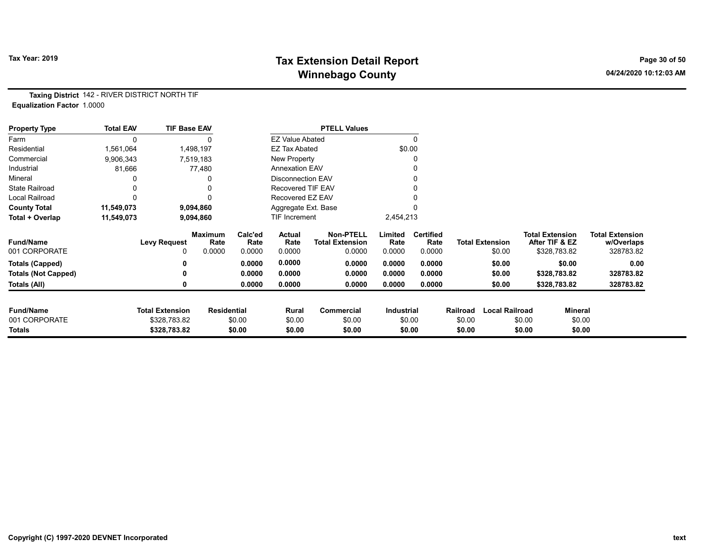# Tax Year: 2019 **Tax Extension Detail Report** Tax Year: 2019 **Page 30 of 50** Winnebago County and the County of the County of the County of the County of the County of the County of the County of the County of the County of the County of the County of the County of the County of the County of the C

Taxing District 142 - RIVER DISTRICT NORTH TIF Equalization Factor 1.0000

| <b>Property Type</b>       | <b>Total EAV</b> | <b>TIF Base EAV</b>    |                        |                 |                        | <b>PTELL Values</b>                        |                   |                          |          |                        |                                          |              |                                      |
|----------------------------|------------------|------------------------|------------------------|-----------------|------------------------|--------------------------------------------|-------------------|--------------------------|----------|------------------------|------------------------------------------|--------------|--------------------------------------|
| Farm                       |                  |                        |                        |                 | <b>EZ Value Abated</b> |                                            |                   | $\Omega$                 |          |                        |                                          |              |                                      |
| Residential                | 1,561,064        |                        | 1,498,197              |                 | <b>EZ Tax Abated</b>   |                                            |                   | \$0.00                   |          |                        |                                          |              |                                      |
| Commercial                 | 9,906,343        |                        | 7,519,183              |                 | New Property           |                                            |                   |                          |          |                        |                                          |              |                                      |
| Industrial                 | 81,666           |                        | 77,480                 |                 | <b>Annexation EAV</b>  |                                            |                   |                          |          |                        |                                          |              |                                      |
| Mineral                    |                  |                        |                        |                 | Disconnection EAV      |                                            |                   |                          |          |                        |                                          |              |                                      |
| <b>State Railroad</b>      |                  |                        |                        |                 | Recovered TIF EAV      |                                            |                   |                          |          |                        |                                          |              |                                      |
| <b>Local Railroad</b>      |                  |                        |                        |                 | Recovered EZ EAV       |                                            |                   |                          |          |                        |                                          |              |                                      |
| <b>County Total</b>        | 11,549,073       |                        | 9,094,860              |                 | Aggregate Ext. Base    |                                            |                   |                          |          |                        |                                          |              |                                      |
| Total + Overlap            | 11,549,073       |                        | 9,094,860              |                 | <b>TIF Increment</b>   |                                            | 2,454,213         |                          |          |                        |                                          |              |                                      |
| <b>Fund/Name</b>           |                  | <b>Levy Request</b>    | <b>Maximum</b><br>Rate | Calc'ed<br>Rate | Actual<br>Rate         | <b>Non-PTELL</b><br><b>Total Extension</b> | Limited<br>Rate   | <b>Certified</b><br>Rate |          | <b>Total Extension</b> | <b>Total Extension</b><br>After TIF & EZ |              | <b>Total Extension</b><br>w/Overlaps |
| 001 CORPORATE              |                  | 0                      | 0.0000                 | 0.0000          | 0.0000                 | 0.0000                                     | 0.0000            | 0.0000                   |          | \$0.00                 |                                          | \$328,783.82 | 328783.82                            |
| <b>Totals (Capped)</b>     |                  |                        |                        | 0.0000          | 0.0000                 | 0.0000                                     | 0.0000            | 0.0000                   |          | \$0.00                 |                                          | \$0.00       | 0.00                                 |
| <b>Totals (Not Capped)</b> |                  |                        |                        | 0.0000          | 0.0000                 | 0.0000                                     | 0.0000            | 0.0000                   |          | \$0.00                 |                                          | \$328,783.82 | 328783.82                            |
| Totals (All)               |                  | 0                      |                        | 0.0000          | 0.0000                 | 0.0000                                     | 0.0000            | 0.0000                   |          | \$0.00                 |                                          | \$328,783.82 | 328783.82                            |
| <b>Fund/Name</b>           |                  | <b>Total Extension</b> | <b>Residential</b>     |                 | Rural                  | Commercial                                 | <b>Industrial</b> |                          | Railroad | <b>Local Railroad</b>  |                                          | Mineral      |                                      |
| 001 CORPORATE              |                  | \$328,783.82           |                        | \$0.00          | \$0.00                 | \$0.00                                     |                   | \$0.00                   | \$0.00   |                        | \$0.00                                   | \$0.00       |                                      |
| Totals                     |                  | \$328,783.82           |                        | \$0.00          | \$0.00                 | \$0.00                                     |                   | \$0.00                   | \$0.00   |                        | \$0.00                                   | \$0.00       |                                      |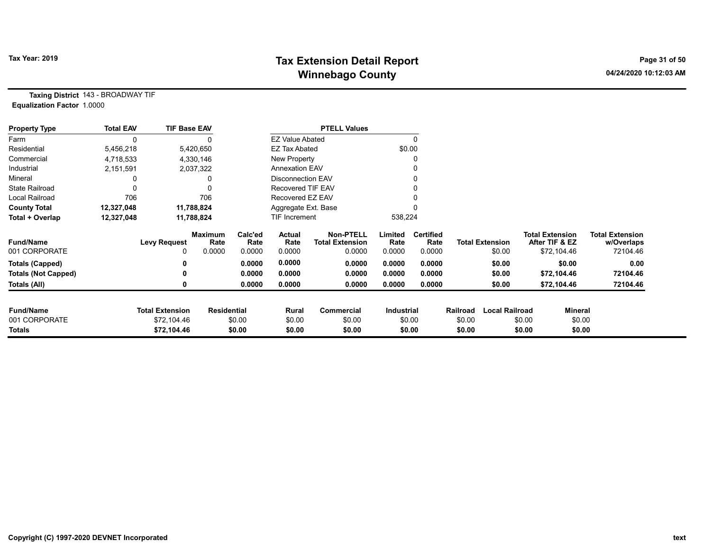# Tax Year: 2019 **Tax Extension Detail Report** Tax Year: 2019 **Page 31 of 50** Winnebago County and the County of the County of the County of the County of the County of the County of the County of the County of the County of the County of the County of the County of the County of the County of the C

Taxing District 143 - BROADWAY TIF Equalization Factor 1.0000

| <b>Property Type</b>       | <b>Total EAV</b> | <b>TIF Base EAV</b>    |                        |                 |                          | <b>PTELL Values</b>                        |                 |                          |          |                        |                                          |                |                                      |
|----------------------------|------------------|------------------------|------------------------|-----------------|--------------------------|--------------------------------------------|-----------------|--------------------------|----------|------------------------|------------------------------------------|----------------|--------------------------------------|
| Farm                       |                  |                        |                        |                 | <b>EZ Value Abated</b>   |                                            |                 | $\Omega$                 |          |                        |                                          |                |                                      |
| Residential                | 5,456,218        |                        | 5,420,650              |                 | <b>EZ Tax Abated</b>     |                                            |                 | \$0.00                   |          |                        |                                          |                |                                      |
| Commercial                 | 4,718,533        |                        | 4,330,146              |                 | New Property             |                                            |                 | 0                        |          |                        |                                          |                |                                      |
| Industrial                 | 2,151,591        |                        | 2,037,322              |                 | <b>Annexation EAV</b>    |                                            |                 | 0                        |          |                        |                                          |                |                                      |
| Mineral                    |                  |                        |                        |                 | <b>Disconnection EAV</b> |                                            |                 | 0                        |          |                        |                                          |                |                                      |
| <b>State Railroad</b>      |                  |                        |                        |                 | Recovered TIF EAV        |                                            |                 |                          |          |                        |                                          |                |                                      |
| Local Railroad             | 706              |                        | 706                    |                 | Recovered EZ EAV         |                                            |                 |                          |          |                        |                                          |                |                                      |
| <b>County Total</b>        | 12,327,048       |                        | 11,788,824             |                 | Aggregate Ext. Base      |                                            |                 |                          |          |                        |                                          |                |                                      |
| Total + Overlap            | 12,327,048       |                        | 11,788,824             |                 | <b>TIF Increment</b>     |                                            | 538,224         |                          |          |                        |                                          |                |                                      |
| <b>Fund/Name</b>           |                  | <b>Levy Request</b>    | <b>Maximum</b><br>Rate | Calc'ed<br>Rate | Actual<br>Rate           | <b>Non-PTELL</b><br><b>Total Extension</b> | Limited<br>Rate | <b>Certified</b><br>Rate |          | <b>Total Extension</b> | <b>Total Extension</b><br>After TIF & EZ |                | <b>Total Extension</b><br>w/Overlaps |
| 001 CORPORATE              |                  | 0                      | 0.0000                 | 0.0000          | 0.0000                   | 0.0000                                     | 0.0000          | 0.0000                   |          | \$0.00                 |                                          | \$72,104.46    | 72104.46                             |
| Totals (Capped)            |                  |                        |                        | 0.0000          | 0.0000                   | 0.0000                                     | 0.0000          | 0.0000                   |          | \$0.00                 |                                          | \$0.00         | 0.00                                 |
| <b>Totals (Not Capped)</b> |                  |                        |                        | 0.0000          | 0.0000                   | 0.0000                                     | 0.0000          | 0.0000                   |          | \$0.00                 |                                          | \$72,104.46    | 72104.46                             |
| Totals (All)               |                  |                        |                        | 0.0000          | 0.0000                   | 0.0000                                     | 0.0000          | 0.0000                   |          | \$0.00                 |                                          | \$72,104.46    | 72104.46                             |
| <b>Fund/Name</b>           |                  | <b>Total Extension</b> | <b>Residential</b>     |                 | Rural                    | Commercial                                 | Industrial      |                          | Railroad | <b>Local Railroad</b>  |                                          | <b>Mineral</b> |                                      |
| 001 CORPORATE              |                  | \$72,104.46            |                        | \$0.00          | \$0.00                   | \$0.00                                     |                 | \$0.00                   | \$0.00   |                        | \$0.00                                   | \$0.00         |                                      |
| Totals                     |                  | \$72,104.46            |                        | \$0.00          | \$0.00                   | \$0.00                                     |                 | \$0.00                   | \$0.00   |                        | \$0.00                                   | \$0.00         |                                      |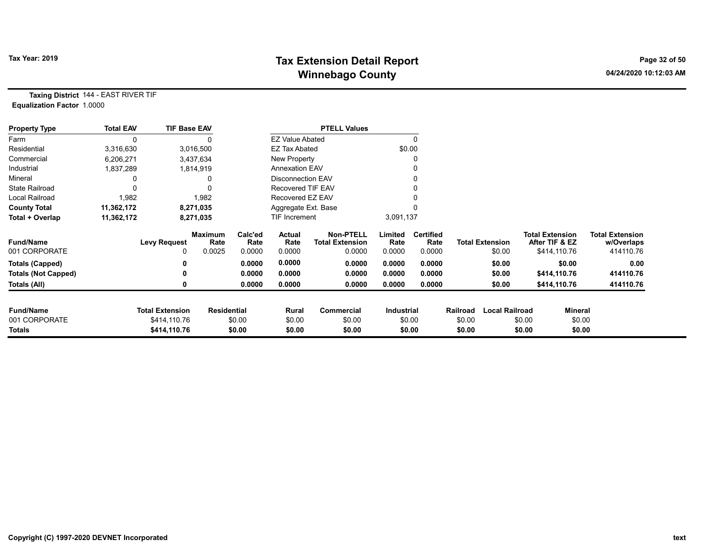# Tax Year: 2019 **Tax Extension Detail Report** Tax Year: 2019 **Page 32 of 50** Winnebago County and the County of the County of the County of the County of the County of the County of the County of the County of the County of the County of the County of the County of the County of the County of the C

Taxing District 144 - EAST RIVER TIF Equalization Factor 1.0000

| <b>Property Type</b>       | <b>Total EAV</b> | <b>TIF Base EAV</b>    |                        |                 |                          | <b>PTELL Values</b>                        |                   |                          |          |                        |                                          |                                      |
|----------------------------|------------------|------------------------|------------------------|-----------------|--------------------------|--------------------------------------------|-------------------|--------------------------|----------|------------------------|------------------------------------------|--------------------------------------|
| Farm                       | 0                |                        |                        |                 | EZ Value Abated          |                                            |                   | 0                        |          |                        |                                          |                                      |
| Residential                | 3,316,630        |                        | 3,016,500              |                 | <b>EZ Tax Abated</b>     |                                            |                   | \$0.00                   |          |                        |                                          |                                      |
| Commercial                 | 6,206,271        |                        | 3,437,634              |                 | New Property             |                                            |                   |                          |          |                        |                                          |                                      |
| Industrial                 | 1,837,289        |                        | 1,814,919              |                 | <b>Annexation EAV</b>    |                                            |                   |                          |          |                        |                                          |                                      |
| Mineral                    |                  |                        |                        |                 | <b>Disconnection EAV</b> |                                            |                   |                          |          |                        |                                          |                                      |
| <b>State Railroad</b>      |                  |                        |                        |                 | Recovered TIF EAV        |                                            |                   |                          |          |                        |                                          |                                      |
| <b>Local Railroad</b>      | 1,982            |                        | 1,982                  |                 | Recovered EZ EAV         |                                            |                   |                          |          |                        |                                          |                                      |
| <b>County Total</b>        | 11,362,172       |                        | 8,271,035              |                 | Aggregate Ext. Base      |                                            |                   |                          |          |                        |                                          |                                      |
| Total + Overlap            | 11,362,172       |                        | 8,271,035              |                 | TIF Increment            |                                            | 3,091,137         |                          |          |                        |                                          |                                      |
| <b>Fund/Name</b>           |                  | <b>Levy Request</b>    | <b>Maximum</b><br>Rate | Calc'ed<br>Rate | Actual<br>Rate           | <b>Non-PTELL</b><br><b>Total Extension</b> | Limited<br>Rate   | <b>Certified</b><br>Rate |          | <b>Total Extension</b> | <b>Total Extension</b><br>After TIF & EZ | <b>Total Extension</b><br>w/Overlaps |
| 001 CORPORATE              |                  | 0                      | 0.0025                 | 0.0000          | 0.0000                   | 0.0000                                     | 0.0000            | 0.0000                   |          | \$0.00                 | \$414,110.76                             | 414110.76                            |
| Totals (Capped)            |                  | 0                      |                        | 0.0000          | 0.0000                   | 0.0000                                     | 0.0000            | 0.0000                   |          | \$0.00                 | \$0.00                                   | 0.00                                 |
| <b>Totals (Not Capped)</b> |                  | 0                      |                        | 0.0000          | 0.0000                   | 0.0000                                     | 0.0000            | 0.0000                   |          | \$0.00                 | \$414,110.76                             | 414110.76                            |
| Totals (All)               |                  | 0                      |                        | 0.0000          | 0.0000                   | 0.0000                                     | 0.0000            | 0.0000                   |          | \$0.00                 | \$414,110.76                             | 414110.76                            |
| <b>Fund/Name</b>           |                  | <b>Total Extension</b> | <b>Residential</b>     |                 | Rural                    | Commercial                                 | <b>Industrial</b> |                          | Railroad | <b>Local Railroad</b>  |                                          | <b>Mineral</b>                       |
| 001 CORPORATE              |                  | \$414,110.76           |                        | \$0.00          | \$0.00                   | \$0.00                                     |                   | \$0.00                   | \$0.00   |                        | \$0.00                                   | \$0.00                               |
| <b>Totals</b>              |                  | \$414,110.76           |                        | \$0.00          | \$0.00                   | \$0.00                                     |                   | \$0.00                   | \$0.00   |                        | \$0.00                                   | \$0.00                               |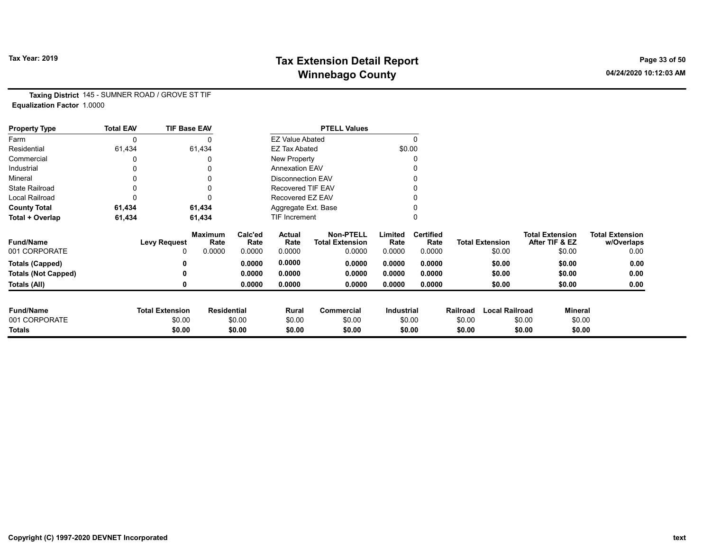# Tax Year: 2019 **Tax Extension Detail Report** Tax Year: 2019 **Page 33 of 50** Winnebago County and the County of the County of the County of the County of the County of the County of the County of the County of the County of the County of the County of the County of the County of the County of the C

Taxing District 145 - SUMNER ROAD / GROVE ST TIF Equalization Factor 1.0000

| <b>Property Type</b>       | <b>Total EAV</b> | <b>TIF Base EAV</b>    |                        |                 |                          | <b>PTELL Values</b>                        |                   |                          |          |                        |                                          |                                      |
|----------------------------|------------------|------------------------|------------------------|-----------------|--------------------------|--------------------------------------------|-------------------|--------------------------|----------|------------------------|------------------------------------------|--------------------------------------|
| Farm                       | 0                |                        | 0                      |                 | <b>EZ Value Abated</b>   |                                            |                   | 0                        |          |                        |                                          |                                      |
| Residential                | 61,434           |                        | 61,434                 |                 | <b>EZ Tax Abated</b>     |                                            | \$0.00            |                          |          |                        |                                          |                                      |
| Commercial                 | 0                |                        | 0                      |                 | New Property             |                                            |                   |                          |          |                        |                                          |                                      |
| Industrial                 |                  |                        | 0                      |                 | <b>Annexation EAV</b>    |                                            |                   |                          |          |                        |                                          |                                      |
| Mineral                    |                  |                        | 0                      |                 | <b>Disconnection EAV</b> |                                            |                   |                          |          |                        |                                          |                                      |
| <b>State Railroad</b>      | 0                |                        | 0                      |                 | Recovered TIF EAV        |                                            |                   |                          |          |                        |                                          |                                      |
| Local Railroad             | 0                |                        | 0                      |                 | Recovered EZ EAV         |                                            |                   |                          |          |                        |                                          |                                      |
| <b>County Total</b>        | 61,434           |                        | 61,434                 |                 | Aggregate Ext. Base      |                                            |                   |                          |          |                        |                                          |                                      |
| Total + Overlap            | 61,434           |                        | 61,434                 |                 | TIF Increment            |                                            |                   | 0                        |          |                        |                                          |                                      |
| <b>Fund/Name</b>           |                  | <b>Levy Request</b>    | <b>Maximum</b><br>Rate | Calc'ed<br>Rate | <b>Actual</b><br>Rate    | <b>Non-PTELL</b><br><b>Total Extension</b> | Limited<br>Rate   | <b>Certified</b><br>Rate |          | <b>Total Extension</b> | <b>Total Extension</b><br>After TIF & EZ | <b>Total Extension</b><br>w/Overlaps |
| 001 CORPORATE              |                  |                        | 0.0000                 | 0.0000          | 0.0000                   | 0.0000                                     | 0.0000            | 0.0000                   |          | \$0.00                 | \$0.00                                   | 0.00                                 |
| <b>Totals (Capped)</b>     |                  |                        |                        | 0.0000          | 0.0000                   | 0.0000                                     | 0.0000            | 0.0000                   |          | \$0.00                 | \$0.00                                   | 0.00                                 |
| <b>Totals (Not Capped)</b> |                  |                        |                        | 0.0000          | 0.0000                   | 0.0000                                     | 0.0000            | 0.0000                   |          | \$0.00                 | \$0.00                                   | 0.00                                 |
| Totals (All)               |                  |                        |                        | 0.0000          | 0.0000                   | 0.0000                                     | 0.0000            | 0.0000                   |          | \$0.00                 | \$0.00                                   | 0.00                                 |
|                            |                  |                        |                        |                 |                          |                                            |                   |                          |          |                        |                                          |                                      |
| <b>Fund/Name</b>           |                  | <b>Total Extension</b> | <b>Residential</b>     |                 | Rural                    | Commercial                                 | <b>Industrial</b> |                          | Railroad | <b>Local Railroad</b>  | Mineral                                  |                                      |
| 001 CORPORATE              |                  | \$0.00                 |                        | \$0.00          | \$0.00                   | \$0.00                                     | \$0.00            |                          | \$0.00   |                        | \$0.00                                   | \$0.00                               |
| <b>Totals</b>              |                  | \$0.00                 |                        | \$0.00          | \$0.00                   | \$0.00                                     | \$0.00            |                          | \$0.00   |                        | \$0.00                                   | \$0.00                               |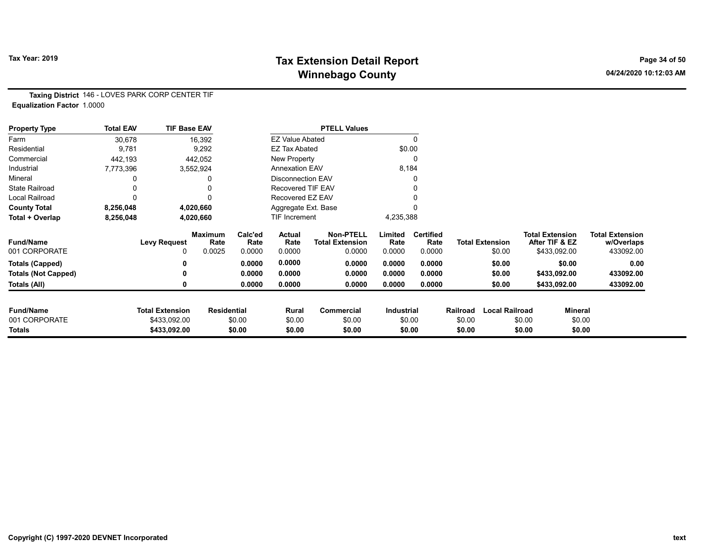# Tax Year: 2019 **Tax Extension Detail Report** Tax Year: 2019 **Page 34 of 50** Winnebago County and the County of the County of the County of the County of the County of the County of the County of the County of the County of the County of the County of the County of the County of the County of the C

Taxing District 146 - LOVES PARK CORP CENTER TIF Equalization Factor 1.0000

| <b>Property Type</b>       | <b>Total EAV</b> | <b>TIF Base EAV</b>    |                        |                 |                        | <b>PTELL Values</b>                        |                 |                          |          |                        |        |                                          |                                      |
|----------------------------|------------------|------------------------|------------------------|-----------------|------------------------|--------------------------------------------|-----------------|--------------------------|----------|------------------------|--------|------------------------------------------|--------------------------------------|
| Farm                       | 30,678           |                        | 16,392                 |                 | <b>EZ Value Abated</b> |                                            |                 |                          |          |                        |        |                                          |                                      |
| Residential                | 9,781            |                        | 9,292                  |                 | EZ Tax Abated          |                                            | \$0.00          |                          |          |                        |        |                                          |                                      |
| Commercial                 | 442,193          |                        | 442,052                |                 | New Property           |                                            |                 |                          |          |                        |        |                                          |                                      |
| Industrial                 | 7,773,396        |                        | 3,552,924              |                 | Annexation EAV         |                                            | 8,184           |                          |          |                        |        |                                          |                                      |
| Mineral                    |                  |                        |                        |                 | Disconnection EAV      |                                            |                 |                          |          |                        |        |                                          |                                      |
| <b>State Railroad</b>      |                  |                        |                        |                 | Recovered TIF EAV      |                                            |                 |                          |          |                        |        |                                          |                                      |
| Local Railroad             | 0                |                        |                        |                 | Recovered EZ EAV       |                                            |                 |                          |          |                        |        |                                          |                                      |
| <b>County Total</b>        | 8,256,048        |                        | 4,020,660              |                 | Aggregate Ext. Base    |                                            |                 |                          |          |                        |        |                                          |                                      |
| Total + Overlap            | 8,256,048        |                        | 4,020,660              |                 | TIF Increment          |                                            | 4,235,388       |                          |          |                        |        |                                          |                                      |
| <b>Fund/Name</b>           |                  | <b>Levy Request</b>    | <b>Maximum</b><br>Rate | Calc'ed<br>Rate | <b>Actual</b><br>Rate  | <b>Non-PTELL</b><br><b>Total Extension</b> | Limited<br>Rate | <b>Certified</b><br>Rate |          | <b>Total Extension</b> |        | <b>Total Extension</b><br>After TIF & EZ | <b>Total Extension</b><br>w/Overlaps |
| 001 CORPORATE              |                  | $\Omega$               | 0.0025                 | 0.0000          | 0.0000                 | 0.0000                                     | 0.0000          | 0.0000                   |          | \$0.00                 |        | \$433,092.00                             | 433092.00                            |
| <b>Totals (Capped)</b>     |                  |                        |                        | 0.0000          | 0.0000                 | 0.0000                                     | 0.0000          | 0.0000                   |          | \$0.00                 |        | \$0.00                                   | 0.00                                 |
| <b>Totals (Not Capped)</b> |                  |                        |                        | 0.0000          | 0.0000                 | 0.0000                                     | 0.0000          | 0.0000                   |          | \$0.00                 |        | \$433,092.00                             | 433092.00                            |
| Totals (All)               |                  |                        |                        | 0.0000          | 0.0000                 | 0.0000                                     | 0.0000          | 0.0000                   |          | \$0.00                 |        | \$433,092.00                             | 433092.00                            |
| <b>Fund/Name</b>           |                  | <b>Total Extension</b> | <b>Residential</b>     |                 | Rural                  | Commercial                                 | Industrial      |                          | Railroad | <b>Local Railroad</b>  |        | Mineral                                  |                                      |
| 001 CORPORATE              |                  | \$433,092.00           |                        | \$0.00          | \$0.00                 | \$0.00                                     |                 | \$0.00                   | \$0.00   |                        | \$0.00 | \$0.00                                   |                                      |
| Totals                     |                  | \$433,092.00           |                        | \$0.00          | \$0.00                 | \$0.00                                     |                 | \$0.00                   | \$0.00   |                        | \$0.00 | \$0.00                                   |                                      |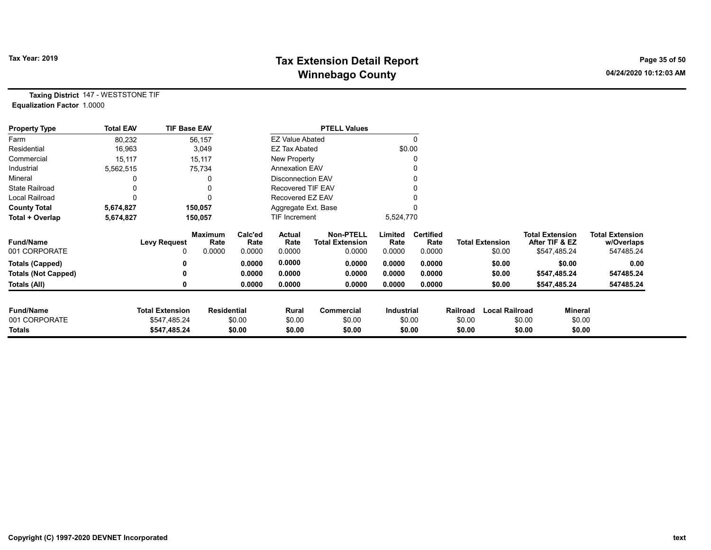# Tax Year: 2019 **Tax Extension Detail Report** Tax Year: 2019 **Page 35 of 50** Winnebago County and the County of the County of the County of the County of the County of the County of the County of the County of the County of the County of the County of the County of the County of the County of the C

Taxing District 147 - WESTSTONE TIF Equalization Factor 1.0000

| <b>Property Type</b>       | <b>Total EAV</b> | <b>TIF Base EAV</b>    |                        |                 |                          | <b>PTELL Values</b>                        |                 |                          |          |                        |                                          |              |                                      |
|----------------------------|------------------|------------------------|------------------------|-----------------|--------------------------|--------------------------------------------|-----------------|--------------------------|----------|------------------------|------------------------------------------|--------------|--------------------------------------|
| Farm                       | 80,232           |                        | 56,157                 |                 | <b>EZ Value Abated</b>   |                                            |                 |                          |          |                        |                                          |              |                                      |
| Residential                | 16,963           |                        | 3,049                  |                 | EZ Tax Abated            |                                            | \$0.00          |                          |          |                        |                                          |              |                                      |
| Commercial                 | 15,117           |                        | 15,117                 |                 | New Property             |                                            |                 |                          |          |                        |                                          |              |                                      |
| Industrial                 | 5,562,515        |                        | 75,734                 |                 | <b>Annexation EAV</b>    |                                            |                 |                          |          |                        |                                          |              |                                      |
| Mineral                    |                  |                        | 0                      |                 | <b>Disconnection EAV</b> |                                            |                 |                          |          |                        |                                          |              |                                      |
| <b>State Railroad</b>      |                  |                        | 0                      |                 | Recovered TIF EAV        |                                            |                 |                          |          |                        |                                          |              |                                      |
| <b>Local Railroad</b>      |                  |                        | $\Omega$               |                 | Recovered EZ EAV         |                                            |                 |                          |          |                        |                                          |              |                                      |
| <b>County Total</b>        | 5,674,827        |                        | 150,057                |                 | Aggregate Ext. Base      |                                            |                 |                          |          |                        |                                          |              |                                      |
| Total + Overlap            | 5,674,827        |                        | 150,057                |                 | TIF Increment            |                                            | 5,524,770       |                          |          |                        |                                          |              |                                      |
| <b>Fund/Name</b>           |                  | <b>Levy Request</b>    | <b>Maximum</b><br>Rate | Calc'ed<br>Rate | Actual<br>Rate           | <b>Non-PTELL</b><br><b>Total Extension</b> | Limited<br>Rate | <b>Certified</b><br>Rate |          | <b>Total Extension</b> | <b>Total Extension</b><br>After TIF & EZ |              | <b>Total Extension</b><br>w/Overlaps |
| 001 CORPORATE              |                  | 0                      | 0.0000                 | 0.0000          | 0.0000                   | 0.0000                                     | 0.0000          | 0.0000                   |          | \$0.00                 |                                          | \$547,485.24 | 547485.24                            |
| <b>Totals (Capped)</b>     |                  |                        |                        | 0.0000          | 0.0000                   | 0.0000                                     | 0.0000          | 0.0000                   |          | \$0.00                 |                                          | \$0.00       | 0.00                                 |
| <b>Totals (Not Capped)</b> |                  |                        |                        | 0.0000          | 0.0000                   | 0.0000                                     | 0.0000          | 0.0000                   |          | \$0.00                 |                                          | \$547,485.24 | 547485.24                            |
| Totals (All)               |                  |                        |                        | 0.0000          | 0.0000                   | 0.0000                                     | 0.0000          | 0.0000                   |          | \$0.00                 |                                          | \$547,485.24 | 547485.24                            |
| <b>Fund/Name</b>           |                  | <b>Total Extension</b> | <b>Residential</b>     |                 | Rural                    | <b>Commercial</b>                          | Industrial      |                          | Railroad | <b>Local Railroad</b>  |                                          | Mineral      |                                      |
| 001 CORPORATE              |                  | \$547,485.24           |                        | \$0.00          | \$0.00                   | \$0.00                                     |                 | \$0.00                   | \$0.00   |                        | \$0.00                                   | \$0.00       |                                      |
| Totals                     |                  | \$547,485.24           |                        | \$0.00          | \$0.00                   | \$0.00                                     |                 | \$0.00                   | \$0.00   |                        | \$0.00                                   | \$0.00       |                                      |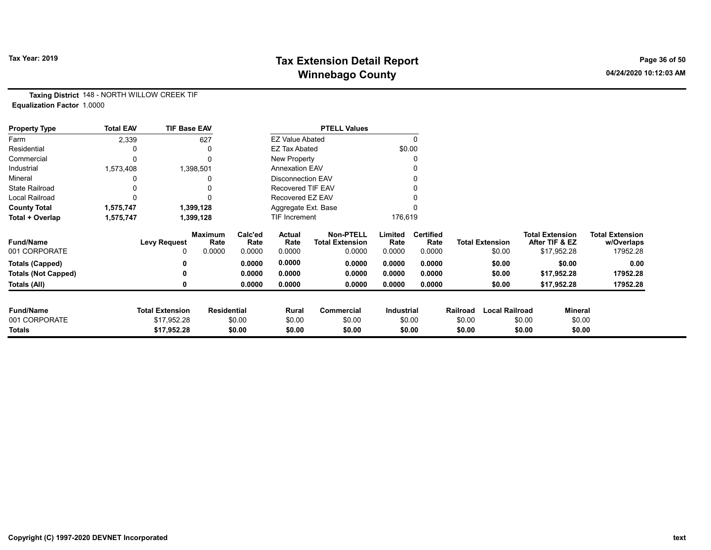# Tax Year: 2019 **Tax Extension Detail Report** Tax Year: 2019 **Page 36 of 50** Winnebago County and the County of the County of the County of the County of the County of the County of the County of the County of the County of the County of the County of the County of the County of the County of the C

Taxing District 148 - NORTH WILLOW CREEK TIF Equalization Factor 1.0000

| <b>Property Type</b>       | <b>Total EAV</b> | <b>TIF Base EAV</b>    |                        |                 |                        | <b>PTELL Values</b>                        |                   |                          |          |                        |        |                                          |                                      |
|----------------------------|------------------|------------------------|------------------------|-----------------|------------------------|--------------------------------------------|-------------------|--------------------------|----------|------------------------|--------|------------------------------------------|--------------------------------------|
| Farm                       | 2,339            |                        | 627                    |                 | <b>EZ Value Abated</b> |                                            |                   |                          |          |                        |        |                                          |                                      |
| Residential                |                  |                        |                        |                 | <b>EZ Tax Abated</b>   |                                            |                   | \$0.00                   |          |                        |        |                                          |                                      |
| Commercial                 |                  |                        |                        |                 | New Property           |                                            |                   |                          |          |                        |        |                                          |                                      |
| Industrial                 | 1,573,408        |                        | 1,398,501              |                 | <b>Annexation EAV</b>  |                                            |                   |                          |          |                        |        |                                          |                                      |
| Mineral                    |                  |                        |                        |                 | Disconnection EAV      |                                            |                   |                          |          |                        |        |                                          |                                      |
| <b>State Railroad</b>      |                  |                        |                        |                 | Recovered TIF EAV      |                                            |                   |                          |          |                        |        |                                          |                                      |
| <b>Local Railroad</b>      |                  |                        |                        |                 | Recovered EZ EAV       |                                            |                   |                          |          |                        |        |                                          |                                      |
| <b>County Total</b>        | 1,575,747        |                        | 1,399,128              |                 | Aggregate Ext. Base    |                                            |                   |                          |          |                        |        |                                          |                                      |
| Total + Overlap            | 1,575,747        |                        | 1,399,128              |                 | <b>TIF Increment</b>   |                                            | 176,619           |                          |          |                        |        |                                          |                                      |
| <b>Fund/Name</b>           |                  | <b>Levy Request</b>    | <b>Maximum</b><br>Rate | Calc'ed<br>Rate | Actual<br>Rate         | <b>Non-PTELL</b><br><b>Total Extension</b> | Limited<br>Rate   | <b>Certified</b><br>Rate |          | <b>Total Extension</b> |        | <b>Total Extension</b><br>After TIF & EZ | <b>Total Extension</b><br>w/Overlaps |
| 001 CORPORATE              |                  | 0                      | 0.0000                 | 0.0000          | 0.0000                 | 0.0000                                     | 0.0000            | 0.0000                   |          | \$0.00                 |        | \$17,952.28                              | 17952.28                             |
| <b>Totals (Capped)</b>     |                  |                        |                        | 0.0000          | 0.0000                 | 0.0000                                     | 0.0000            | 0.0000                   |          | \$0.00                 |        | \$0.00                                   | 0.00                                 |
| <b>Totals (Not Capped)</b> |                  |                        |                        | 0.0000          | 0.0000                 | 0.0000                                     | 0.0000            | 0.0000                   |          | \$0.00                 |        | \$17,952.28                              | 17952.28                             |
| Totals (All)               |                  | 0                      |                        | 0.0000          | 0.0000                 | 0.0000                                     | 0.0000            | 0.0000                   |          | \$0.00                 |        | \$17,952.28                              | 17952.28                             |
| <b>Fund/Name</b>           |                  | <b>Total Extension</b> | <b>Residential</b>     |                 | Rural                  | Commercial                                 | <b>Industrial</b> |                          | Railroad | <b>Local Railroad</b>  |        | Mineral                                  |                                      |
| 001 CORPORATE              |                  | \$17,952.28            |                        | \$0.00          | \$0.00                 | \$0.00                                     |                   | \$0.00                   | \$0.00   |                        | \$0.00 | \$0.00                                   |                                      |
| <b>Totals</b>              |                  | \$17,952.28            |                        | \$0.00          | \$0.00                 | \$0.00                                     |                   | \$0.00                   | \$0.00   |                        | \$0.00 | \$0.00                                   |                                      |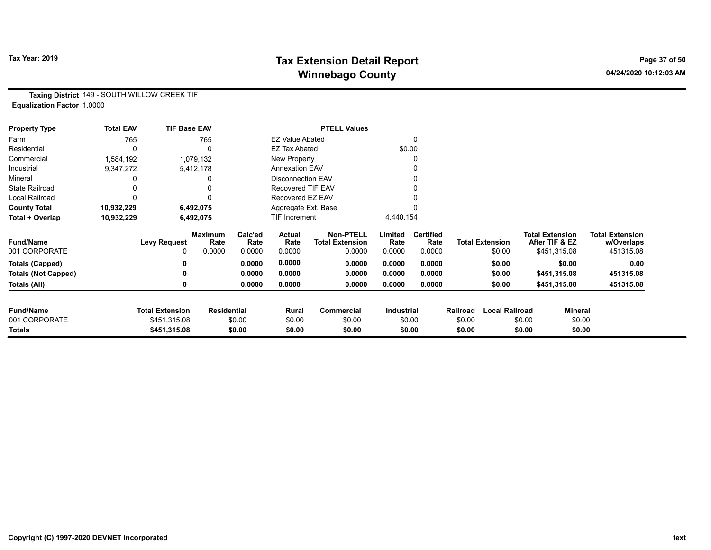# Tax Year: 2019 **Tax Extension Detail Report** Tax Year: 2019 **Page 37 of 50** Winnebago County and the County of the County of the County of the County of the County of the County of the County of the County of the County of the County of the County of the County of the County of the County of the C

Taxing District 149 - SOUTH WILLOW CREEK TIF Equalization Factor 1.0000

| <b>Property Type</b>       | <b>Total EAV</b> | <b>TIF Base EAV</b>    |                        |                 |                          | <b>PTELL Values</b>                        |                   |                          |          |                        |                                          |                                      |
|----------------------------|------------------|------------------------|------------------------|-----------------|--------------------------|--------------------------------------------|-------------------|--------------------------|----------|------------------------|------------------------------------------|--------------------------------------|
| Farm                       | 765              |                        | 765                    |                 | <b>EZ Value Abated</b>   |                                            |                   |                          |          |                        |                                          |                                      |
| Residential                |                  |                        |                        |                 | <b>EZ Tax Abated</b>     |                                            |                   | \$0.00                   |          |                        |                                          |                                      |
| Commercial                 | 1,584,192        |                        | 1,079,132              |                 | New Property             |                                            |                   |                          |          |                        |                                          |                                      |
| Industrial                 | 9,347,272        |                        | 5,412,178              |                 | <b>Annexation EAV</b>    |                                            |                   |                          |          |                        |                                          |                                      |
| Mineral                    |                  |                        |                        |                 | <b>Disconnection EAV</b> |                                            |                   |                          |          |                        |                                          |                                      |
| <b>State Railroad</b>      |                  |                        |                        |                 | <b>Recovered TIF EAV</b> |                                            |                   |                          |          |                        |                                          |                                      |
| Local Railroad             |                  |                        |                        |                 | Recovered EZ EAV         |                                            |                   |                          |          |                        |                                          |                                      |
| <b>County Total</b>        | 10,932,229       |                        | 6,492,075              |                 | Aggregate Ext. Base      |                                            |                   |                          |          |                        |                                          |                                      |
| Total + Overlap            | 10,932,229       |                        | 6,492,075              |                 | TIF Increment            |                                            | 4,440,154         |                          |          |                        |                                          |                                      |
| <b>Fund/Name</b>           |                  | <b>Levy Request</b>    | <b>Maximum</b><br>Rate | Calc'ed<br>Rate | Actual<br>Rate           | <b>Non-PTELL</b><br><b>Total Extension</b> | Limited<br>Rate   | <b>Certified</b><br>Rate |          | <b>Total Extension</b> | <b>Total Extension</b><br>After TIF & EZ | <b>Total Extension</b><br>w/Overlaps |
| 001 CORPORATE              |                  | 0                      | 0.0000                 | 0.0000          | 0.0000                   | 0.0000                                     | 0.0000            | 0.0000                   |          | \$0.00                 | \$451,315.08                             | 451315.08                            |
| <b>Totals (Capped)</b>     |                  |                        |                        | 0.0000          | 0.0000                   | 0.0000                                     | 0.0000            | 0.0000                   |          | \$0.00                 | \$0.00                                   | 0.00                                 |
| <b>Totals (Not Capped)</b> |                  |                        |                        | 0.0000          | 0.0000                   | 0.0000                                     | 0.0000            | 0.0000                   |          | \$0.00                 | \$451,315.08                             | 451315.08                            |
| Totals (All)               |                  |                        |                        | 0.0000          | 0.0000                   | 0.0000                                     | 0.0000            | 0.0000                   |          | \$0.00                 | \$451,315.08                             | 451315.08                            |
| <b>Fund/Name</b>           |                  | <b>Total Extension</b> | <b>Residential</b>     |                 | Rural                    | <b>Commercial</b>                          | <b>Industrial</b> |                          | Railroad | <b>Local Railroad</b>  |                                          | Mineral                              |
| 001 CORPORATE              |                  | \$451,315.08           |                        | \$0.00          | \$0.00                   | \$0.00                                     |                   | \$0.00                   | \$0.00   |                        | \$0.00                                   | \$0.00                               |
| Totals                     |                  | \$451,315.08           |                        | \$0.00          | \$0.00                   | \$0.00                                     |                   | \$0.00                   | \$0.00   |                        | \$0.00                                   | \$0.00                               |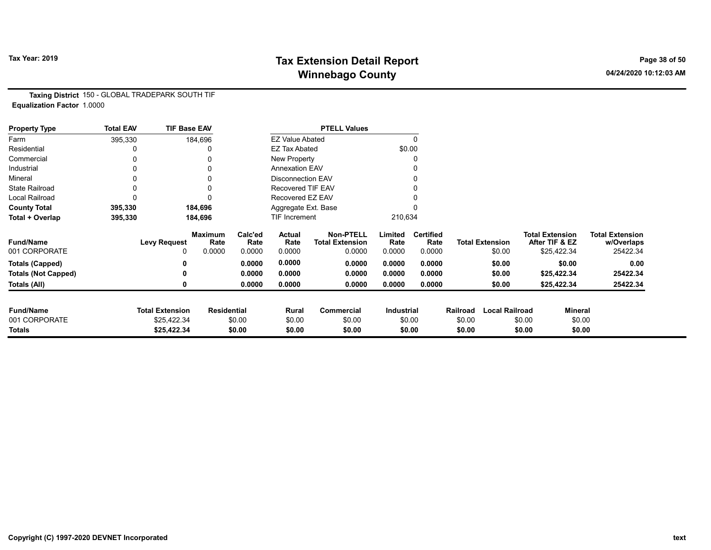# Tax Year: 2019 **Tax Extension Detail Report** Tax Year: 2019 **Page 38 of 50** Winnebago County and the County of the County of the County of the County of the County of the County of the County of the County of the County of the County of the County of the County of the County of the County of the C

Taxing District 150 - GLOBAL TRADEPARK SOUTH TIF Equalization Factor 1.0000

| <b>Property Type</b>       | <b>Total EAV</b> | <b>TIF Base EAV</b>    |                        |                 |                          | <b>PTELL Values</b>                        |                 |                          |          |                        |                                          |         |                                      |
|----------------------------|------------------|------------------------|------------------------|-----------------|--------------------------|--------------------------------------------|-----------------|--------------------------|----------|------------------------|------------------------------------------|---------|--------------------------------------|
| Farm                       | 395,330          |                        | 184,696                |                 | <b>EZ Value Abated</b>   |                                            |                 | $\Omega$                 |          |                        |                                          |         |                                      |
| Residential                |                  |                        | 0                      |                 | <b>EZ Tax Abated</b>     |                                            |                 | \$0.00                   |          |                        |                                          |         |                                      |
| Commercial                 | 0                |                        | 0                      |                 | New Property             |                                            |                 | 0                        |          |                        |                                          |         |                                      |
| Industrial                 |                  |                        |                        |                 | <b>Annexation EAV</b>    |                                            |                 | 0                        |          |                        |                                          |         |                                      |
| Mineral                    |                  |                        | 0                      |                 | <b>Disconnection EAV</b> |                                            |                 | 0                        |          |                        |                                          |         |                                      |
| <b>State Railroad</b>      | 0                |                        | 0                      |                 | Recovered TIF EAV        |                                            |                 |                          |          |                        |                                          |         |                                      |
| Local Railroad             | 0                |                        | 0                      |                 | Recovered EZ EAV         |                                            |                 |                          |          |                        |                                          |         |                                      |
| <b>County Total</b>        | 395,330          |                        | 184,696                |                 | Aggregate Ext. Base      |                                            |                 |                          |          |                        |                                          |         |                                      |
| Total + Overlap            | 395,330          |                        | 184,696                |                 | TIF Increment            |                                            | 210,634         |                          |          |                        |                                          |         |                                      |
| <b>Fund/Name</b>           |                  | <b>Levy Request</b>    | <b>Maximum</b><br>Rate | Calc'ed<br>Rate | Actual<br>Rate           | <b>Non-PTELL</b><br><b>Total Extension</b> | Limited<br>Rate | <b>Certified</b><br>Rate |          | <b>Total Extension</b> | <b>Total Extension</b><br>After TIF & EZ |         | <b>Total Extension</b><br>w/Overlaps |
| 001 CORPORATE              |                  | 0                      | 0.0000                 | 0.0000          | 0.0000                   | 0.0000                                     | 0.0000          | 0.0000                   |          | \$0.00                 | \$25,422.34                              |         | 25422.34                             |
| <b>Totals (Capped)</b>     |                  | 0                      |                        | 0.0000          | 0.0000                   | 0.0000                                     | 0.0000          | 0.0000                   |          | \$0.00                 |                                          | \$0.00  | 0.00                                 |
| <b>Totals (Not Capped)</b> |                  | 0                      |                        | 0.0000          | 0.0000                   | 0.0000                                     | 0.0000          | 0.0000                   |          | \$0.00                 | \$25,422.34                              |         | 25422.34                             |
| Totals (All)               |                  | 0                      |                        | 0.0000          | 0.0000                   | 0.0000                                     | 0.0000          | 0.0000                   |          | \$0.00                 | \$25,422.34                              |         | 25422.34                             |
| <b>Fund/Name</b>           |                  | <b>Total Extension</b> | <b>Residential</b>     |                 | Rural                    | <b>Commercial</b>                          | Industrial      |                          | Railroad | <b>Local Railroad</b>  |                                          | Mineral |                                      |
| 001 CORPORATE              |                  | \$25,422.34            |                        | \$0.00          | \$0.00                   | \$0.00                                     |                 | \$0.00                   | \$0.00   |                        | \$0.00                                   | \$0.00  |                                      |
| <b>Totals</b>              |                  | \$25,422.34            |                        | \$0.00          | \$0.00                   | \$0.00                                     |                 | \$0.00                   | \$0.00   |                        | \$0.00                                   | \$0.00  |                                      |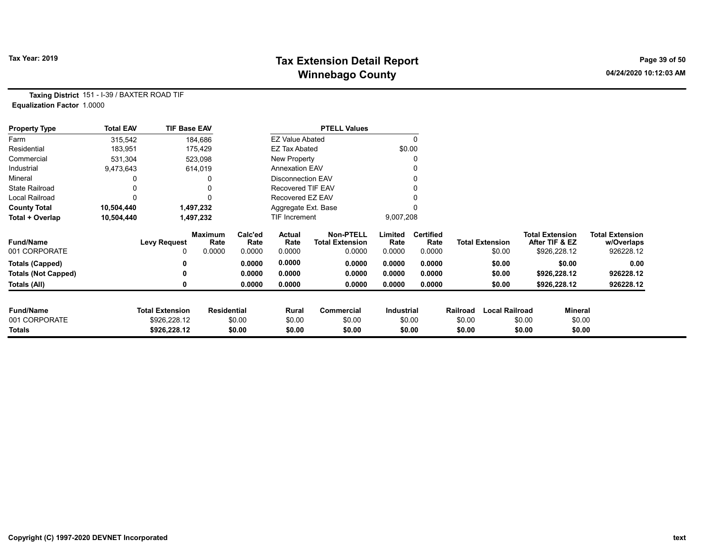# Tax Year: 2019 **Tax Extension Detail Report** Tax Year: 2019 **Page 39 of 50** Winnebago County and the County of the County of the County of the County of the County of the County of the County of the County of the County of the County of the County of the County of the County of the County of the C

Taxing District 151 - I-39 / BAXTER ROAD TIF Equalization Factor 1.0000

| <b>Property Type</b>       | <b>Total EAV</b> | <b>TIF Base EAV</b>    |                    |                 |                          | <b>PTELL Values</b>                        |                   |                          |          |                        |                                          |         |                                      |
|----------------------------|------------------|------------------------|--------------------|-----------------|--------------------------|--------------------------------------------|-------------------|--------------------------|----------|------------------------|------------------------------------------|---------|--------------------------------------|
| Farm                       | 315,542          |                        | 184,686            |                 | <b>EZ Value Abated</b>   |                                            |                   |                          |          |                        |                                          |         |                                      |
| Residential                | 183,951          |                        | 175,429            |                 | <b>EZ Tax Abated</b>     |                                            | \$0.00            |                          |          |                        |                                          |         |                                      |
| Commercial                 | 531,304          |                        | 523,098            |                 | New Property             |                                            |                   |                          |          |                        |                                          |         |                                      |
| Industrial                 | 9,473,643        |                        | 614,019            |                 | <b>Annexation EAV</b>    |                                            |                   |                          |          |                        |                                          |         |                                      |
| Mineral                    |                  |                        |                    |                 | <b>Disconnection EAV</b> |                                            |                   |                          |          |                        |                                          |         |                                      |
| <b>State Railroad</b>      |                  |                        |                    |                 | Recovered TIF EAV        |                                            |                   |                          |          |                        |                                          |         |                                      |
| Local Railroad             |                  |                        |                    |                 | Recovered EZ EAV         |                                            |                   |                          |          |                        |                                          |         |                                      |
| <b>County Total</b>        | 10,504,440       |                        | 1,497,232          |                 | Aggregate Ext. Base      |                                            |                   |                          |          |                        |                                          |         |                                      |
| Total + Overlap            | 10,504,440       |                        | 1,497,232          |                 | TIF Increment            |                                            | 9,007,208         |                          |          |                        |                                          |         |                                      |
| <b>Fund/Name</b>           |                  | <b>Levy Request</b>    | Maximum<br>Rate    | Calc'ed<br>Rate | Actual<br>Rate           | <b>Non-PTELL</b><br><b>Total Extension</b> | Limited<br>Rate   | <b>Certified</b><br>Rate |          | <b>Total Extension</b> | <b>Total Extension</b><br>After TIF & EZ |         | <b>Total Extension</b><br>w/Overlaps |
| 001 CORPORATE              |                  | 0                      | 0.0000             | 0.0000          | 0.0000                   | 0.0000                                     | 0.0000            | 0.0000                   |          | \$0.00                 | \$926,228.12                             |         | 926228.12                            |
| <b>Totals (Capped)</b>     |                  | n                      |                    | 0.0000          | 0.0000                   | 0.0000                                     | 0.0000            | 0.0000                   |          | \$0.00                 |                                          | \$0.00  | 0.00                                 |
| <b>Totals (Not Capped)</b> |                  |                        |                    | 0.0000          | 0.0000                   | 0.0000                                     | 0.0000            | 0.0000                   |          | \$0.00                 | \$926,228.12                             |         | 926228.12                            |
| Totals (All)               |                  | 0                      |                    | 0.0000          | 0.0000                   | 0.0000                                     | 0.0000            | 0.0000                   |          | \$0.00                 | \$926,228.12                             |         | 926228.12                            |
| <b>Fund/Name</b>           |                  | <b>Total Extension</b> | <b>Residential</b> |                 | Rural                    | Commercial                                 | <b>Industrial</b> |                          | Railroad | <b>Local Railroad</b>  |                                          | Mineral |                                      |
| 001 CORPORATE              |                  | \$926,228.12           |                    | \$0.00          | \$0.00                   | \$0.00                                     |                   | \$0.00                   | \$0.00   |                        | \$0.00                                   | \$0.00  |                                      |
| Totals                     |                  | \$926,228.12           |                    | \$0.00          | \$0.00                   | \$0.00                                     |                   | \$0.00                   | \$0.00   |                        | \$0.00                                   | \$0.00  |                                      |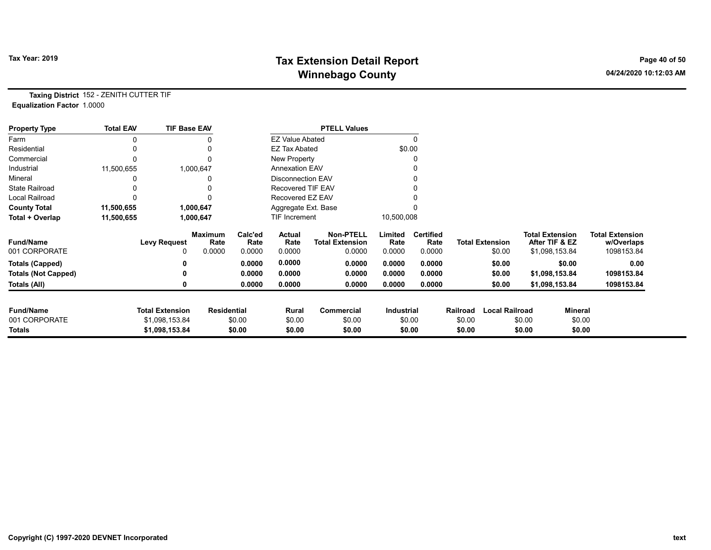# Tax Year: 2019 **Tax Extension Detail Report** Tax Year: 2019 **Page 40 of 50** Winnebago County and the County of the County of the County of the County of the County of the County of the County of the County of the County of the County of the County of the County of the County of the County of the C

Taxing District 152 - ZENITH CUTTER TIF Equalization Factor 1.0000

| <b>Property Type</b>       | <b>Total EAV</b> | <b>TIF Base EAV</b>    |                        |                 |                          | <b>PTELL Values</b>                        |                   |                          |          |                        |                                          |                                      |
|----------------------------|------------------|------------------------|------------------------|-----------------|--------------------------|--------------------------------------------|-------------------|--------------------------|----------|------------------------|------------------------------------------|--------------------------------------|
| Farm                       |                  |                        |                        |                 | <b>EZ Value Abated</b>   |                                            |                   |                          |          |                        |                                          |                                      |
| Residential                |                  |                        |                        |                 | <b>EZ Tax Abated</b>     |                                            |                   | \$0.00                   |          |                        |                                          |                                      |
| Commercial                 | 0                |                        |                        |                 | New Property             |                                            |                   |                          |          |                        |                                          |                                      |
| Industrial                 | 11,500,655       |                        | 1,000,647              |                 | <b>Annexation EAV</b>    |                                            |                   |                          |          |                        |                                          |                                      |
| Mineral                    |                  |                        |                        |                 | <b>Disconnection EAV</b> |                                            |                   |                          |          |                        |                                          |                                      |
| <b>State Railroad</b>      |                  |                        |                        |                 | <b>Recovered TIF EAV</b> |                                            |                   |                          |          |                        |                                          |                                      |
| <b>Local Railroad</b>      |                  |                        |                        |                 | Recovered EZ EAV         |                                            |                   |                          |          |                        |                                          |                                      |
| <b>County Total</b>        | 11,500,655       |                        | 1,000,647              |                 | Aggregate Ext. Base      |                                            |                   |                          |          |                        |                                          |                                      |
| Total + Overlap            | 11,500,655       |                        | 1,000,647              |                 | TIF Increment            |                                            | 10,500,008        |                          |          |                        |                                          |                                      |
| <b>Fund/Name</b>           |                  | <b>Levy Request</b>    | <b>Maximum</b><br>Rate | Calc'ed<br>Rate | Actual<br>Rate           | <b>Non-PTELL</b><br><b>Total Extension</b> | Limited<br>Rate   | <b>Certified</b><br>Rate |          | <b>Total Extension</b> | <b>Total Extension</b><br>After TIF & EZ | <b>Total Extension</b><br>w/Overlaps |
| 001 CORPORATE              |                  | 0                      | 0.0000                 | 0.0000          | 0.0000                   | 0.0000                                     | 0.0000            | 0.0000                   |          | \$0.00                 | \$1,098,153.84                           | 1098153.84                           |
| <b>Totals (Capped)</b>     |                  | 0                      |                        | 0.0000          | 0.0000                   | 0.0000                                     | 0.0000            | 0.0000                   |          | \$0.00                 | \$0.00                                   | 0.00                                 |
| <b>Totals (Not Capped)</b> |                  | ŋ                      |                        | 0.0000          | 0.0000                   | 0.0000                                     | 0.0000            | 0.0000                   |          | \$0.00                 | \$1,098,153.84                           | 1098153.84                           |
| Totals (All)               |                  | 0                      |                        | 0.0000          | 0.0000                   | 0.0000                                     | 0.0000            | 0.0000                   |          | \$0.00                 | \$1,098,153.84                           | 1098153.84                           |
|                            |                  |                        |                        |                 |                          |                                            |                   |                          |          |                        |                                          |                                      |
| <b>Fund/Name</b>           |                  | <b>Total Extension</b> | <b>Residential</b>     |                 | Rural                    | <b>Commercial</b>                          | <b>Industrial</b> |                          | Railroad | <b>Local Railroad</b>  | <b>Mineral</b>                           |                                      |
| 001 CORPORATE              |                  | \$1,098,153.84         |                        | \$0.00          | \$0.00                   | \$0.00                                     |                   | \$0.00                   | \$0.00   |                        | \$0.00                                   | \$0.00                               |
| <b>Totals</b>              |                  | \$1,098,153.84         |                        | \$0.00          | \$0.00                   | \$0.00                                     |                   | \$0.00                   | \$0.00   |                        | \$0.00                                   | \$0.00                               |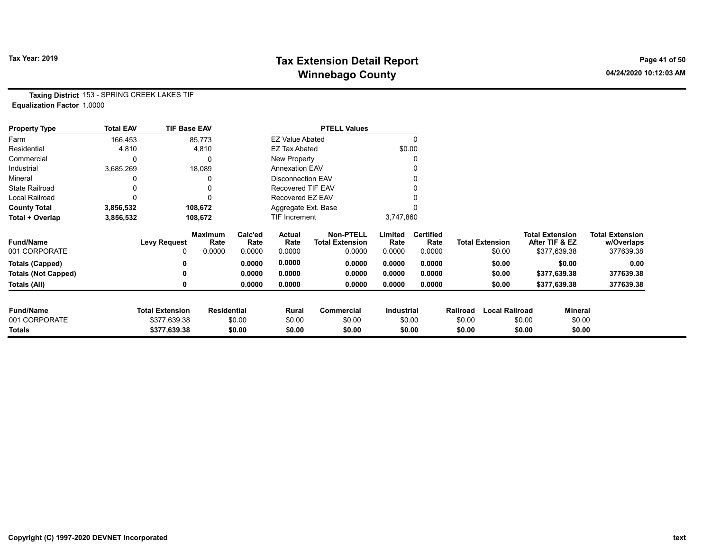# Tax Year: 2019 **Tax Extension Detail Report** Tax Year: 2019 **Page 41 of 50** Winnebago County and the County of the County of the County of the County of the County of the County of the County of the County of the County of the County of the County of the County of the County of the County of the C

Taxing District 153 - SPRING CREEK LAKES TIF Equalization Factor 1.0000

| <b>Property Type</b>       | <b>Total EAV</b> | <b>TIF Base EAV</b>    |                        |                 |                          | <b>PTELL Values</b>                 |                   |                          |                  |                        |        |                                          |                                      |
|----------------------------|------------------|------------------------|------------------------|-----------------|--------------------------|-------------------------------------|-------------------|--------------------------|------------------|------------------------|--------|------------------------------------------|--------------------------------------|
| Farm                       | 166,453          |                        | 85,773                 |                 | <b>EZ Value Abated</b>   |                                     |                   | 0                        |                  |                        |        |                                          |                                      |
| Residential                | 4,810            |                        | 4,810                  |                 | <b>EZ Tax Abated</b>     |                                     | \$0.00            |                          |                  |                        |        |                                          |                                      |
| Commercial                 |                  |                        |                        |                 | New Property             |                                     |                   | 0                        |                  |                        |        |                                          |                                      |
| Industrial                 | 3,685,269        |                        | 18,089                 |                 | <b>Annexation EAV</b>    |                                     |                   |                          |                  |                        |        |                                          |                                      |
| Mineral                    |                  |                        |                        |                 | <b>Disconnection EAV</b> |                                     |                   | 0                        |                  |                        |        |                                          |                                      |
| <b>State Railroad</b>      |                  |                        |                        |                 | <b>Recovered TIF EAV</b> |                                     |                   |                          |                  |                        |        |                                          |                                      |
| <b>Local Railroad</b>      |                  |                        |                        |                 | Recovered EZ EAV         |                                     |                   |                          |                  |                        |        |                                          |                                      |
| <b>County Total</b>        | 3,856,532        |                        | 108,672                |                 | Aggregate Ext. Base      |                                     |                   |                          |                  |                        |        |                                          |                                      |
| Total + Overlap            | 3,856,532        |                        | 108,672                |                 | TIF Increment            |                                     | 3,747,860         |                          |                  |                        |        |                                          |                                      |
| <b>Fund/Name</b>           |                  | <b>Levy Request</b>    | <b>Maximum</b><br>Rate | Calc'ed<br>Rate | Actual<br>Rate           | <b>Non-PTELL</b><br>Total Extension | Limited<br>Rate   | <b>Certified</b><br>Rate |                  | <b>Total Extension</b> |        | <b>Total Extension</b><br>After TIF & EZ | <b>Total Extension</b><br>w/Overlaps |
| 001 CORPORATE              |                  | 0                      | 0.0000                 | 0.0000          | 0.0000                   | 0.0000                              | 0.0000            | 0.0000                   |                  | \$0.00                 |        | \$377,639.38                             | 377639.38                            |
| <b>Totals (Capped)</b>     |                  |                        |                        | 0.0000          | 0.0000                   | 0.0000                              | 0.0000            | 0.0000                   |                  | \$0.00                 |        | \$0.00                                   | 0.00                                 |
| <b>Totals (Not Capped)</b> |                  |                        |                        | 0.0000          | 0.0000                   | 0.0000                              | 0.0000            | 0.0000                   |                  | \$0.00                 |        | \$377,639.38                             | 377639.38                            |
| Totals (All)               |                  |                        |                        | 0.0000          | 0.0000                   | 0.0000                              | 0.0000            | 0.0000                   |                  | \$0.00                 |        | \$377,639.38                             | 377639.38                            |
| <b>Fund/Name</b>           |                  | <b>Total Extension</b> |                        |                 |                          |                                     |                   |                          |                  | <b>Local Railroad</b>  |        |                                          |                                      |
| 001 CORPORATE              |                  | \$377,639.38           | <b>Residential</b>     | \$0.00          | Rural                    | Commercial<br>\$0.00                | <b>Industrial</b> |                          | Railroad         |                        | \$0.00 | Mineral                                  |                                      |
| <b>Totals</b>              |                  | \$377,639.38           |                        | \$0.00          | \$0.00<br>\$0.00         | \$0.00                              |                   | \$0.00<br>\$0.00         | \$0.00<br>\$0.00 |                        | \$0.00 | \$0.00<br>\$0.00                         |                                      |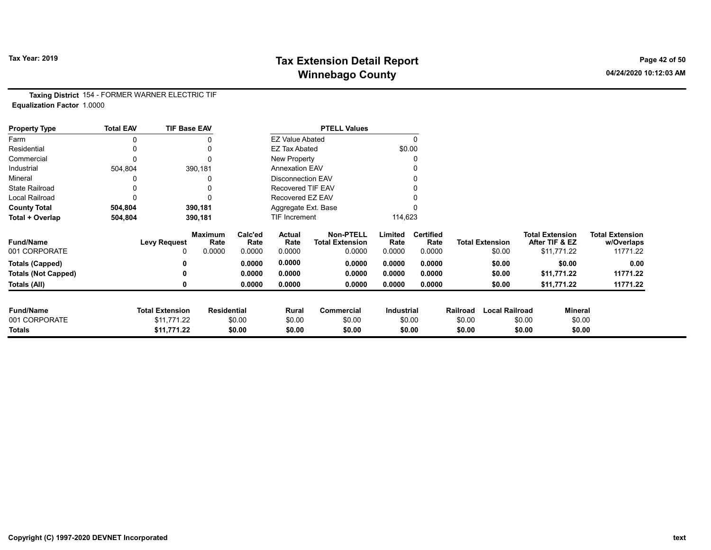# Tax Year: 2019 **Tax Extension Detail Report** Tax Year: 2019 **Page 42 of 50** Winnebago County and the County of the County of the County of the County of the County of the County of the County of the County of the County of the County of the County of the County of the County of the County of the C

Taxing District 154 - FORMER WARNER ELECTRIC TIF Equalization Factor 1.0000

| <b>Property Type</b>       | <b>Total EAV</b> | <b>TIF Base EAV</b>    |                        |                 |                          | <b>PTELL Values</b>                        |                   |                          |          |                        |                        |                |                                      |
|----------------------------|------------------|------------------------|------------------------|-----------------|--------------------------|--------------------------------------------|-------------------|--------------------------|----------|------------------------|------------------------|----------------|--------------------------------------|
| Farm                       | 0                |                        |                        |                 | <b>EZ Value Abated</b>   |                                            |                   | 0                        |          |                        |                        |                |                                      |
| Residential                | 0                |                        | 0                      |                 | <b>EZ Tax Abated</b>     |                                            | \$0.00            |                          |          |                        |                        |                |                                      |
| Commercial                 | 0                |                        | 0                      |                 | New Property             |                                            |                   |                          |          |                        |                        |                |                                      |
| Industrial                 | 504,804          |                        | 390,181                |                 | <b>Annexation EAV</b>    |                                            |                   |                          |          |                        |                        |                |                                      |
| Mineral                    |                  |                        | 0                      |                 | <b>Disconnection EAV</b> |                                            |                   |                          |          |                        |                        |                |                                      |
| <b>State Railroad</b>      |                  |                        | 0                      |                 | <b>Recovered TIF EAV</b> |                                            |                   |                          |          |                        |                        |                |                                      |
| Local Railroad             | 0                |                        | 0                      |                 | Recovered EZ EAV         |                                            |                   |                          |          |                        |                        |                |                                      |
| <b>County Total</b>        | 504,804          |                        | 390,181                |                 | Aggregate Ext. Base      |                                            |                   |                          |          |                        |                        |                |                                      |
| Total + Overlap            | 504,804          |                        | 390,181                |                 | TIF Increment            |                                            | 114,623           |                          |          |                        |                        |                |                                      |
| <b>Fund/Name</b>           |                  | <b>Levy Request</b>    | <b>Maximum</b><br>Rate | Calc'ed<br>Rate | <b>Actual</b><br>Rate    | <b>Non-PTELL</b><br><b>Total Extension</b> | Limited<br>Rate   | <b>Certified</b><br>Rate |          | <b>Total Extension</b> | <b>Total Extension</b> | After TIF & EZ | <b>Total Extension</b><br>w/Overlaps |
| 001 CORPORATE              |                  |                        | 0.0000                 | 0.0000          | 0.0000                   | 0.0000                                     | 0.0000            | 0.0000                   |          | \$0.00                 |                        | \$11,771.22    | 11771.22                             |
| <b>Totals (Capped)</b>     |                  |                        |                        | 0.0000          | 0.0000                   | 0.0000                                     | 0.0000            | 0.0000                   |          | \$0.00                 |                        | \$0.00         | 0.00                                 |
| <b>Totals (Not Capped)</b> |                  |                        |                        | 0.0000          | 0.0000                   | 0.0000                                     | 0.0000            | 0.0000                   |          | \$0.00                 |                        | \$11,771.22    | 11771.22                             |
| Totals (All)               |                  |                        |                        | 0.0000          | 0.0000                   | 0.0000                                     | 0.0000            | 0.0000                   |          | \$0.00                 |                        | \$11,771.22    | 11771.22                             |
| <b>Fund/Name</b>           |                  | <b>Total Extension</b> | <b>Residential</b>     |                 | Rural                    | Commercial                                 | <b>Industrial</b> |                          | Railroad | <b>Local Railroad</b>  |                        | Mineral        |                                      |
| 001 CORPORATE              |                  | \$11,771.22            |                        | \$0.00          | \$0.00                   | \$0.00                                     |                   | \$0.00                   | \$0.00   |                        | \$0.00                 | \$0.00         |                                      |
| <b>Totals</b>              |                  | \$11,771.22            |                        | \$0.00          | \$0.00                   | \$0.00                                     |                   | \$0.00                   | \$0.00   |                        | \$0.00                 | \$0.00         |                                      |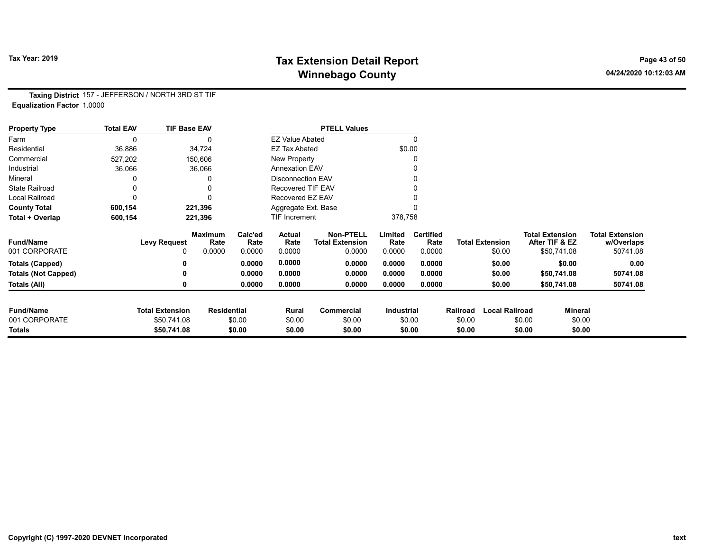# Tax Year: 2019 **Tax Extension Detail Report** Tax Year: 2019 **Page 43 of 50** Winnebago County and the County of the County of the County of the County of the County of the County of the County of the County of the County of the County of the County of the County of the County of the County of the C

Taxing District 157 - JEFFERSON / NORTH 3RD ST TIF Equalization Factor 1.0000

| <b>Property Type</b>       | <b>Total EAV</b> | <b>TIF Base EAV</b>    |                        |                 |                          | <b>PTELL Values</b>                        |                 |                          |          |                        |                                          |                |                                      |
|----------------------------|------------------|------------------------|------------------------|-----------------|--------------------------|--------------------------------------------|-----------------|--------------------------|----------|------------------------|------------------------------------------|----------------|--------------------------------------|
| Farm                       | 0                |                        |                        |                 | <b>EZ Value Abated</b>   |                                            |                 | $\Omega$                 |          |                        |                                          |                |                                      |
| Residential                | 36,886           |                        | 34,724                 |                 | <b>EZ Tax Abated</b>     |                                            | \$0.00          |                          |          |                        |                                          |                |                                      |
| Commercial                 | 527,202          |                        | 150,606                |                 | New Property             |                                            |                 | C                        |          |                        |                                          |                |                                      |
| Industrial                 | 36,066           |                        | 36,066                 |                 | <b>Annexation EAV</b>    |                                            |                 |                          |          |                        |                                          |                |                                      |
| Mineral                    |                  |                        |                        |                 | <b>Disconnection EAV</b> |                                            |                 |                          |          |                        |                                          |                |                                      |
| <b>State Railroad</b>      |                  |                        |                        |                 | Recovered TIF EAV        |                                            |                 |                          |          |                        |                                          |                |                                      |
| Local Railroad             |                  |                        |                        |                 | Recovered EZ EAV         |                                            |                 |                          |          |                        |                                          |                |                                      |
| <b>County Total</b>        | 600,154          |                        | 221,396                |                 | Aggregate Ext. Base      |                                            |                 |                          |          |                        |                                          |                |                                      |
| Total + Overlap            | 600,154          |                        | 221,396                |                 | TIF Increment            |                                            | 378,758         |                          |          |                        |                                          |                |                                      |
| <b>Fund/Name</b>           |                  | <b>Levy Request</b>    | <b>Maximum</b><br>Rate | Calc'ed<br>Rate | Actual<br>Rate           | <b>Non-PTELL</b><br><b>Total Extension</b> | Limited<br>Rate | <b>Certified</b><br>Rate |          | <b>Total Extension</b> | <b>Total Extension</b><br>After TIF & EZ |                | <b>Total Extension</b><br>w/Overlaps |
| 001 CORPORATE              |                  | 0                      | 0.0000                 | 0.0000          | 0.0000                   | 0.0000                                     | 0.0000          | 0.0000                   |          | \$0.00                 | \$50,741.08                              |                | 50741.08                             |
| <b>Totals (Capped)</b>     |                  |                        |                        | 0.0000          | 0.0000                   | 0.0000                                     | 0.0000          | 0.0000                   |          | \$0.00                 |                                          | \$0.00         | 0.00                                 |
| <b>Totals (Not Capped)</b> |                  |                        |                        | 0.0000          | 0.0000                   | 0.0000                                     | 0.0000          | 0.0000                   |          | \$0.00                 | \$50,741.08                              |                | 50741.08                             |
| Totals (All)               |                  |                        |                        | 0.0000          | 0.0000                   | 0.0000                                     | 0.0000          | 0.0000                   |          | \$0.00                 | \$50,741.08                              |                | 50741.08                             |
| <b>Fund/Name</b>           |                  | <b>Total Extension</b> | <b>Residential</b>     |                 | Rural                    | Commercial                                 | Industrial      |                          | Railroad | <b>Local Railroad</b>  |                                          | <b>Mineral</b> |                                      |
| 001 CORPORATE              |                  | \$50,741.08            |                        | \$0.00          | \$0.00                   | \$0.00                                     |                 | \$0.00                   | \$0.00   |                        | \$0.00                                   | \$0.00         |                                      |
| <b>Totals</b>              |                  | \$50,741.08            |                        | \$0.00          | \$0.00                   | \$0.00                                     |                 | \$0.00                   | \$0.00   |                        | \$0.00                                   | \$0.00         |                                      |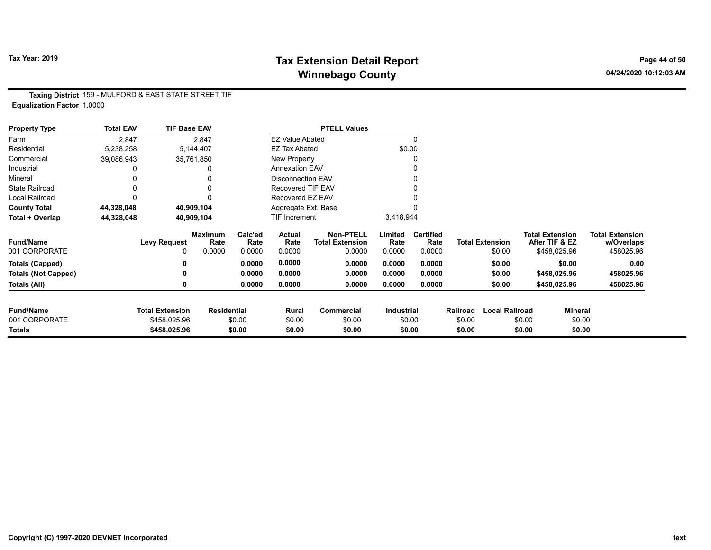# Tax Year: 2019 **Tax Extension Detail Report** Tax Year: 2019 **Page 44 of 50** Winnebago County and the County of the County of the County of the County of the County of the County of the County of the County of the County of the County of the County of the County of the County of the County of the C

Taxing District 159 - MULFORD & EAST STATE STREET TIF Equalization Factor 1.0000

| <b>Property Type</b>       | <b>Total EAV</b> | <b>TIF Base EAV</b>    |                        |                 |                          | <b>PTELL Values</b>                        |                   |                          |                  |                        |                                          |                          |                                      |
|----------------------------|------------------|------------------------|------------------------|-----------------|--------------------------|--------------------------------------------|-------------------|--------------------------|------------------|------------------------|------------------------------------------|--------------------------|--------------------------------------|
| Farm                       | 2,847            |                        | 2,847                  |                 | <b>EZ Value Abated</b>   |                                            |                   |                          |                  |                        |                                          |                          |                                      |
| Residential                | 5,238,258        |                        | 5,144,407              |                 | <b>EZ Tax Abated</b>     |                                            |                   | \$0.00                   |                  |                        |                                          |                          |                                      |
| Commercial                 | 39,086,943       |                        | 35,761,850             |                 | New Property             |                                            |                   | 0                        |                  |                        |                                          |                          |                                      |
| Industrial                 |                  |                        | 0                      |                 | <b>Annexation EAV</b>    |                                            |                   |                          |                  |                        |                                          |                          |                                      |
| Mineral                    |                  |                        | 0                      |                 | <b>Disconnection EAV</b> |                                            |                   |                          |                  |                        |                                          |                          |                                      |
| <b>State Railroad</b>      | 0                |                        | 0                      |                 | Recovered TIF EAV        |                                            |                   |                          |                  |                        |                                          |                          |                                      |
| Local Railroad             |                  |                        |                        |                 | Recovered EZ EAV         |                                            |                   |                          |                  |                        |                                          |                          |                                      |
| <b>County Total</b>        | 44,328,048       |                        | 40,909,104             |                 | Aggregate Ext. Base      |                                            |                   |                          |                  |                        |                                          |                          |                                      |
| Total + Overlap            | 44,328,048       |                        | 40,909,104             |                 | <b>TIF Increment</b>     |                                            | 3,418,944         |                          |                  |                        |                                          |                          |                                      |
| <b>Fund/Name</b>           |                  | <b>Levy Request</b>    | <b>Maximum</b><br>Rate | Calc'ed<br>Rate | Actual<br>Rate           | <b>Non-PTELL</b><br><b>Total Extension</b> | Limited<br>Rate   | <b>Certified</b><br>Rate |                  | <b>Total Extension</b> | <b>Total Extension</b><br>After TIF & EZ |                          | <b>Total Extension</b><br>w/Overlaps |
| 001 CORPORATE              |                  |                        | 0.0000                 | 0.0000          | 0.0000                   | 0.0000                                     | 0.0000            | 0.0000                   |                  | \$0.00                 | \$458,025.96                             |                          | 458025.96                            |
| <b>Totals (Capped)</b>     |                  |                        |                        | 0.0000          | 0.0000                   | 0.0000                                     | 0.0000            | 0.0000                   |                  | \$0.00                 |                                          | \$0.00                   | 0.00                                 |
| <b>Totals (Not Capped)</b> |                  |                        |                        | 0.0000          | 0.0000                   | 0.0000                                     | 0.0000            | 0.0000                   |                  | \$0.00                 | \$458,025.96                             |                          | 458025.96                            |
| Totals (All)               |                  |                        |                        | 0.0000          | 0.0000                   | 0.0000                                     | 0.0000            | 0.0000                   |                  | \$0.00                 | \$458,025.96                             |                          | 458025.96                            |
| <b>Fund/Name</b>           |                  | <b>Total Extension</b> |                        |                 |                          | <b>Commercial</b>                          |                   |                          |                  | <b>Local Railroad</b>  |                                          |                          |                                      |
| 001 CORPORATE              |                  | \$458,025.96           | <b>Residential</b>     | \$0.00          | Rural                    | \$0.00                                     | <b>Industrial</b> | \$0.00                   | Railroad         |                        | \$0.00                                   | <b>Mineral</b><br>\$0.00 |                                      |
| Totals                     |                  | \$458,025.96           |                        | \$0.00          | \$0.00<br>\$0.00         | \$0.00                                     |                   | \$0.00                   | \$0.00<br>\$0.00 |                        | \$0.00                                   | \$0.00                   |                                      |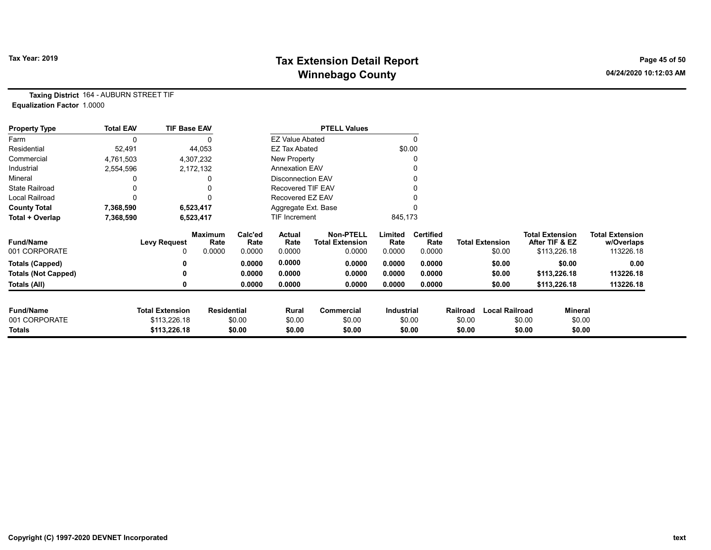# Tax Year: 2019 **Tax Extension Detail Report** Tax Year: 2019 **Page 45 of 50** Winnebago County and the County of the County of the County of the County of the County of the County of the County of the County of the County of the County of the County of the County of the County of the County of the C

Taxing District 164 - AUBURN STREET TIF Equalization Factor 1.0000

| <b>Property Type</b>       | <b>Total EAV</b> | <b>TIF Base EAV</b>    |                        |                 |                          | <b>PTELL Values</b>                        |                 |                          |          |                        |                                          |                |                                      |
|----------------------------|------------------|------------------------|------------------------|-----------------|--------------------------|--------------------------------------------|-----------------|--------------------------|----------|------------------------|------------------------------------------|----------------|--------------------------------------|
| Farm                       |                  |                        |                        |                 | <b>EZ Value Abated</b>   |                                            |                 | $\Omega$                 |          |                        |                                          |                |                                      |
| Residential                | 52,491           |                        | 44,053                 |                 | <b>EZ Tax Abated</b>     |                                            |                 | \$0.00                   |          |                        |                                          |                |                                      |
| Commercial                 | 4,761,503        |                        | 4,307,232              |                 | New Property             |                                            |                 | 0                        |          |                        |                                          |                |                                      |
| Industrial                 | 2,554,596        |                        | 2,172,132              |                 | <b>Annexation EAV</b>    |                                            |                 | 0                        |          |                        |                                          |                |                                      |
| Mineral                    |                  |                        |                        |                 | <b>Disconnection EAV</b> |                                            |                 | 0                        |          |                        |                                          |                |                                      |
| <b>State Railroad</b>      |                  |                        |                        |                 | <b>Recovered TIF EAV</b> |                                            |                 |                          |          |                        |                                          |                |                                      |
| Local Railroad             |                  |                        |                        |                 | Recovered EZ EAV         |                                            |                 |                          |          |                        |                                          |                |                                      |
| <b>County Total</b>        | 7,368,590        |                        | 6,523,417              |                 | Aggregate Ext. Base      |                                            |                 |                          |          |                        |                                          |                |                                      |
| Total + Overlap            | 7,368,590        |                        | 6,523,417              |                 | <b>TIF Increment</b>     |                                            | 845,173         |                          |          |                        |                                          |                |                                      |
| <b>Fund/Name</b>           |                  | <b>Levy Request</b>    | <b>Maximum</b><br>Rate | Calc'ed<br>Rate | Actual<br>Rate           | <b>Non-PTELL</b><br><b>Total Extension</b> | Limited<br>Rate | <b>Certified</b><br>Rate |          | <b>Total Extension</b> | <b>Total Extension</b><br>After TIF & EZ |                | <b>Total Extension</b><br>w/Overlaps |
| 001 CORPORATE              |                  | 0                      | 0.0000                 | 0.0000          | 0.0000                   | 0.0000                                     | 0.0000          | 0.0000                   |          | \$0.00                 | \$113,226.18                             |                | 113226.18                            |
| Totals (Capped)            |                  |                        |                        | 0.0000          | 0.0000                   | 0.0000                                     | 0.0000          | 0.0000                   |          | \$0.00                 |                                          | \$0.00         | 0.00                                 |
| <b>Totals (Not Capped)</b> |                  |                        |                        | 0.0000          | 0.0000                   | 0.0000                                     | 0.0000          | 0.0000                   |          | \$0.00                 | \$113,226.18                             |                | 113226.18                            |
| Totals (All)               |                  |                        |                        | 0.0000          | 0.0000                   | 0.0000                                     | 0.0000          | 0.0000                   |          | \$0.00                 | \$113,226.18                             |                | 113226.18                            |
| <b>Fund/Name</b>           |                  | <b>Total Extension</b> | <b>Residential</b>     |                 | Rural                    | Commercial                                 | Industrial      |                          | Railroad | <b>Local Railroad</b>  |                                          | <b>Mineral</b> |                                      |
| 001 CORPORATE              |                  | \$113,226.18           |                        | \$0.00          | \$0.00                   | \$0.00                                     |                 | \$0.00                   | \$0.00   |                        | \$0.00                                   | \$0.00         |                                      |
| Totals                     |                  | \$113,226.18           |                        | \$0.00          | \$0.00                   | \$0.00                                     |                 | \$0.00                   | \$0.00   |                        | \$0.00                                   | \$0.00         |                                      |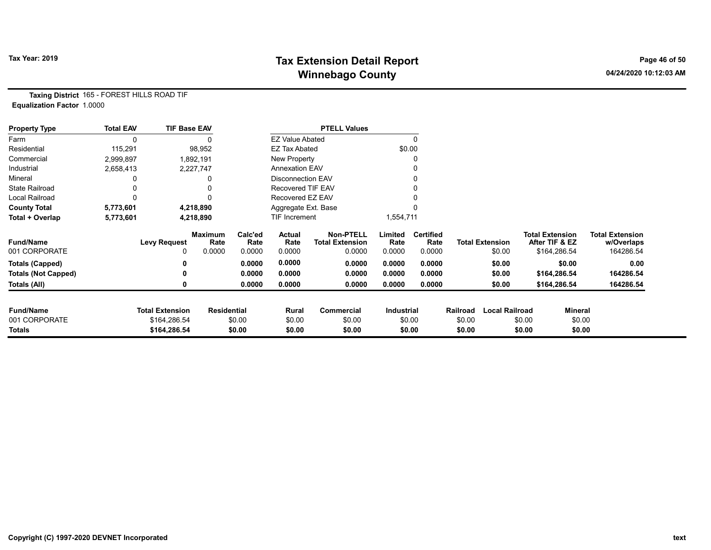# Tax Year: 2019 **Tax Extension Detail Report** Tax Year: 2019 **Page 46 of 50** Winnebago County and the County of the County of the County of the County of the County of the County of the County of the County of the County of the County of the County of the County of the County of the County of the C

Taxing District 165 - FOREST HILLS ROAD TIF Equalization Factor 1.0000

| <b>Property Type</b>       | <b>Total EAV</b> | <b>TIF Base EAV</b>    |                        |                 |                          | <b>PTELL Values</b>                        |                   |                          |          |                        |                                          |              |                                      |
|----------------------------|------------------|------------------------|------------------------|-----------------|--------------------------|--------------------------------------------|-------------------|--------------------------|----------|------------------------|------------------------------------------|--------------|--------------------------------------|
| Farm                       |                  |                        |                        |                 | <b>EZ Value Abated</b>   |                                            |                   | 0                        |          |                        |                                          |              |                                      |
| Residential                | 115,291          |                        | 98,952                 |                 | <b>EZ Tax Abated</b>     |                                            |                   | \$0.00                   |          |                        |                                          |              |                                      |
| Commercial                 | 2,999,897        |                        | 1,892,191              |                 | New Property             |                                            |                   |                          |          |                        |                                          |              |                                      |
| Industrial                 | 2,658,413        |                        | 2,227,747              |                 | <b>Annexation EAV</b>    |                                            |                   |                          |          |                        |                                          |              |                                      |
| Mineral                    |                  |                        |                        |                 | <b>Disconnection EAV</b> |                                            |                   |                          |          |                        |                                          |              |                                      |
| <b>State Railroad</b>      |                  |                        |                        |                 | <b>Recovered TIF EAV</b> |                                            |                   |                          |          |                        |                                          |              |                                      |
| Local Railroad             |                  |                        |                        |                 | Recovered EZ EAV         |                                            |                   |                          |          |                        |                                          |              |                                      |
| <b>County Total</b>        | 5,773,601        |                        | 4,218,890              |                 | Aggregate Ext. Base      |                                            |                   |                          |          |                        |                                          |              |                                      |
| Total + Overlap            | 5,773,601        |                        | 4,218,890              |                 | <b>TIF Increment</b>     |                                            | 1,554,711         |                          |          |                        |                                          |              |                                      |
| <b>Fund/Name</b>           |                  | Levy Request           | <b>Maximum</b><br>Rate | Calc'ed<br>Rate | Actual<br>Rate           | <b>Non-PTELL</b><br><b>Total Extension</b> | Limited<br>Rate   | <b>Certified</b><br>Rate |          | <b>Total Extension</b> | <b>Total Extension</b><br>After TIF & EZ |              | <b>Total Extension</b><br>w/Overlaps |
| 001 CORPORATE              |                  | 0                      | 0.0000                 | 0.0000          | 0.0000                   | 0.0000                                     | 0.0000            | 0.0000                   |          | \$0.00                 |                                          | \$164,286.54 | 164286.54                            |
| <b>Totals (Capped)</b>     |                  | 0                      |                        | 0.0000          | 0.0000                   | 0.0000                                     | 0.0000            | 0.0000                   |          | \$0.00                 |                                          | \$0.00       | 0.00                                 |
| <b>Totals (Not Capped)</b> |                  | ŋ                      |                        | 0.0000          | 0.0000                   | 0.0000                                     | 0.0000            | 0.0000                   |          | \$0.00                 |                                          | \$164,286.54 | 164286.54                            |
| Totals (All)               |                  | 0                      |                        | 0.0000          | 0.0000                   | 0.0000                                     | 0.0000            | 0.0000                   |          | \$0.00                 |                                          | \$164,286.54 | 164286.54                            |
| <b>Fund/Name</b>           |                  | <b>Total Extension</b> | <b>Residential</b>     |                 | Rural                    | Commercial                                 | <b>Industrial</b> |                          | Railroad | <b>Local Railroad</b>  |                                          | Mineral      |                                      |
| 001 CORPORATE              |                  | \$164,286.54           |                        | \$0.00          | \$0.00                   | \$0.00                                     |                   | \$0.00                   | \$0.00   |                        | \$0.00                                   | \$0.00       |                                      |
| Totals                     |                  | \$164,286.54           |                        | \$0.00          | \$0.00                   | \$0.00                                     |                   | \$0.00                   | \$0.00   |                        | \$0.00                                   | \$0.00       |                                      |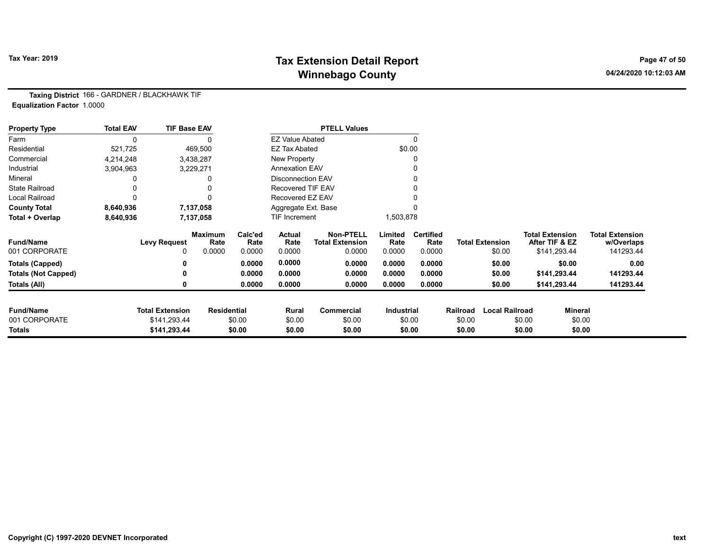# Tax Year: 2019 **Tax Extension Detail Report** Tax Year: 2019 **Page 47 of 50** Winnebago County and the County of the County of the County of the County of the County of the County of the County of the County of the County of the County of the County of the County of the County of the County of the C

Taxing District 166 - GARDNER / BLACKHAWK TIF Equalization Factor 1.0000

| <b>Property Type</b>       | <b>Total EAV</b> | <b>TIF Base EAV</b>    |                        |                 |                          | <b>PTELL Values</b>                        |                   |                          |          |                        |                                          |                                      |
|----------------------------|------------------|------------------------|------------------------|-----------------|--------------------------|--------------------------------------------|-------------------|--------------------------|----------|------------------------|------------------------------------------|--------------------------------------|
| Farm                       | 0                |                        |                        |                 | <b>EZ Value Abated</b>   |                                            |                   |                          |          |                        |                                          |                                      |
| Residential                | 521,725          |                        | 469,500                |                 | <b>EZ Tax Abated</b>     |                                            | \$0.00            |                          |          |                        |                                          |                                      |
| Commercial                 | 4,214,248        |                        | 3,438,287              |                 | New Property             |                                            |                   |                          |          |                        |                                          |                                      |
| Industrial                 | 3,904,963        |                        | 3,229,271              |                 | <b>Annexation EAV</b>    |                                            |                   |                          |          |                        |                                          |                                      |
| Mineral                    |                  |                        |                        |                 | <b>Disconnection EAV</b> |                                            |                   |                          |          |                        |                                          |                                      |
| <b>State Railroad</b>      |                  |                        |                        |                 | Recovered TIF EAV        |                                            |                   |                          |          |                        |                                          |                                      |
| <b>Local Railroad</b>      |                  |                        |                        |                 | Recovered EZ EAV         |                                            |                   |                          |          |                        |                                          |                                      |
| <b>County Total</b>        | 8,640,936        |                        | 7,137,058              |                 | Aggregate Ext. Base      |                                            |                   |                          |          |                        |                                          |                                      |
| Total + Overlap            | 8,640,936        |                        | 7,137,058              |                 | TIF Increment            |                                            | 1,503,878         |                          |          |                        |                                          |                                      |
| <b>Fund/Name</b>           |                  | <b>Levy Request</b>    | <b>Maximum</b><br>Rate | Calc'ed<br>Rate | Actual<br>Rate           | <b>Non-PTELL</b><br><b>Total Extension</b> | Limited<br>Rate   | <b>Certified</b><br>Rate |          | <b>Total Extension</b> | <b>Total Extension</b><br>After TIF & EZ | <b>Total Extension</b><br>w/Overlaps |
| 001 CORPORATE              |                  | 0                      | 0.0000                 | 0.0000          | 0.0000                   | 0.0000                                     | 0.0000            | 0.0000                   |          | \$0.00                 | \$141,293.44                             | 141293.44                            |
| <b>Totals (Capped)</b>     |                  |                        |                        | 0.0000          | 0.0000                   | 0.0000                                     | 0.0000            | 0.0000                   |          | \$0.00                 | \$0.00                                   | 0.00                                 |
| <b>Totals (Not Capped)</b> |                  | 0                      |                        | 0.0000          | 0.0000                   | 0.0000                                     | 0.0000            | 0.0000                   |          | \$0.00                 | \$141,293.44                             | 141293.44                            |
| Totals (All)               |                  | 0                      |                        | 0.0000          | 0.0000                   | 0.0000                                     | 0.0000            | 0.0000                   |          | \$0.00                 | \$141,293.44                             | 141293.44                            |
| <b>Fund/Name</b>           |                  | <b>Total Extension</b> |                        |                 |                          |                                            | <b>Industrial</b> |                          | Railroad | <b>Local Railroad</b>  |                                          | Mineral                              |
| 001 CORPORATE              |                  | \$141,293.44           | <b>Residential</b>     | \$0.00          | Rural<br>\$0.00          | Commercial<br>\$0.00                       |                   | \$0.00                   | \$0.00   |                        | \$0.00                                   | \$0.00                               |
| Totals                     |                  | \$141,293.44           |                        | \$0.00          | \$0.00                   | \$0.00                                     |                   | \$0.00                   | \$0.00   |                        | \$0.00                                   | \$0.00                               |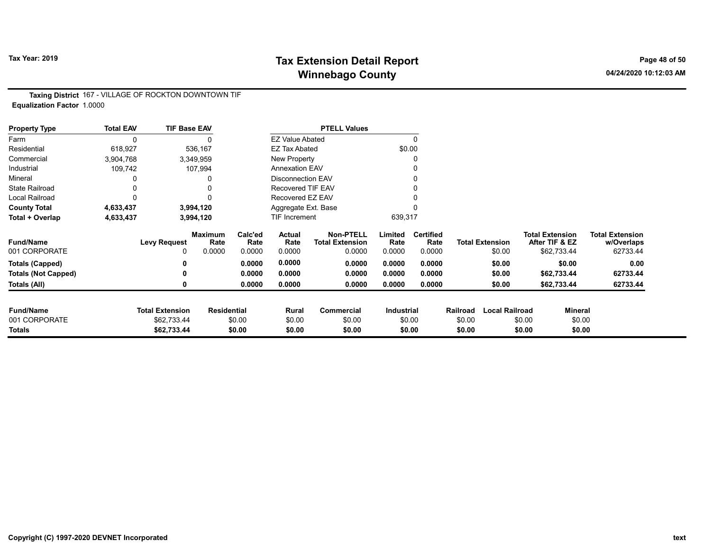# Tax Year: 2019 **Tax Extension Detail Report** Tax Year: 2019 **Page 48 of 50** Winnebago County and the County of the County of the County of the County of the County of the County of the County of the County of the County of the County of the County of the County of the County of the County of the C

Taxing District 167 - VILLAGE OF ROCKTON DOWNTOWN TIF Equalization Factor 1.0000

| <b>Property Type</b>       | <b>Total EAV</b> | <b>TIF Base EAV</b>    |                        |                 |                          | <b>PTELL Values</b>                        |                   |                          |          |                        |        |                                          |                                      |
|----------------------------|------------------|------------------------|------------------------|-----------------|--------------------------|--------------------------------------------|-------------------|--------------------------|----------|------------------------|--------|------------------------------------------|--------------------------------------|
| Farm                       | 0                |                        |                        |                 | <b>EZ Value Abated</b>   |                                            |                   | $\Omega$                 |          |                        |        |                                          |                                      |
| Residential                | 618,927          |                        | 536,167                |                 | <b>EZ Tax Abated</b>     |                                            | \$0.00            |                          |          |                        |        |                                          |                                      |
| Commercial                 | 3,904,768        |                        | 3,349,959              |                 | New Property             |                                            |                   |                          |          |                        |        |                                          |                                      |
| Industrial                 | 109,742          |                        | 107,994                |                 | <b>Annexation EAV</b>    |                                            |                   |                          |          |                        |        |                                          |                                      |
| Mineral                    |                  |                        |                        |                 | <b>Disconnection EAV</b> |                                            |                   |                          |          |                        |        |                                          |                                      |
| <b>State Railroad</b>      |                  |                        | 0                      |                 | <b>Recovered TIF EAV</b> |                                            |                   |                          |          |                        |        |                                          |                                      |
| <b>Local Railroad</b>      | 0                |                        | 0                      |                 | Recovered EZ EAV         |                                            |                   |                          |          |                        |        |                                          |                                      |
| <b>County Total</b>        | 4,633,437        |                        | 3,994,120              |                 | Aggregate Ext. Base      |                                            |                   |                          |          |                        |        |                                          |                                      |
| Total + Overlap            | 4,633,437        |                        | 3,994,120              |                 | TIF Increment            |                                            | 639,317           |                          |          |                        |        |                                          |                                      |
| <b>Fund/Name</b>           |                  | <b>Levy Request</b>    | <b>Maximum</b><br>Rate | Calc'ed<br>Rate | Actual<br>Rate           | <b>Non-PTELL</b><br><b>Total Extension</b> | Limited<br>Rate   | <b>Certified</b><br>Rate |          | <b>Total Extension</b> |        | <b>Total Extension</b><br>After TIF & EZ | <b>Total Extension</b><br>w/Overlaps |
| 001 CORPORATE              |                  |                        | 0.0000                 | 0.0000          | 0.0000                   | 0.0000                                     | 0.0000            | 0.0000                   |          | \$0.00                 |        | \$62,733.44                              | 62733.44                             |
| <b>Totals (Capped)</b>     |                  |                        |                        | 0.0000          | 0.0000                   | 0.0000                                     | 0.0000            | 0.0000                   |          | \$0.00                 |        | \$0.00                                   | 0.00                                 |
| <b>Totals (Not Capped)</b> |                  |                        |                        | 0.0000          | 0.0000                   | 0.0000                                     | 0.0000            | 0.0000                   |          | \$0.00                 |        | \$62,733.44                              | 62733.44                             |
| Totals (All)               |                  |                        |                        | 0.0000          | 0.0000                   | 0.0000                                     | 0.0000            | 0.0000                   |          | \$0.00                 |        | \$62,733.44                              | 62733.44                             |
|                            |                  |                        |                        |                 |                          |                                            |                   |                          |          |                        |        |                                          |                                      |
| <b>Fund/Name</b>           |                  | <b>Total Extension</b> | <b>Residential</b>     |                 | Rural                    | Commercial                                 | <b>Industrial</b> |                          | Railroad | <b>Local Railroad</b>  |        | <b>Mineral</b>                           |                                      |
| 001 CORPORATE              |                  | \$62,733.44            |                        | \$0.00          | \$0.00                   | \$0.00                                     |                   | \$0.00                   | \$0.00   |                        | \$0.00 | \$0.00                                   |                                      |
| Totals                     |                  | \$62,733.44            |                        | \$0.00          | \$0.00                   | \$0.00                                     |                   | \$0.00                   | \$0.00   |                        | \$0.00 | \$0.00                                   |                                      |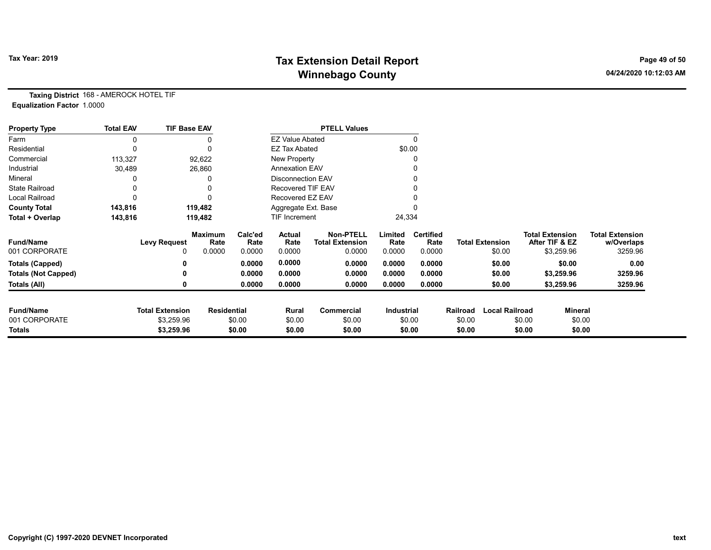# Tax Year: 2019 **Tax Extension Detail Report** Tax Year: 2019 **Page 49 of 50** Winnebago County and the County of the County of the County of the County of the County of the County of the County of the County of the County of the County of the County of the County of the County of the County of the C

Taxing District 168 - AMEROCK HOTEL TIF Equalization Factor 1.0000

| <b>Property Type</b>       | <b>Total EAV</b> | <b>TIF Base EAV</b>    |                        |                       |                          | <b>PTELL Values</b>                        |                   |                          |          |                        |                                          |                |                                      |
|----------------------------|------------------|------------------------|------------------------|-----------------------|--------------------------|--------------------------------------------|-------------------|--------------------------|----------|------------------------|------------------------------------------|----------------|--------------------------------------|
| Farm                       |                  |                        |                        |                       |                          | <b>EZ Value Abated</b>                     |                   |                          |          |                        |                                          |                |                                      |
| Residential                |                  | $\Omega$               |                        |                       | <b>EZ Tax Abated</b>     | \$0.00                                     |                   |                          |          |                        |                                          |                |                                      |
| Commercial                 | 113,327          | 92,622                 |                        | New Property          |                          |                                            |                   |                          |          |                        |                                          |                |                                      |
| Industrial                 | 30,489           | 26,860                 |                        | <b>Annexation EAV</b> |                          |                                            |                   |                          |          |                        |                                          |                |                                      |
| Mineral                    |                  |                        |                        |                       | <b>Disconnection EAV</b> |                                            |                   |                          |          |                        |                                          |                |                                      |
| <b>State Railroad</b>      |                  |                        |                        |                       | <b>Recovered TIF EAV</b> |                                            |                   |                          |          |                        |                                          |                |                                      |
| <b>Local Railroad</b>      |                  |                        |                        |                       | Recovered EZ EAV         |                                            |                   |                          |          |                        |                                          |                |                                      |
| <b>County Total</b>        | 143,816          | 119,482                |                        | Aggregate Ext. Base   |                          |                                            |                   |                          |          |                        |                                          |                |                                      |
| Total + Overlap            | 143,816          | 119,482                |                        | TIF Increment         |                          |                                            | 24,334            |                          |          |                        |                                          |                |                                      |
| <b>Fund/Name</b>           |                  | <b>Levy Request</b>    | <b>Maximum</b><br>Rate | Calc'ed<br>Rate       | Actual<br>Rate           | <b>Non-PTELL</b><br><b>Total Extension</b> | Limited<br>Rate   | <b>Certified</b><br>Rate |          | <b>Total Extension</b> | <b>Total Extension</b><br>After TIF & EZ |                | <b>Total Extension</b><br>w/Overlaps |
| 001 CORPORATE              |                  | 0                      | 0.0000                 | 0.0000                | 0.0000                   | 0.0000                                     | 0.0000            | 0.0000                   |          | \$0.00                 | \$3,259.96                               |                | 3259.96                              |
| <b>Totals (Capped)</b>     |                  |                        |                        | 0.0000                | 0.0000                   | 0.0000                                     | 0.0000            | 0.0000                   |          | \$0.00                 |                                          | \$0.00         | 0.00                                 |
| <b>Totals (Not Capped)</b> |                  |                        |                        | 0.0000                | 0.0000                   | 0.0000                                     | 0.0000            | 0.0000                   |          | \$0.00                 | \$3,259.96                               |                | 3259.96                              |
| Totals (All)               |                  | 0                      |                        | 0.0000                | 0.0000                   | 0.0000                                     | 0.0000            | 0.0000                   |          | \$0.00                 | \$3,259.96                               |                | 3259.96                              |
| <b>Fund/Name</b>           |                  | <b>Total Extension</b> |                        |                       |                          |                                            |                   |                          |          |                        |                                          | <b>Mineral</b> |                                      |
|                            |                  |                        | <b>Residential</b>     |                       | Rural<br>\$0.00          | Commercial                                 | <b>Industrial</b> |                          | Railroad | <b>Local Railroad</b>  |                                          |                |                                      |
| 001 CORPORATE              |                  | \$3,259.96             |                        | \$0.00                |                          | \$0.00                                     | \$0.00<br>\$0.00  |                          | \$0.00   |                        | \$0.00                                   | \$0.00         |                                      |
| <b>Totals</b>              |                  | \$3,259.96             |                        | \$0.00                | \$0.00                   | \$0.00                                     |                   |                          | \$0.00   |                        | \$0.00                                   | \$0.00         |                                      |